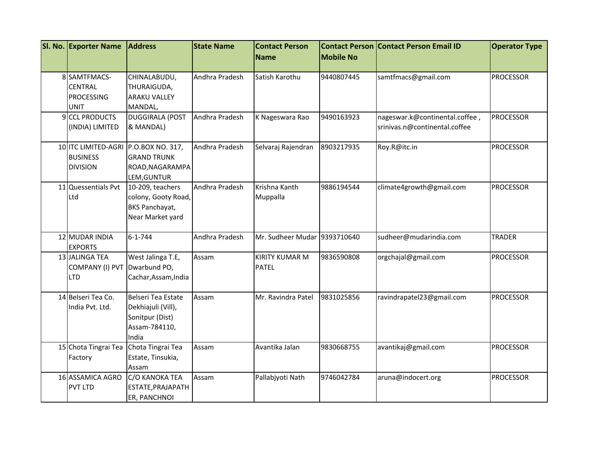| SI. No. Exporter Name | <b>Address</b>                       | <b>State Name</b> | <b>Contact Person</b>        |                  | <b>Contact Person Contact Person Email ID</b> | <b>Operator Type</b> |
|-----------------------|--------------------------------------|-------------------|------------------------------|------------------|-----------------------------------------------|----------------------|
|                       |                                      |                   | <b>Name</b>                  | <b>Mobile No</b> |                                               |                      |
|                       |                                      |                   |                              |                  |                                               |                      |
| 8 SAMTFMACS-          | CHINALABUDU,                         | Andhra Pradesh    | Satish Karothu               | 9440807445       | samtfmacs@gmail.com                           | <b>PROCESSOR</b>     |
| <b>CENTRAL</b>        | THURAIGUDA,                          |                   |                              |                  |                                               |                      |
| <b>PROCESSING</b>     | <b>ARAKU VALLEY</b>                  |                   |                              |                  |                                               |                      |
| <b>UNIT</b>           | MANDAL,                              |                   |                              |                  |                                               |                      |
| 9 CCL PRODUCTS        | <b>DUGGIRALA (POST</b>               | Andhra Pradesh    | K Nageswara Rao              | 9490163923       | nageswar.k@continental.coffee,                | <b>PROCESSOR</b>     |
| (INDIA) LIMITED       | & MANDAL)                            |                   |                              |                  | srinivas.n@continental.coffee                 |                      |
|                       | 10 ITC LIMITED-AGRI P.O.BOX NO. 317, | Andhra Pradesh    | Selvaraj Rajendran           | 8903217935       | Roy.R@itc.in                                  | <b>PROCESSOR</b>     |
| <b>BUSINESS</b>       | <b>GRAND TRUNK</b>                   |                   |                              |                  |                                               |                      |
| <b>DIVISION</b>       | ROAD, NAGARAMPA                      |                   |                              |                  |                                               |                      |
|                       | LEM, GUNTUR                          |                   |                              |                  |                                               |                      |
| 11 Quessentials Pvt   | 10-209, teachers                     | Andhra Pradesh    | Krishna Kanth                | 9886194544       | climate4growth@gmail.com                      | PROCESSOR            |
| Ltd                   | colony, Gooty Road,                  |                   | Muppalla                     |                  |                                               |                      |
|                       | <b>BKS Panchayat,</b>                |                   |                              |                  |                                               |                      |
|                       | Near Market yard                     |                   |                              |                  |                                               |                      |
|                       |                                      |                   |                              |                  |                                               |                      |
| 12 MUDAR INDIA        | $6 - 1 - 744$                        | Andhra Pradesh    | Mr. Sudheer Mudar 9393710640 |                  | sudheer@mudarindia.com                        | <b>TRADER</b>        |
| <b>EXPORTS</b>        |                                      |                   |                              |                  |                                               |                      |
| 13 JALINGA TEA        | West Jalinga T.E,                    | Assam             | <b>KIRITY KUMAR M</b>        | 9836590808       | orgchajal@gmail.com                           | <b>PROCESSOR</b>     |
| COMPANY (I) PVT       | Dwarbund PO,                         |                   | <b>PATEL</b>                 |                  |                                               |                      |
| LTD                   | Cachar, Assam, India                 |                   |                              |                  |                                               |                      |
|                       |                                      |                   |                              |                  |                                               |                      |
| 14 Belseri Tea Co.    | Belseri Tea Estate                   | Assam             | Mr. Ravindra Patel           | 9831025856       | ravindrapatel23@gmail.com                     | <b>PROCESSOR</b>     |
| India Pvt. Ltd.       | Dekhiajuli (Vill),                   |                   |                              |                  |                                               |                      |
|                       | Sonitpur (Dist)                      |                   |                              |                  |                                               |                      |
|                       | Assam-784110,                        |                   |                              |                  |                                               |                      |
|                       | India                                |                   |                              |                  |                                               |                      |
| 15 Chota Tingrai Tea  | Chota Tingrai Tea                    | Assam             | Avantika Jalan               | 9830668755       | avantikaj@gmail.com                           | <b>PROCESSOR</b>     |
| Factory               | Estate, Tinsukia,                    |                   |                              |                  |                                               |                      |
|                       | Assam                                |                   |                              |                  |                                               |                      |
| 16 ASSAMICA AGRO      | C/O KANOKA TEA                       | Assam             | Pallabjyoti Nath             | 9746042784       | aruna@indocert.org                            | <b>PROCESSOR</b>     |
| <b>PVT LTD</b>        | ESTATE, PRAJAPATH                    |                   |                              |                  |                                               |                      |
|                       | ER, PANCHNOI                         |                   |                              |                  |                                               |                      |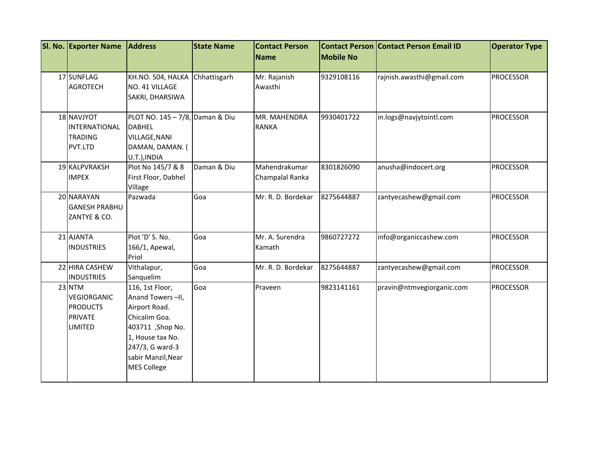| SI. No. Exporter Name                                                 | <b>Address</b>                                                                                                                                                               | <b>State Name</b> | <b>Contact Person</b><br>Name    | <b>Mobile No</b> | <b>Contact Person Contact Person Email ID</b> | <b>Operator Type</b> |
|-----------------------------------------------------------------------|------------------------------------------------------------------------------------------------------------------------------------------------------------------------------|-------------------|----------------------------------|------------------|-----------------------------------------------|----------------------|
| 17 SUNFLAG<br><b>AGROTECH</b>                                         | KH.NO. 504, HALKA<br>NO. 41 VILLAGE<br>SAKRI, DHARSIWA                                                                                                                       | Chhattisgarh      | Mr. Rajanish<br>Awasthi          | 9329108116       | rajnish.awasthi@gmail.com                     | <b>PROCESSOR</b>     |
| 18 NAVJYOT<br>INTERNATIONAL<br><b>TRADING</b><br>PVT.LTD              | PLOT NO. 145 - 7/8, Daman & Diu<br><b>DABHEL</b><br>VILLAGE, NANI<br>DAMAN, DAMAN. (<br>U.T.), INDIA                                                                         |                   | MR. MAHENDRA<br><b>RANKA</b>     | 9930401722       | in.logs@navjytointl.com                       | <b>PROCESSOR</b>     |
| 19 KALPVRAKSH<br><b>IMPEX</b>                                         | Plot No 145/7 & 8<br>First Floor, Dabhel<br>Village                                                                                                                          | Daman & Diu       | Mahendrakumar<br>Champalal Ranka | 8301826090       | anusha@indocert.org                           | <b>PROCESSOR</b>     |
| 20 NARAYAN<br><b>GANESH PRABHU</b><br>ZANTYE & CO.                    | Pazwada                                                                                                                                                                      | Goa               | Mr. R. D. Bordekar               | 8275644887       | zantyecashew@gmail.com                        | <b>PROCESSOR</b>     |
| 21 AJANTA<br><b>INDUSTRIES</b>                                        | Plot 'D' S. No.<br>166/1, Apewal,<br>Priol                                                                                                                                   | Goa               | Mr. A. Surendra<br>Kamath        | 9860727272       | info@organiccashew.com                        | <b>PROCESSOR</b>     |
| 22 HIRA CASHEW<br><b>INDUSTRIES</b>                                   | Vithalapur,<br>Sanquelim                                                                                                                                                     | Goa               | Mr. R. D. Bordekar               | 8275644887       | zantyecashew@gmail.com                        | <b>PROCESSOR</b>     |
| 23 NTM<br>VEGIORGANIC<br><b>PRODUCTS</b><br><b>PRIVATE</b><br>LIMITED | 116, 1st Floor,<br>Anand Towers-II,<br>Airport Road.<br>Chicalim Goa.<br>403711, Shop No.<br>1, House tax No.<br>247/3, G ward-3<br>sabir Manzil, Near<br><b>MES College</b> | Goa               | Praveen                          | 9823141161       | pravin@ntmvegiorganic.com                     | <b>PROCESSOR</b>     |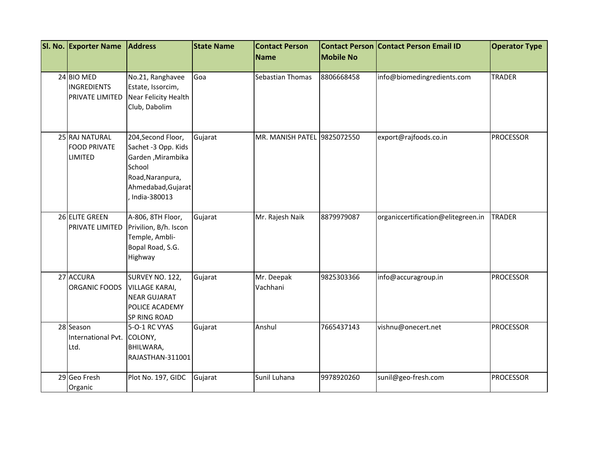| SI. No. Exporter Name                                   | <b>Address</b>                                                                                                                     | <b>State Name</b> | <b>Contact Person</b><br>Name | <b>Mobile No</b> | <b>Contact Person Contact Person Email ID</b> | <b>Operator Type</b> |
|---------------------------------------------------------|------------------------------------------------------------------------------------------------------------------------------------|-------------------|-------------------------------|------------------|-----------------------------------------------|----------------------|
|                                                         |                                                                                                                                    |                   |                               |                  |                                               |                      |
| 24 BIO MED<br><b>INGREDIENTS</b><br>PRIVATE LIMITED     | No.21, Ranghavee<br>Estate, Issorcim,<br>Near Felicity Health<br>Club, Dabolim                                                     | Goa               | Sebastian Thomas              | 8806668458       | info@biomedingredients.com                    | <b>TRADER</b>        |
| 25 RAJ NATURAL<br><b>FOOD PRIVATE</b><br><b>LIMITED</b> | 204, Second Floor,<br>Sachet -3 Opp. Kids<br>Garden, Mirambika<br>School<br>Road, Naranpura,<br>Ahmedabad, Gujarat<br>India-380013 | Gujarat           | MR. MANISH PATEL 9825072550   |                  | export@rajfoods.co.in                         | <b>PROCESSOR</b>     |
| 26 ELITE GREEN<br>PRIVATE LIMITED                       | A-806, 8TH Floor,<br>Privilion, B/h. Iscon<br>Temple, Ambli-<br>Bopal Road, S.G.<br>Highway                                        | Gujarat           | Mr. Rajesh Naik               | 8879979087       | organiccertification@elitegreen.in            | <b>TRADER</b>        |
| 27 ACCURA<br>ORGANIC FOODS                              | SURVEY NO. 122,<br><b>VILLAGE KARAI,</b><br><b>NEAR GUJARAT</b><br>POLICE ACADEMY<br>SP RING ROAD                                  | Gujarat           | Mr. Deepak<br>Vachhani        | 9825303366       | info@accuragroup.in                           | <b>PROCESSOR</b>     |
| 28 Season<br>International Pvt.<br>Ltd.                 | 5-O-1 RC VYAS<br>COLONY,<br>BHILWARA,<br>RAJASTHAN-311001                                                                          | Gujarat           | Anshul                        | 7665437143       | vishnu@onecert.net                            | <b>PROCESSOR</b>     |
| 29 Geo Fresh<br>Organic                                 | Plot No. 197, GIDC                                                                                                                 | Gujarat           | Sunil Luhana                  | 9978920260       | sunil@geo-fresh.com                           | <b>PROCESSOR</b>     |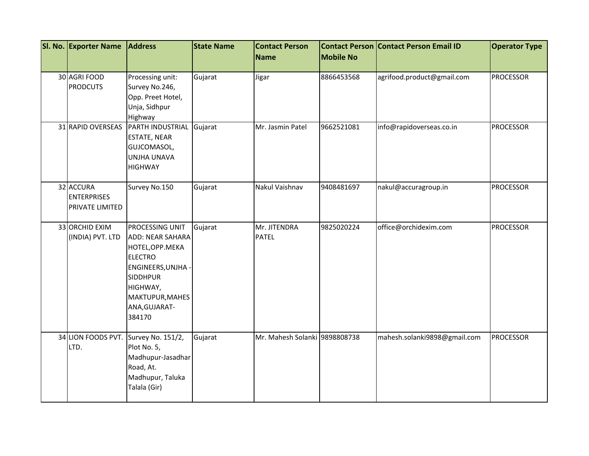| SI. No. Exporter Name                                     | <b>Address</b>                                                                                                                                                                      | <b>State Name</b> | <b>Contact Person</b>         |                  | <b>Contact Person Contact Person Email ID</b> | <b>Operator Type</b> |
|-----------------------------------------------------------|-------------------------------------------------------------------------------------------------------------------------------------------------------------------------------------|-------------------|-------------------------------|------------------|-----------------------------------------------|----------------------|
|                                                           |                                                                                                                                                                                     |                   | Name                          | <b>Mobile No</b> |                                               |                      |
| 30 AGRI FOOD<br><b>PRODCUTS</b>                           | Processing unit:<br>Survey No.246,<br>Opp. Preet Hotel,<br>Unja, Sidhpur<br>Highway                                                                                                 | Gujarat           | Jigar                         | 8866453568       | agrifood.product@gmail.com                    | <b>PROCESSOR</b>     |
| 31 RAPID OVERSEAS                                         | PARTH INDUSTRIAL<br>ESTATE, NEAR<br>GUJCOMASOL,<br>UNJHA UNAVA<br><b>HIGHWAY</b>                                                                                                    | Gujarat           | Mr. Jasmin Patel              | 9662521081       | info@rapidoverseas.co.in                      | <b>PROCESSOR</b>     |
| 32 ACCURA<br><b>ENTERPRISES</b><br><b>PRIVATE LIMITED</b> | Survey No.150                                                                                                                                                                       | Gujarat           | Nakul Vaishnav                | 9408481697       | nakul@accuragroup.in                          | <b>PROCESSOR</b>     |
| 33 ORCHID EXIM<br>(INDIA) PVT. LTD                        | PROCESSING UNIT<br><b>ADD: NEAR SAHARA</b><br>HOTEL, OPP. MEKA<br><b>ELECTRO</b><br>ENGINEERS, UNJHA -<br><b>SIDDHPUR</b><br>HIGHWAY,<br>MAKTUPUR, MAHES<br>ANA, GUJARAT-<br>384170 | Gujarat           | Mr. JITENDRA<br><b>PATEL</b>  | 9825020224       | office@orchidexim.com                         | <b>PROCESSOR</b>     |
| 34 LION FOODS PVT.<br>LTD.                                | Survey No. 151/2,<br>Plot No. 5,<br>Madhupur-Jasadhar<br>Road, At.<br>Madhupur, Taluka<br>Talala (Gir)                                                                              | Gujarat           | Mr. Mahesh Solanki 9898808738 |                  | mahesh.solanki9898@gmail.com                  | <b>PROCESSOR</b>     |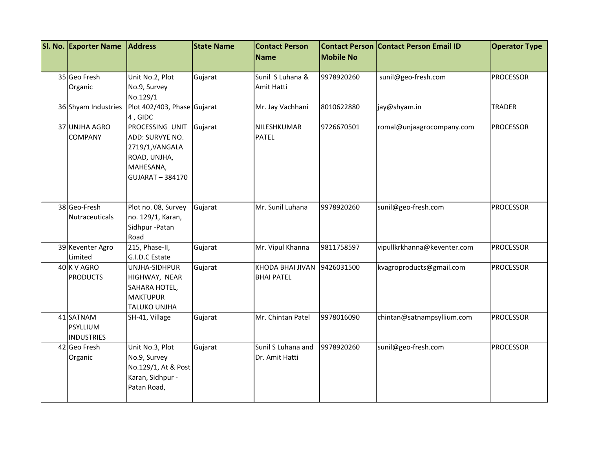| SI. No. Exporter Name | <b>Address</b>              | <b>State Name</b> | <b>Contact Person</b><br><b>Name</b> | <b>Mobile No</b> | <b>Contact Person Contact Person Email ID</b> | <b>Operator Type</b> |
|-----------------------|-----------------------------|-------------------|--------------------------------------|------------------|-----------------------------------------------|----------------------|
|                       |                             |                   |                                      |                  |                                               |                      |
| 35 Geo Fresh          | Unit No.2, Plot             | Gujarat           | Sunil S Luhana &                     | 9978920260       | sunil@geo-fresh.com                           | <b>PROCESSOR</b>     |
| Organic               | No.9, Survey                |                   | Amit Hatti                           |                  |                                               |                      |
|                       | No.129/1                    |                   |                                      |                  |                                               |                      |
| 36 Shyam Industries   | Plot 402/403, Phase Gujarat |                   | Mr. Jay Vachhani                     | 8010622880       | jay@shyam.in                                  | <b>TRADER</b>        |
|                       | 4, GIDC                     |                   |                                      |                  |                                               |                      |
| 37 UNJHA AGRO         | PROCESSING UNIT             | Gujarat           | NILESHKUMAR                          | 9726670501       | romal@unjaagrocompany.com                     | <b>PROCESSOR</b>     |
| <b>COMPANY</b>        | ADD: SURVYE NO.             |                   | <b>PATEL</b>                         |                  |                                               |                      |
|                       | 2719/1, VANGALA             |                   |                                      |                  |                                               |                      |
|                       | ROAD, UNJHA,<br>MAHESANA,   |                   |                                      |                  |                                               |                      |
|                       | <b>GUJARAT-384170</b>       |                   |                                      |                  |                                               |                      |
|                       |                             |                   |                                      |                  |                                               |                      |
|                       |                             |                   |                                      |                  |                                               |                      |
| 38 Geo-Fresh          | Plot no. 08, Survey         | Gujarat           | Mr. Sunil Luhana                     | 9978920260       | sunil@geo-fresh.com                           | <b>PROCESSOR</b>     |
| Nutraceuticals        | no. 129/1, Karan,           |                   |                                      |                  |                                               |                      |
|                       | Sidhpur-Patan               |                   |                                      |                  |                                               |                      |
|                       | Road                        |                   |                                      |                  |                                               |                      |
| 39 Keventer Agro      | 215, Phase-II,              | Gujarat           | Mr. Vipul Khanna                     | 9811758597       | vipullkrkhanna@keventer.com                   | <b>PROCESSOR</b>     |
| Limited               | G.I.D.C Estate              |                   |                                      |                  |                                               |                      |
| 40 K V AGRO           | UNJHA-SIDHPUR               | Gujarat           | KHODA BHAI JIVAN                     | 9426031500       | kvagroproducts@gmail.com                      | <b>PROCESSOR</b>     |
| <b>PRODUCTS</b>       | HIGHWAY, NEAR               |                   | <b>BHAI PATEL</b>                    |                  |                                               |                      |
|                       | SAHARA HOTEL,               |                   |                                      |                  |                                               |                      |
|                       | <b>MAKTUPUR</b>             |                   |                                      |                  |                                               |                      |
| 41 SATNAM             | TALUKO UNJHA                |                   | Mr. Chintan Patel                    | 9978016090       | chintan@satnampsyllium.com                    | <b>PROCESSOR</b>     |
| <b>PSYLLIUM</b>       | SH-41, Village              | Gujarat           |                                      |                  |                                               |                      |
| <b>INDUSTRIES</b>     |                             |                   |                                      |                  |                                               |                      |
| 42 Geo Fresh          | Unit No.3, Plot             | Gujarat           | Sunil S Luhana and                   | 9978920260       | sunil@geo-fresh.com                           | <b>PROCESSOR</b>     |
| Organic               | No.9, Survey                |                   | Dr. Amit Hatti                       |                  |                                               |                      |
|                       | No.129/1, At & Post         |                   |                                      |                  |                                               |                      |
|                       | Karan, Sidhpur -            |                   |                                      |                  |                                               |                      |
|                       | Patan Road,                 |                   |                                      |                  |                                               |                      |
|                       |                             |                   |                                      |                  |                                               |                      |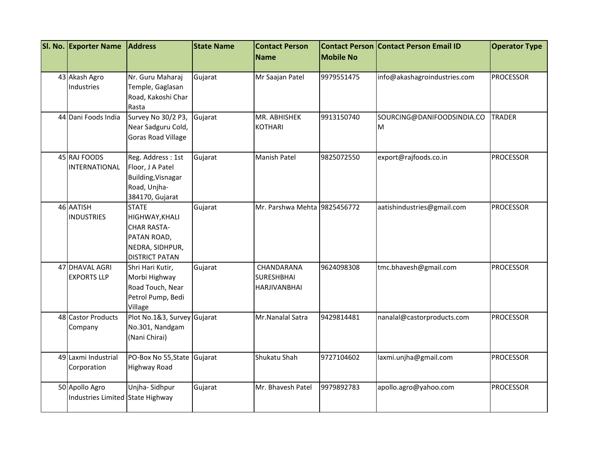| SI. No. Exporter Name                              | <b>Address</b>                                                                                                  | <b>State Name</b> | <b>Contact Person</b>                                  |                  | <b>Contact Person Contact Person Email ID</b> | <b>Operator Type</b> |
|----------------------------------------------------|-----------------------------------------------------------------------------------------------------------------|-------------------|--------------------------------------------------------|------------------|-----------------------------------------------|----------------------|
|                                                    |                                                                                                                 |                   | <b>Name</b>                                            | <b>Mobile No</b> |                                               |                      |
| 43 Akash Agro<br>Industries                        | Nr. Guru Maharaj<br>Temple, Gaglasan<br>Road, Kakoshi Char<br>Rasta                                             | Gujarat           | Mr Saajan Patel                                        | 9979551475       | info@akashagroindustries.com                  | <b>PROCESSOR</b>     |
| 44 Dani Foods India                                | Survey No 30/2 P3,<br>Near Sadguru Cold,<br>Goras Road Village                                                  | Gujarat           | MR. ABHISHEK<br><b>KOTHARI</b>                         | 9913150740       | SOURCING@DANIFOODSINDIA.CO<br>M               | <b>TRADER</b>        |
| 45 RAJ FOODS<br>INTERNATIONAL                      | Reg. Address: 1st<br>Floor, J A Patel<br><b>Building, Visnagar</b><br>Road, Unjha-<br>384170, Gujarat           | Gujarat           | Manish Patel                                           | 9825072550       | export@rajfoods.co.in                         | <b>PROCESSOR</b>     |
| 46 AATISH<br><b>INDUSTRIES</b>                     | <b>STATE</b><br>HIGHWAY, KHALI<br><b>CHAR RASTA-</b><br>PATAN ROAD,<br>NEDRA, SIDHPUR,<br><b>DISTRICT PATAN</b> | Gujarat           | Mr. Parshwa Mehta 9825456772                           |                  | aatishindustries@gmail.com                    | <b>PROCESSOR</b>     |
| 47 DHAVAL AGRI<br><b>EXPORTS LLP</b>               | Shri Hari Kutir,<br>Morbi Highway<br>Road Touch, Near<br>Petrol Pump, Bedi<br>Village                           | Gujarat           | CHANDARANA<br><b>SURESHBHAI</b><br><b>HARJIVANBHAI</b> | 9624098308       | tmc.bhavesh@gmail.com                         | <b>PROCESSOR</b>     |
| 48 Castor Products<br>Company                      | Plot No.1&3, Survey Gujarat<br>No.301, Nandgam<br>(Nani Chirai)                                                 |                   | Mr.Nanalal Satra                                       | 9429814481       | nanalal@castorproducts.com                    | <b>PROCESSOR</b>     |
| 49 Laxmi Industrial<br>Corporation                 | PO-Box No 55, State<br><b>Highway Road</b>                                                                      | Gujarat           | Shukatu Shah                                           | 9727104602       | laxmi.unjha@gmail.com                         | <b>PROCESSOR</b>     |
| 50 Apollo Agro<br>Industries Limited State Highway | Unjha-Sidhpur                                                                                                   | Gujarat           | Mr. Bhavesh Patel                                      | 9979892783       | apollo.agro@yahoo.com                         | <b>PROCESSOR</b>     |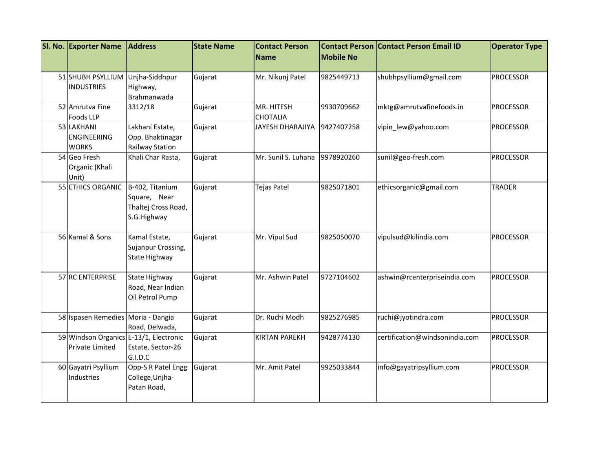| SI. No. Exporter Name                            | <b>Address</b>                                                         | <b>State Name</b> | <b>Contact Person</b><br>Name | <b>Mobile No</b> | <b>Contact Person Contact Person Email ID</b> | <b>Operator Type</b> |
|--------------------------------------------------|------------------------------------------------------------------------|-------------------|-------------------------------|------------------|-----------------------------------------------|----------------------|
| 51 SHUBH PSYLLIUM<br><b>INDUSTRIES</b>           | Unjha-Siddhpur<br>Highway,<br>Brahmanwada                              | Gujarat           | Mr. Nikunj Patel              | 9825449713       | shubhpsyllium@gmail.com                       | <b>PROCESSOR</b>     |
| 52 Amrutva Fine<br><b>Foods LLP</b>              | 3312/18                                                                | Gujarat           | MR. HITESH<br><b>CHOTALIA</b> | 9930709662       | mktg@amrutvafinefoods.in                      | <b>PROCESSOR</b>     |
| 53 LAKHANI<br><b>ENGINEERING</b><br><b>WORKS</b> | Lakhani Estate,<br>Opp. Bhaktinagar<br>Railway Station                 | Gujarat           | JAYESH DHARAJIYA              | 9427407258       | vipin_lew@yahoo.com                           | <b>PROCESSOR</b>     |
| 54 Geo Fresh<br>Organic (Khali<br>Unit)          | Khali Char Rasta,                                                      | Gujarat           | Mr. Sunil S. Luhana           | 9978920260       | sunil@geo-fresh.com                           | <b>PROCESSOR</b>     |
| 55 ETHICS ORGANIC                                | B-402, Titanium<br>Square, Near<br>Thaltej Cross Road,<br>S.G.Highway  | Gujarat           | <b>Tejas Patel</b>            | 9825071801       | ethicsorganic@gmail.com                       | <b>TRADER</b>        |
| 56 Kamal & Sons                                  | Kamal Estate,<br>Sujanpur Crossing,<br>State Highway                   | Gujarat           | Mr. Vipul Sud                 | 9825050070       | vipulsud@kilindia.com                         | <b>PROCESSOR</b>     |
| 57 RC ENTERPRISE                                 | State Highway<br>Road, Near Indian<br>Oil Petrol Pump                  | Gujarat           | Mr. Ashwin Patel              | 9727104602       | ashwin@rcenterpriseindia.com                  | <b>PROCESSOR</b>     |
| 58 Ispasen Remedies Moria - Dangia               | Road, Delwada,                                                         | Gujarat           | Dr. Ruchi Modh                | 9825276985       | ruchi@jyotindra.com                           | <b>PROCESSOR</b>     |
| Private Limited                                  | 59 Windson Organics E-13/1, Electronic<br>Estate, Sector-26<br>G.I.D.C | Gujarat           | <b>KIRTAN PAREKH</b>          | 9428774130       | certification@windsonindia.com                | PROCESSOR            |
| 60 Gayatri Psyllium<br>Industries                | Opp-S R Patel Engg<br>College, Unjha-<br>Patan Road,                   | Gujarat           | Mr. Amit Patel                | 9925033844       | info@gayatripsyllium.com                      | <b>PROCESSOR</b>     |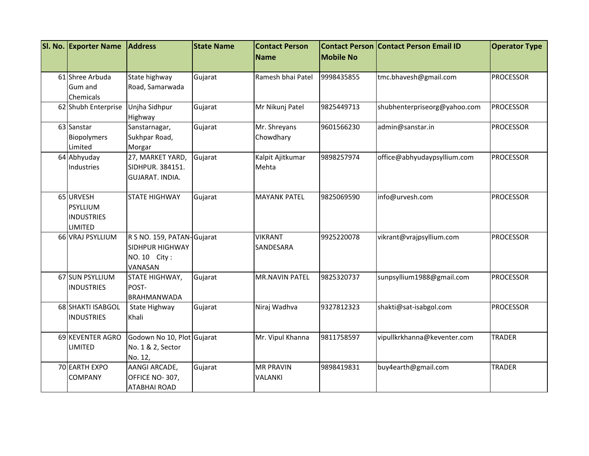| SI. No. Exporter Name | <b>Address</b>             | <b>State Name</b> | <b>Contact Person</b><br><b>Name</b> | <b>Mobile No</b> | <b>Contact Person Contact Person Email ID</b> | <b>Operator Type</b> |
|-----------------------|----------------------------|-------------------|--------------------------------------|------------------|-----------------------------------------------|----------------------|
|                       |                            |                   |                                      |                  |                                               |                      |
| 61 Shree Arbuda       | State highway              | Gujarat           | Ramesh bhai Patel                    | 9998435855       | tmc.bhavesh@gmail.com                         | <b>PROCESSOR</b>     |
| Gum and               | Road, Samarwada            |                   |                                      |                  |                                               |                      |
| Chemicals             |                            |                   |                                      |                  |                                               |                      |
| 62 Shubh Enterprise   | Unjha Sidhpur<br>Highway   | Gujarat           | Mr Nikunj Patel                      | 9825449713       | shubhenterpriseorg@yahoo.com                  | <b>PROCESSOR</b>     |
| 63 Sanstar            | Sanstarnagar,              | Gujarat           | Mr. Shreyans                         | 9601566230       | admin@sanstar.in                              | <b>PROCESSOR</b>     |
| Biopolymers           | Sukhpar Road,              |                   | Chowdhary                            |                  |                                               |                      |
| Limited               | Morgar                     |                   |                                      |                  |                                               |                      |
| 64 Abhyuday           | 27, MARKET YARD,           | Gujarat           | Kalpit Ajitkumar                     | 9898257974       | office@abhyudaypsyllium.com                   | <b>PROCESSOR</b>     |
| Industries            | SIDHPUR. 384151.           |                   | Mehta                                |                  |                                               |                      |
|                       | <b>GUJARAT. INDIA.</b>     |                   |                                      |                  |                                               |                      |
| 65 URVESH             | <b>STATE HIGHWAY</b>       | Gujarat           | <b>MAYANK PATEL</b>                  | 9825069590       | info@urvesh.com                               | <b>PROCESSOR</b>     |
| PSYLLIUM              |                            |                   |                                      |                  |                                               |                      |
| <b>INDUSTRIES</b>     |                            |                   |                                      |                  |                                               |                      |
| LIMITED               |                            |                   |                                      |                  |                                               |                      |
| 66 VRAJ PSYLLIUM      | R S NO. 159, PATAN-Gujarat |                   | <b>VIKRANT</b>                       | 9925220078       | vikrant@vrajpsyllium.com                      | <b>PROCESSOR</b>     |
|                       | <b>SIDHPUR HIGHWAY</b>     |                   | SANDESARA                            |                  |                                               |                      |
|                       | NO. 10 City:               |                   |                                      |                  |                                               |                      |
|                       | VANASAN                    |                   |                                      |                  |                                               |                      |
| 67 SUN PSYLLIUM       | STATE HIGHWAY,<br>POST-    | Gujarat           | <b>MR.NAVIN PATEL</b>                | 9825320737       | sunpsyllium1988@gmail.com                     | <b>PROCESSOR</b>     |
| <b>INDUSTRIES</b>     | <b>BRAHMANWADA</b>         |                   |                                      |                  |                                               |                      |
| 68 SHAKTI ISABGOL     | State Highway              | Gujarat           | Niraj Wadhva                         | 9327812323       | shakti@sat-isabgol.com                        | <b>PROCESSOR</b>     |
| <b>INDUSTRIES</b>     | Khali                      |                   |                                      |                  |                                               |                      |
|                       |                            |                   |                                      |                  |                                               |                      |
| 69 KEVENTER AGRO      | Godown No 10, Plot Gujarat |                   | Mr. Vipul Khanna                     | 9811758597       | vipullkrkhanna@keventer.com                   | TRADER               |
| <b>LIMITED</b>        | No. 1 & 2, Sector          |                   |                                      |                  |                                               |                      |
|                       | No. 12,                    |                   |                                      |                  |                                               |                      |
| 70 EARTH EXPO         | AANGI ARCADE,              | Gujarat           | <b>MR PRAVIN</b>                     | 9898419831       | buy4earth@gmail.com                           | <b>TRADER</b>        |
| <b>COMPANY</b>        | OFFICE NO-307,             |                   | VALANKI                              |                  |                                               |                      |
|                       | <b>ATABHAI ROAD</b>        |                   |                                      |                  |                                               |                      |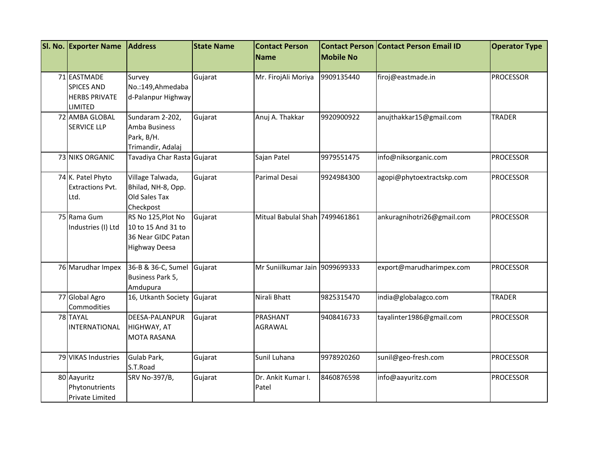| SI. No. Exporter Name                                                      | <b>Address</b>                                                                  | <b>State Name</b> | <b>Contact Person</b>          |                  | <b>Contact Person Contact Person Email ID</b> | <b>Operator Type</b> |
|----------------------------------------------------------------------------|---------------------------------------------------------------------------------|-------------------|--------------------------------|------------------|-----------------------------------------------|----------------------|
|                                                                            |                                                                                 |                   | <b>Name</b>                    | <b>Mobile No</b> |                                               |                      |
| 71 EASTMADE<br><b>SPICES AND</b><br><b>HERBS PRIVATE</b><br><b>LIMITED</b> | Survey<br>No.:149, Ahmedaba<br>d-Palanpur Highway                               | Gujarat           | Mr. FirojAli Moriya            | 9909135440       | firoj@eastmade.in                             | <b>PROCESSOR</b>     |
| 72 AMBA GLOBAL<br><b>SERVICE LLP</b>                                       | Sundaram 2-202,<br>Amba Business<br>Park, B/H.<br>Trimandir, Adalaj             | Gujarat           | Anuj A. Thakkar                | 9920900922       | anujthakkar15@gmail.com                       | <b>TRADER</b>        |
| 73 NIKS ORGANIC                                                            | Tavadiya Char Rasta Gujarat                                                     |                   | Sajan Patel                    | 9979551475       | info@niksorganic.com                          | <b>PROCESSOR</b>     |
| 74 K. Patel Phyto<br><b>Extractions Pvt.</b><br>Ltd.                       | Village Talwada,<br>Bhilad, NH-8, Opp.<br>Old Sales Tax<br>Checkpost            | Gujarat           | Parimal Desai                  | 9924984300       | agopi@phytoextractskp.com                     | <b>PROCESSOR</b>     |
| 75 Rama Gum<br>Industries (I) Ltd                                          | RS No 125, Plot No<br>10 to 15 And 31 to<br>36 Near GIDC Patan<br>Highway Deesa | Gujarat           | Mitual Babulal Shah 7499461861 |                  | ankuragnihotri26@gmail.com                    | <b>PROCESSOR</b>     |
| 76 Marudhar Impex                                                          | 36-B & 36-C, Sumel<br>Business Park 5,<br>Amdupura                              | Gujarat           | Mr Suniilkumar Jain 9099699333 |                  | export@marudharimpex.com                      | <b>PROCESSOR</b>     |
| 77 Global Agro<br>Commodities                                              | 16, Utkanth Society                                                             | Gujarat           | Nirali Bhatt                   | 9825315470       | india@globalagco.com                          | <b>TRADER</b>        |
| 78 TAYAL<br><b>INTERNATIONAL</b>                                           | DEESA-PALANPUR<br>HIGHWAY, AT<br><b>MOTA RASANA</b>                             | Gujarat           | PRASHANT<br><b>AGRAWAL</b>     | 9408416733       | tayalinter1986@gmail.com                      | <b>PROCESSOR</b>     |
| 79 VIKAS Industries                                                        | Gulab Park,<br>S.T.Road                                                         | Gujarat           | Sunil Luhana                   | 9978920260       | sunil@geo-fresh.com                           | <b>PROCESSOR</b>     |
| 80 Aayuritz<br>Phytonutrients<br>Private Limited                           | SRV No-397/B,                                                                   | Gujarat           | Dr. Ankit Kumar I.<br>Patel    | 8460876598       | info@aayuritz.com                             | <b>PROCESSOR</b>     |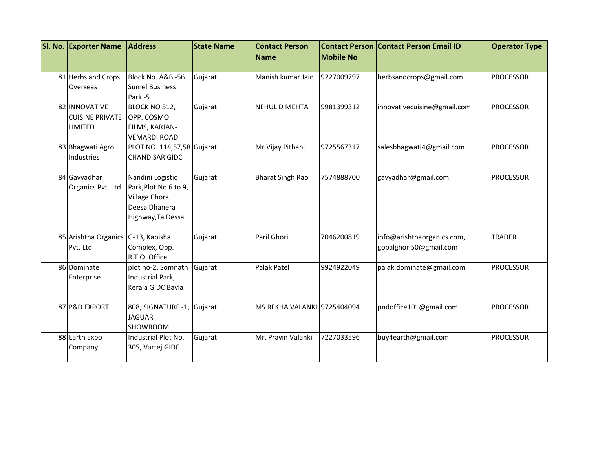| SI. No. Exporter Name                              | <b>Address</b>                                                                                    | <b>State Name</b> | <b>Contact Person</b><br><b>Name</b> | <b>Mobile No</b> | <b>Contact Person Contact Person Email ID</b>        | <b>Operator Type</b> |
|----------------------------------------------------|---------------------------------------------------------------------------------------------------|-------------------|--------------------------------------|------------------|------------------------------------------------------|----------------------|
| 81 Herbs and Crops<br>Overseas                     | Block No. A&B -56<br><b>Sumel Business</b><br>Park-5                                              | Gujarat           | Manish kumar Jain                    | 9227009797       | herbsandcrops@gmail.com                              | <b>PROCESSOR</b>     |
| 82 INNOVATIVE<br><b>CUISINE PRIVATE</b><br>LIMITED | BLOCK NO 512,<br>OPP. COSMO<br>FILMS, KARJAN-<br><b>VEMARDI ROAD</b>                              | Gujarat           | <b>NEHUL D MEHTA</b>                 | 9981399312       | innovativecuisine@gmail.com                          | <b>PROCESSOR</b>     |
| 83 Bhagwati Agro<br>Industries                     | PLOT NO. 114,57,58 Gujarat<br><b>CHANDISAR GIDC</b>                                               |                   | Mr Vijay Pithani                     | 9725567317       | salesbhagwati4@gmail.com                             | <b>PROCESSOR</b>     |
| 84 Gavyadhar<br>Organics Pvt. Ltd                  | Nandini Logistic<br>Park, Plot No 6 to 9,<br>Village Chora,<br>Deesa Dhanera<br>Highway, Ta Dessa | Gujarat           | <b>Bharat Singh Rao</b>              | 7574888700       | gavyadhar@gmail.com                                  | <b>PROCESSOR</b>     |
| 85 Arishtha Organics G-13, Kapisha<br>Pvt. Ltd.    | Complex, Opp.<br>R.T.O. Office                                                                    | Gujarat           | Paril Ghori                          | 7046200819       | info@arishthaorganics.com,<br>gopalghori50@gmail.com | <b>TRADER</b>        |
| 86 Dominate<br>Enterprise                          | plot no-2, Somnath<br>Industrial Park,<br>Kerala GIDC Bavla                                       | Gujarat           | Palak Patel                          | 9924922049       | palak.dominate@gmail.com                             | <b>PROCESSOR</b>     |
| 87 P&D EXPORT                                      | 808, SIGNATURE -1, Gujarat<br><b>JAGUAR</b><br>SHOWROOM                                           |                   | MS REKHA VALANKI 9725404094          |                  | pndoffice101@gmail.com                               | <b>PROCESSOR</b>     |
| 88 Earth Expo<br>Company                           | Industrial Plot No.<br>305, Vartej GIDC                                                           | Gujarat           | Mr. Pravin Valanki                   | 7227033596       | buy4earth@gmail.com                                  | <b>PROCESSOR</b>     |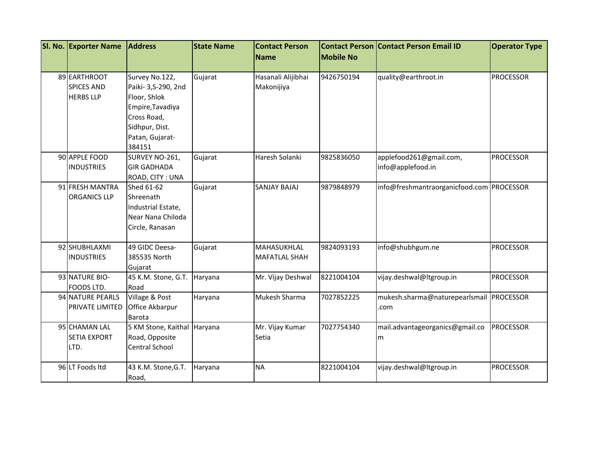| SI. No. Exporter Name | <b>Address</b>              | <b>State Name</b> | <b>Contact Person</b> |                  | <b>Contact Person Contact Person Email ID</b> | <b>Operator Type</b> |
|-----------------------|-----------------------------|-------------------|-----------------------|------------------|-----------------------------------------------|----------------------|
|                       |                             |                   | <b>Name</b>           | <b>Mobile No</b> |                                               |                      |
| 89 EARTHROOT          | Survey No.122,              | Gujarat           | Hasanali Alijibhai    | 9426750194       | quality@earthroot.in                          | <b>PROCESSOR</b>     |
| <b>SPICES AND</b>     | Paiki- 3, S-290, 2nd        |                   | Makonijiya            |                  |                                               |                      |
| <b>HERBS LLP</b>      | Floor, Shlok                |                   |                       |                  |                                               |                      |
|                       | Empire, Tavadiya            |                   |                       |                  |                                               |                      |
|                       | Cross Road,                 |                   |                       |                  |                                               |                      |
|                       | Sidhpur, Dist.              |                   |                       |                  |                                               |                      |
|                       | Patan, Gujarat-             |                   |                       |                  |                                               |                      |
|                       | 384151                      |                   |                       |                  |                                               |                      |
| 90 APPLE FOOD         | SURVEY NO-261,              | Gujarat           | Haresh Solanki        | 9825836050       | applefood261@gmail.com,                       | <b>PROCESSOR</b>     |
| <b>INDUSTRIES</b>     | <b>GIR GADHADA</b>          |                   |                       |                  | info@applefood.in                             |                      |
|                       | ROAD, CITY: UNA             |                   |                       |                  |                                               |                      |
| 91 FRESH MANTRA       | Shed 61-62                  | Gujarat           | SANJAY BAJAJ          | 9879848979       | info@freshmantraorganicfood.com PROCESSOR     |                      |
| <b>ORGANICS LLP</b>   | Shreenath                   |                   |                       |                  |                                               |                      |
|                       | Industrial Estate,          |                   |                       |                  |                                               |                      |
|                       | Near Nana Chiloda           |                   |                       |                  |                                               |                      |
|                       | Circle, Ranasan             |                   |                       |                  |                                               |                      |
| 92 SHUBHLAXMI         | 49 GIDC Deesa-              | Gujarat           | MAHASUKHLAL           | 9824093193       | info@shubhgum.ne                              | <b>PROCESSOR</b>     |
| <b>INDUSTRIES</b>     | 385535 North                |                   | MAFATLAL SHAH         |                  |                                               |                      |
|                       | Gujarat                     |                   |                       |                  |                                               |                      |
| 93 NATURE BIO-        | 45 K.M. Stone, G.T.         | Haryana           | Mr. Vijay Deshwal     | 8221004104       | vijay.deshwal@ltgroup.in                      | <b>PROCESSOR</b>     |
| FOODS LTD.            | Road                        |                   |                       |                  |                                               |                      |
| 94 NATURE PEARLS      | Village & Post              | Haryana           | Mukesh Sharma         | 7027852225       | mukesh.sharma@naturepearlsmail PROCESSOR      |                      |
| PRIVATE LIMITED       | Office Akbarpur             |                   |                       |                  | .com                                          |                      |
|                       | Barota                      |                   |                       |                  |                                               |                      |
| 95 CHAMAN LAL         | 5 KM Stone, Kaithal Haryana |                   | Mr. Vijay Kumar       | 7027754340       | mail.advantageorganics@gmail.co               | <b>PROCESSOR</b>     |
| <b>SETIA EXPORT</b>   | Road, Opposite              |                   | Setia                 |                  | m                                             |                      |
| LTD.                  | Central School              |                   |                       |                  |                                               |                      |
| 96 LT Foods Itd       | 43 K.M. Stone, G.T.         | Haryana           | <b>NA</b>             | 8221004104       | vijay.deshwal@Itgroup.in                      | <b>PROCESSOR</b>     |
|                       | Road,                       |                   |                       |                  |                                               |                      |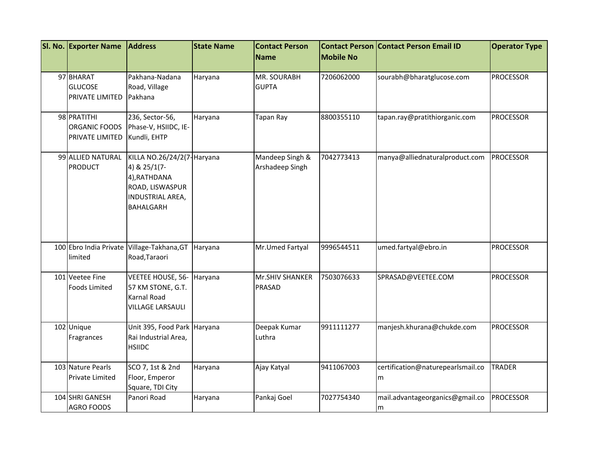| SI. No. Exporter Name                                 | <b>Address</b>                                                                                                         | <b>State Name</b> | <b>Contact Person</b>              | <b>Contact Person</b> | <b>Contact Person Email ID</b>         | <b>Operator Type</b> |
|-------------------------------------------------------|------------------------------------------------------------------------------------------------------------------------|-------------------|------------------------------------|-----------------------|----------------------------------------|----------------------|
|                                                       |                                                                                                                        |                   | <b>Name</b>                        | <b>Mobile No</b>      |                                        |                      |
| 97 BHARAT<br><b>GLUCOSE</b><br><b>PRIVATE LIMITED</b> | Pakhana-Nadana<br>Road, Village<br>Pakhana                                                                             | Haryana           | MR. SOURABH<br><b>GUPTA</b>        | 7206062000            | sourabh@bharatglucose.com              | <b>PROCESSOR</b>     |
| 98 PRATITHI<br>ORGANIC FOODS<br>PRIVATE LIMITED       | 236, Sector-56,<br>Phase-V, HSIIDC, IE-<br>Kundli, EHTP                                                                | Haryana           | Tapan Ray                          | 8800355110            | tapan.ray@pratithiorganic.com          | <b>PROCESSOR</b>     |
| 99 ALLIED NATURAL<br><b>PRODUCT</b>                   | KILLA NO.26/24/2(7- Haryana<br>4) & 25/1(7-<br>4), RATHDANA<br>ROAD, LISWASPUR<br>INDUSTRIAL AREA,<br><b>BAHALGARH</b> |                   | Mandeep Singh &<br>Arshadeep Singh | 7042773413            | manya@alliednaturalproduct.com         | <b>PROCESSOR</b>     |
| limited                                               | 100 Ebro India Private Village-Takhana, GT<br>Road, Taraori                                                            | Haryana           | Mr.Umed Fartyal                    | 9996544511            | umed.fartyal@ebro.in                   | <b>PROCESSOR</b>     |
| 101 Veetee Fine<br><b>Foods Limited</b>               | VEETEE HOUSE, 56-<br>57 KM STONE, G.T.<br><b>Karnal Road</b><br><b>VILLAGE LARSAULI</b>                                | Haryana           | Mr.SHIV SHANKER<br>PRASAD          | 7503076633            | SPRASAD@VEETEE.COM                     | <b>PROCESSOR</b>     |
| 102 Unique<br>Fragrances                              | Unit 395, Food Park Haryana<br>Rai Industrial Area,<br><b>HSIIDC</b>                                                   |                   | Deepak Kumar<br>Luthra             | 9911111277            | manjesh.khurana@chukde.com             | <b>PROCESSOR</b>     |
| 103 Nature Pearls<br><b>Private Limited</b>           | SCO 7, 1st & 2nd<br>Floor, Emperor<br>Square, TDI City                                                                 | Haryana           | Ajay Katyal                        | 9411067003            | certification@naturepearlsmail.co<br>m | <b>TRADER</b>        |
| 104 SHRI GANESH<br><b>AGRO FOODS</b>                  | Panori Road                                                                                                            | Haryana           | Pankaj Goel                        | 7027754340            | mail.advantageorganics@gmail.co<br>m   | <b>PROCESSOR</b>     |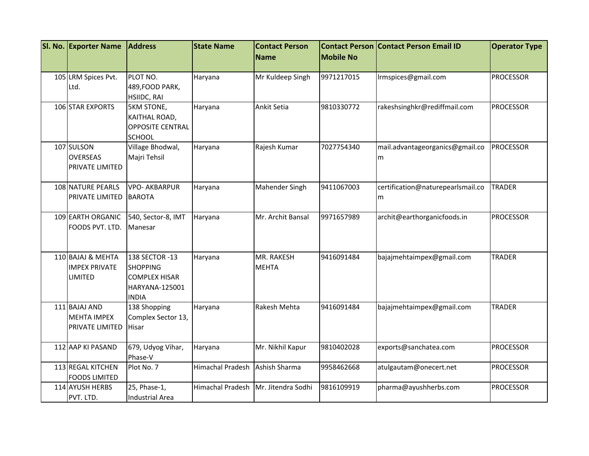| SI. No. Exporter Name                                       | <b>Address</b>                                                                              | <b>State Name</b>       | <b>Contact Person</b>      | <b>Contact Person</b> | <b>Contact Person Email ID</b>         | <b>Operator Type</b> |
|-------------------------------------------------------------|---------------------------------------------------------------------------------------------|-------------------------|----------------------------|-----------------------|----------------------------------------|----------------------|
|                                                             |                                                                                             |                         | <b>Name</b>                | <b>Mobile No</b>      |                                        |                      |
| 105 LRM Spices Pvt.                                         | PLOT NO.                                                                                    | Haryana                 | Mr Kuldeep Singh           | 9971217015            | Irmspices@gmail.com                    | <b>PROCESSOR</b>     |
| Ltd.                                                        | 489, FOOD PARK,                                                                             |                         |                            |                       |                                        |                      |
|                                                             | HSIIDC, RAI                                                                                 |                         |                            |                       |                                        |                      |
| 106 STAR EXPORTS                                            | <b>5KM STONE,</b><br>KAITHAL ROAD,<br><b>OPPOSITE CENTRAL</b><br><b>SCHOOL</b>              | Haryana                 | <b>Ankit Setia</b>         | 9810330772            | rakeshsinghkr@rediffmail.com           | <b>PROCESSOR</b>     |
| 107 SULSON<br><b>OVERSEAS</b><br>PRIVATE LIMITED            | Village Bhodwal,<br>Majri Tehsil                                                            | Haryana                 | Rajesh Kumar               | 7027754340            | mail.advantageorganics@gmail.co<br>m   | <b>PROCESSOR</b>     |
| 108 NATURE PEARLS<br>PRIVATE LIMITED                        | <b>VPO- AKBARPUR</b><br><b>BAROTA</b>                                                       | Haryana                 | Mahender Singh             | 9411067003            | certification@naturepearlsmail.co<br>m | <b>TRADER</b>        |
| 109 EARTH ORGANIC<br>FOODS PVT. LTD.                        | 540, Sector-8, IMT<br>Manesar                                                               | Haryana                 | Mr. Archit Bansal          | 9971657989            | archit@earthorganicfoods.in            | PROCESSOR            |
| 110 BAJAJ & MEHTA<br><b>IMPEX PRIVATE</b><br><b>LIMITED</b> | 138 SECTOR -13<br><b>SHOPPING</b><br><b>COMPLEX HISAR</b><br>HARYANA-125001<br><b>INDIA</b> | Haryana                 | MR. RAKESH<br><b>MEHTA</b> | 9416091484            | bajajmehtaimpex@gmail.com              | <b>TRADER</b>        |
| 111 BAJAJ AND<br><b>MEHTA IMPEX</b><br>PRIVATE LIMITED      | 138 Shopping<br>Complex Sector 13,<br><b>Hisar</b>                                          | Haryana                 | Rakesh Mehta               | 9416091484            | bajajmehtaimpex@gmail.com              | <b>TRADER</b>        |
| 112 AAP KI PASAND                                           | 679, Udyog Vihar,<br>Phase-V                                                                | Haryana                 | Mr. Nikhil Kapur           | 9810402028            | exports@sanchatea.com                  | PROCESSOR            |
| 113 REGAL KITCHEN<br><b>FOODS LIMITED</b>                   | Plot No. 7                                                                                  | <b>Himachal Pradesh</b> | Ashish Sharma              | 9958462668            | atulgautam@onecert.net                 | <b>PROCESSOR</b>     |
| 114 AYUSH HERBS<br>PVT. LTD.                                | 25, Phase-1,<br><b>Industrial Area</b>                                                      | <b>Himachal Pradesh</b> | Mr. Jitendra Sodhi         | 9816109919            | pharma@ayushherbs.com                  | <b>PROCESSOR</b>     |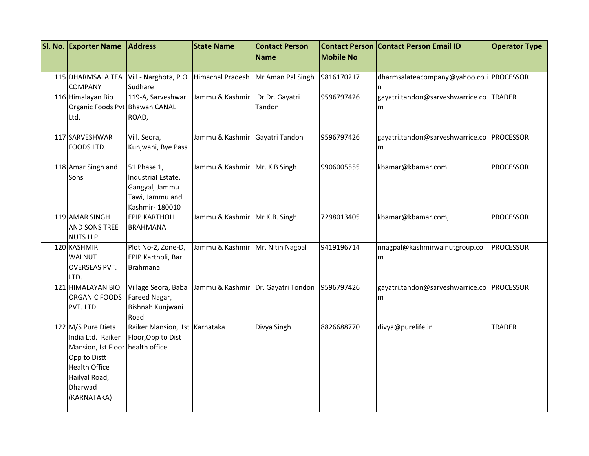| SI. No. Exporter Name                                                                                                                                          | <b>Address</b>                                                                           | <b>State Name</b>                  | <b>Contact Person</b>              |                  | <b>Contact Person Contact Person Email ID</b> | <b>Operator Type</b> |
|----------------------------------------------------------------------------------------------------------------------------------------------------------------|------------------------------------------------------------------------------------------|------------------------------------|------------------------------------|------------------|-----------------------------------------------|----------------------|
|                                                                                                                                                                |                                                                                          |                                    | <b>Name</b>                        | <b>Mobile No</b> |                                               |                      |
| 115 DHARMSALA TEA<br><b>COMPANY</b>                                                                                                                            | Vill - Narghota, P.O<br>Sudhare                                                          | Himachal Pradesh                   | Mr Aman Pal Singh                  | 9816170217       | dharmsalateacompany@yahoo.co.i PROCESSOR      |                      |
| 116 Himalayan Bio<br>Organic Foods Pvt Bhawan CANAL<br>Ltd.                                                                                                    | 119-A, Sarveshwar<br>ROAD,                                                               | Jammu & Kashmir                    | Dr Dr. Gayatri<br>Tandon           | 9596797426       | gayatri.tandon@sarveshwarrice.co<br>m         | <b>TRADER</b>        |
| 117 SARVESHWAR<br>FOODS LTD.                                                                                                                                   | Vill. Seora,<br>Kunjwani, Bye Pass                                                       | Jammu & Kashmir                    | Gayatri Tandon                     | 9596797426       | gayatri.tandon@sarveshwarrice.co<br>m         | <b>PROCESSOR</b>     |
| 118 Amar Singh and<br>Sons                                                                                                                                     | 51 Phase 1,<br>Industrial Estate,<br>Gangyal, Jammu<br>Tawi, Jammu and<br>Kashmir-180010 | Jammu & Kashmir Mr. K B Singh      |                                    | 9906005555       | kbamar@kbamar.com                             | <b>PROCESSOR</b>     |
| 119 AMAR SINGH<br>AND SONS TREE<br><b>NUTS LLP</b>                                                                                                             | <b>EPIP KARTHOLI</b><br><b>BRAHMANA</b>                                                  | Jammu & Kashmir   Mr K.B. Singh    |                                    | 7298013405       | kbamar@kbamar.com,                            | <b>PROCESSOR</b>     |
| 120 KASHMIR<br>WALNUT<br>OVERSEAS PVT.<br>LTD.                                                                                                                 | Plot No-2, Zone-D,<br>EPIP Kartholi, Bari<br><b>Brahmana</b>                             | Jammu & Kashmir   Mr. Nitin Nagpal |                                    | 9419196714       | nnagpal@kashmirwalnutgroup.co<br>m            | <b>PROCESSOR</b>     |
| 121 HIMALAYAN BIO<br>ORGANIC FOODS<br>PVT. LTD.                                                                                                                | Village Seora, Baba<br>Fareed Nagar,<br>Bishnah Kunjwani<br>Road                         |                                    | Jammu & Kashmir Dr. Gayatri Tondon | 9596797426       | gayatri.tandon@sarveshwarrice.co<br>m         | <b>PROCESSOR</b>     |
| 122 M/S Pure Diets<br>India Ltd. Raiker<br>Mansion, Ist Floor health office<br>Opp to Distt<br><b>Health Office</b><br>Hailyal Road,<br>Dharwad<br>(KARNATAKA) | Raiker Mansion, 1st Karnataka<br>Floor, Opp to Dist                                      |                                    | Divya Singh                        | 8826688770       | divya@purelife.in                             | <b>TRADER</b>        |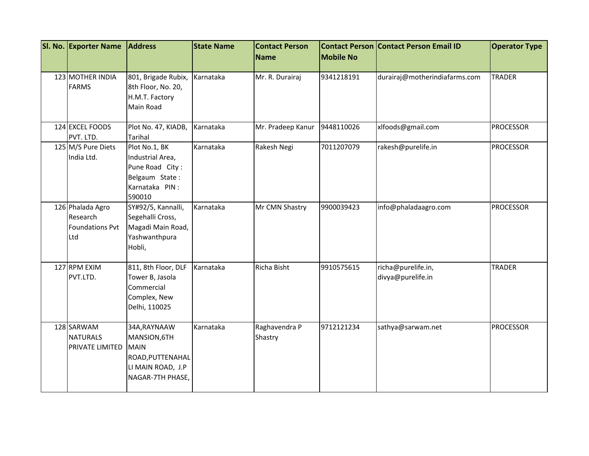| SI. No. Exporter Name                                         | <b>Address</b>                                                                                           | <b>State Name</b> | <b>Contact Person</b><br>Name | <b>Mobile No</b> | <b>Contact Person Contact Person Email ID</b> | <b>Operator Type</b> |
|---------------------------------------------------------------|----------------------------------------------------------------------------------------------------------|-------------------|-------------------------------|------------------|-----------------------------------------------|----------------------|
| 123 MOTHER INDIA<br><b>FARMS</b>                              | 801, Brigade Rubix,<br>8th Floor, No. 20,<br>H.M.T. Factory<br>Main Road                                 | Karnataka         | Mr. R. Durairaj               | 9341218191       | durairaj@motherindiafarms.com                 | <b>TRADER</b>        |
| 124 EXCEL FOODS<br>PVT. LTD.                                  | Plot No. 47, KIADB,<br><b>Tarihal</b>                                                                    | Karnataka         | Mr. Pradeep Kanur             | 9448110026       | xlfoods@gmail.com                             | <b>PROCESSOR</b>     |
| 125 M/S Pure Diets<br>India Ltd.                              | Plot No.1, BK<br>Industrial Area,<br>Pune Road City:<br>Belgaum State:<br>Karnataka PIN:<br>590010       | Karnataka         | Rakesh Negi                   | 7011207079       | rakesh@purelife.in                            | <b>PROCESSOR</b>     |
| 126 Phalada Agro<br>Research<br><b>Foundations Pvt</b><br>Ltd | SY#92/5, Kannalli,<br>Segehalli Cross,<br>Magadi Main Road,<br>Yashwanthpura<br>Hobli,                   | Karnataka         | Mr CMN Shastry                | 9900039423       | info@phaladaagro.com                          | <b>PROCESSOR</b>     |
| 127 RPM EXIM<br>PVT.LTD.                                      | 811, 8th Floor, DLF<br>Tower B, Jasola<br>Commercial<br>Complex, New<br>Delhi, 110025                    | Karnataka         | Richa Bisht                   | 9910575615       | richa@purelife.in,<br>divya@purelife.in       | <b>TRADER</b>        |
| 128 SARWAM<br><b>NATURALS</b><br>PRIVATE LIMITED              | 34A, RAYNAAW<br>MANSION, 6TH<br><b>MAIN</b><br>ROAD, PUTTENAHAL<br>LI MAIN ROAD, J.P<br>NAGAR-7TH PHASE, | Karnataka         | Raghavendra P<br>Shastry      | 9712121234       | sathya@sarwam.net                             | <b>PROCESSOR</b>     |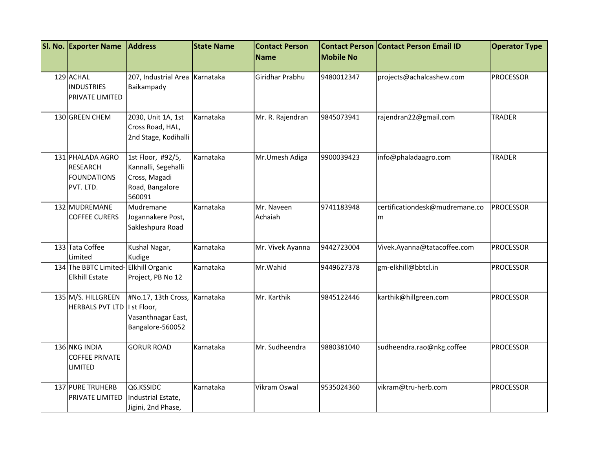| SI. No. Exporter Name                                                  | <b>Address</b>                                                                         | <b>State Name</b> | <b>Contact Person</b> |                  | <b>Contact Person Contact Person Email ID</b> | <b>Operator Type</b> |
|------------------------------------------------------------------------|----------------------------------------------------------------------------------------|-------------------|-----------------------|------------------|-----------------------------------------------|----------------------|
|                                                                        |                                                                                        |                   | <b>Name</b>           | <b>Mobile No</b> |                                               |                      |
| 129 ACHAL<br><b>INDUSTRIES</b><br>PRIVATE LIMITED                      | 207, Industrial Area Karnataka<br>Baikampady                                           |                   | Giridhar Prabhu       | 9480012347       | projects@achalcashew.com                      | <b>PROCESSOR</b>     |
| 130 GREEN CHEM                                                         | 2030, Unit 1A, 1st<br>Cross Road, HAL,<br>2nd Stage, Kodihalli                         | Karnataka         | Mr. R. Rajendran      | 9845073941       | rajendran22@gmail.com                         | <b>TRADER</b>        |
| 131 PHALADA AGRO<br><b>RESEARCH</b><br><b>FOUNDATIONS</b><br>PVT. LTD. | 1st Floor, #92/5,<br>Kannalli, Segehalli<br>Cross, Magadi<br>Road, Bangalore<br>560091 | Karnataka         | Mr.Umesh Adiga        | 9900039423       | info@phaladaagro.com                          | <b>TRADER</b>        |
| 132 MUDREMANE<br><b>COFFEE CURERS</b>                                  | Mudremane<br>Jogannakere Post,<br>Sakleshpura Road                                     | Karnataka         | Mr. Naveen<br>Achaiah | 9741183948       | certificationdesk@mudremane.co<br>m           | <b>PROCESSOR</b>     |
| 133 Tata Coffee<br>Limited                                             | Kushal Nagar,<br>Kudige                                                                | Karnataka         | Mr. Vivek Ayanna      | 9442723004       | Vivek.Ayanna@tatacoffee.com                   | <b>PROCESSOR</b>     |
| 134 The BBTC Limited-Elkhill Organic<br><b>Elkhill Estate</b>          | Project, PB No 12                                                                      | Karnataka         | Mr.Wahid              | 9449627378       | gm-elkhill@bbtcl.in                           | <b>PROCESSOR</b>     |
| 135 M/S. HILLGREEN<br><b>HERBALS PVT LTD</b>                           | #No.17, 13th Cross,<br>I st Floor,<br>Vasanthnagar East,<br>Bangalore-560052           | Karnataka         | Mr. Karthik           | 9845122446       | karthik@hillgreen.com                         | <b>PROCESSOR</b>     |
| 136 NKG INDIA<br><b>COFFEE PRIVATE</b><br>LIMITED                      | <b>GORUR ROAD</b>                                                                      | Karnataka         | Mr. Sudheendra        | 9880381040       | sudheendra.rao@nkg.coffee                     | <b>PROCESSOR</b>     |
| 137 PURE TRUHERB<br>PRIVATE LIMITED                                    | Q6.KSSIDC<br>Industrial Estate,<br>Jigini, 2nd Phase,                                  | Karnataka         | Vikram Oswal          | 9535024360       | vikram@tru-herb.com                           | <b>PROCESSOR</b>     |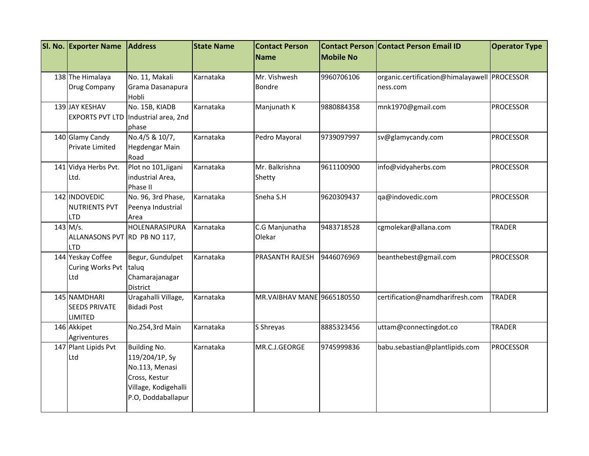| <b>SI. No. Exporter Name</b> | <b>Address</b>                       | <b>State Name</b> | <b>Contact Person</b>       | <b>Contact Person</b> | <b>Contact Person Email ID</b>               | <b>Operator Type</b> |
|------------------------------|--------------------------------------|-------------------|-----------------------------|-----------------------|----------------------------------------------|----------------------|
|                              |                                      |                   | <b>Name</b>                 | <b>Mobile No</b>      |                                              |                      |
|                              |                                      |                   |                             |                       |                                              |                      |
| 138 The Himalaya             | No. 11, Makali                       | Karnataka         | Mr. Vishwesh                | 9960706106            | organic.certification@himalayawell PROCESSOR |                      |
| Drug Company                 | Grama Dasanapura<br>Hobli            |                   | Bondre                      |                       | ness.com                                     |                      |
| 139 JAY KESHAV               | No. 15B, KIADB                       | Karnataka         | Manjunath K                 | 9880884358            | mnk1970@gmail.com                            | <b>PROCESSOR</b>     |
|                              | EXPORTS PVT LTD Industrial area, 2nd |                   |                             |                       |                                              |                      |
|                              | phase                                |                   |                             |                       |                                              |                      |
| 140 Glamy Candy              | No.4/5 & 10/7,                       | Karnataka         | Pedro Mayoral               | 9739097997            | sv@glamycandy.com                            | <b>PROCESSOR</b>     |
| <b>Private Limited</b>       | Hegdengar Main                       |                   |                             |                       |                                              |                      |
|                              | Road                                 |                   |                             |                       |                                              |                      |
| 141 Vidya Herbs Pvt.         | Plot no 101, Jigani                  | Karnataka         | Mr. Balkrishna              | 9611100900            | info@vidyaherbs.com                          | <b>PROCESSOR</b>     |
| Ltd.                         | industrial Area,                     |                   | Shetty                      |                       |                                              |                      |
|                              | Phase II                             |                   |                             |                       |                                              |                      |
| 142 INDOVEDIC                | No. 96, 3rd Phase,                   | Karnataka         | Sneha S.H                   | 9620309437            | qa@indovedic.com                             | <b>PROCESSOR</b>     |
| <b>NUTRIENTS PVT</b>         | Peenya Industrial                    |                   |                             |                       |                                              |                      |
| <b>LTD</b>                   | Area                                 |                   |                             |                       |                                              |                      |
| 143 M/s.                     | HOLENARASIPURA                       | Karnataka         | C.G Manjunatha              | 9483718528            | cgmolekar@allana.com                         | <b>TRADER</b>        |
| ALLANASONS PVT RD PB NO 117, |                                      |                   | Olekar                      |                       |                                              |                      |
| <b>LTD</b>                   |                                      |                   |                             |                       |                                              |                      |
| 144 Yeskay Coffee            | Begur, Gundulpet                     | Karnataka         | PRASANTH RAJESH             | 9446076969            | beanthebest@gmail.com                        | <b>PROCESSOR</b>     |
| Curing Works Pvt taluq       |                                      |                   |                             |                       |                                              |                      |
| Ltd                          | Chamarajanagar                       |                   |                             |                       |                                              |                      |
| 145 NAMDHARI                 | District<br>Uragahalli Village,      | Karnataka         | MR. VAIBHAV MANE 9665180550 |                       | certification@namdharifresh.com              | <b>TRADER</b>        |
| <b>SEEDS PRIVATE</b>         | <b>Bidadi Post</b>                   |                   |                             |                       |                                              |                      |
| <b>LIMITED</b>               |                                      |                   |                             |                       |                                              |                      |
| 146 Akkipet                  | No.254,3rd Main                      | Karnataka         | S Shreyas                   | 8885323456            | uttam@connectingdot.co                       | <b>TRADER</b>        |
| Agriventures                 |                                      |                   |                             |                       |                                              |                      |
| 147 Plant Lipids Pvt         | <b>Building No.</b>                  | Karnataka         | MR.C.J.GEORGE               | 9745999836            | babu.sebastian@plantlipids.com               | <b>PROCESSOR</b>     |
| Ltd                          | 119/204/1P, Sy                       |                   |                             |                       |                                              |                      |
|                              | No.113, Menasi                       |                   |                             |                       |                                              |                      |
|                              | Cross, Kestur                        |                   |                             |                       |                                              |                      |
|                              | Village, Kodigehalli                 |                   |                             |                       |                                              |                      |
|                              | P.O, Doddaballapur                   |                   |                             |                       |                                              |                      |
|                              |                                      |                   |                             |                       |                                              |                      |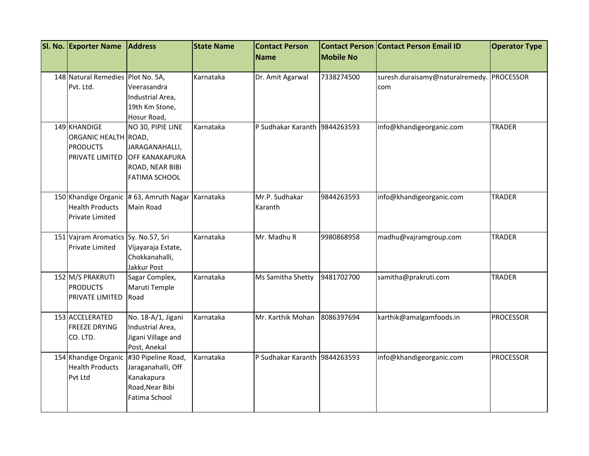| <b>SI. No. Exporter Name</b>        | <b>Address</b>                                    | <b>State Name</b> | <b>Contact Person</b>         |                  | <b>Contact Person Contact Person Email ID</b> | <b>Operator Type</b> |
|-------------------------------------|---------------------------------------------------|-------------------|-------------------------------|------------------|-----------------------------------------------|----------------------|
|                                     |                                                   |                   | <b>Name</b>                   | <b>Mobile No</b> |                                               |                      |
| 148 Natural Remedies Plot No. 5A,   |                                                   | Karnataka         | Dr. Amit Agarwal              | 7338274500       | suresh.duraisamy@naturalremedy. PROCESSOR     |                      |
| Pvt. Ltd.                           | Veerasandra                                       |                   |                               |                  | com                                           |                      |
|                                     | Industrial Area,                                  |                   |                               |                  |                                               |                      |
|                                     | 19th Km Stone,                                    |                   |                               |                  |                                               |                      |
|                                     | Hosur Road,                                       |                   |                               |                  |                                               |                      |
| 149 KHANDIGE                        | NO 30, PIPIE LINE                                 | Karnataka         | P Sudhakar Karanth 9844263593 |                  | info@khandigeorganic.com                      | <b>TRADER</b>        |
| ORGANIC HEALTH ROAD,                |                                                   |                   |                               |                  |                                               |                      |
| <b>PRODUCTS</b>                     | JARAGANAHALLI,                                    |                   |                               |                  |                                               |                      |
| PRIVATE LIMITED                     | <b>OFF KANAKAPURA</b>                             |                   |                               |                  |                                               |                      |
|                                     | ROAD, NEAR BIBI                                   |                   |                               |                  |                                               |                      |
|                                     | <b>FATIMA SCHOOL</b>                              |                   |                               |                  |                                               |                      |
|                                     | 150 Khandige Organic # 63, Amruth Nagar Karnataka |                   | Mr.P. Sudhakar                | 9844263593       | info@khandigeorganic.com                      | <b>TRADER</b>        |
| <b>Health Products</b>              | Main Road                                         |                   | Karanth                       |                  |                                               |                      |
| <b>Private Limited</b>              |                                                   |                   |                               |                  |                                               |                      |
|                                     |                                                   |                   |                               |                  |                                               |                      |
| 151 Vajram Aromatics Sy. No.57, Sri |                                                   | Karnataka         | Mr. Madhu R                   | 9980868958       | madhu@vajramgroup.com                         | <b>TRADER</b>        |
| <b>Private Limited</b>              | Vijayaraja Estate,                                |                   |                               |                  |                                               |                      |
|                                     | Chokkanahalli,                                    |                   |                               |                  |                                               |                      |
|                                     | Jakkur Post                                       |                   |                               |                  |                                               |                      |
| 152 M/S PRAKRUTI                    | Sagar Complex,                                    | Karnataka         | Ms Samitha Shetty             | 9481702700       | samitha@prakruti.com                          | <b>TRADER</b>        |
| <b>PRODUCTS</b>                     | Maruti Temple                                     |                   |                               |                  |                                               |                      |
| PRIVATE LIMITED                     | Road                                              |                   |                               |                  |                                               |                      |
| 153 ACCELERATED                     | No. 18-A/1, Jigani                                | Karnataka         | Mr. Karthik Mohan             | 8086397694       | karthik@amalgamfoods.in                       | <b>PROCESSOR</b>     |
| <b>FREEZE DRYING</b>                | Industrial Area,                                  |                   |                               |                  |                                               |                      |
| CO. LTD.                            | Jigani Village and                                |                   |                               |                  |                                               |                      |
|                                     | Post, Anekal                                      |                   |                               |                  |                                               |                      |
|                                     | 154 Khandige Organic #30 Pipeline Road,           | Karnataka         | P Sudhakar Karanth 9844263593 |                  | info@khandigeorganic.com                      | <b>PROCESSOR</b>     |
| <b>Health Products</b>              | Jaraganahalli, Off                                |                   |                               |                  |                                               |                      |
| Pvt Ltd                             | Kanakapura                                        |                   |                               |                  |                                               |                      |
|                                     | Road, Near Bibi                                   |                   |                               |                  |                                               |                      |
|                                     | Fatima School                                     |                   |                               |                  |                                               |                      |
|                                     |                                                   |                   |                               |                  |                                               |                      |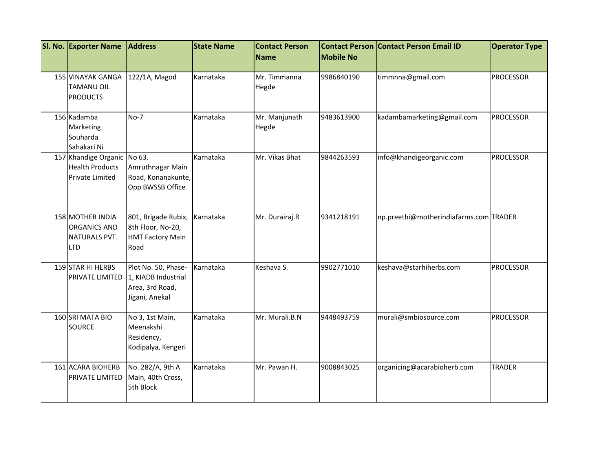| SI. No. Exporter Name                                                           | <b>Address</b>                                                                  | <b>State Name</b> | <b>Contact Person</b><br>Name | <b>Mobile No</b> | <b>Contact Person Contact Person Email ID</b> | <b>Operator Type</b> |
|---------------------------------------------------------------------------------|---------------------------------------------------------------------------------|-------------------|-------------------------------|------------------|-----------------------------------------------|----------------------|
| <b>155 VINAYAK GANGA</b><br><b>TAMANU OIL</b><br><b>PRODUCTS</b>                | 122/1A, Magod                                                                   | Karnataka         | Mr. Timmanna<br>Hegde         | 9986840190       | timmnna@gmail.com                             | <b>PROCESSOR</b>     |
| 156 Kadamba<br>Marketing<br>Souharda<br>Sahakari Ni                             | $No-7$                                                                          | Karnataka         | Mr. Manjunath<br>Hegde        | 9483613900       | kadambamarketing@gmail.com                    | <b>PROCESSOR</b>     |
| 157 Khandige Organic No 63.<br><b>Health Products</b><br><b>Private Limited</b> | Amruthnagar Main<br>Road, Konanakunte,<br>Opp BWSSB Office                      | Karnataka         | Mr. Vikas Bhat                | 9844263593       | info@khandigeorganic.com                      | <b>PROCESSOR</b>     |
| 158 MOTHER INDIA<br><b>ORGANICS AND</b><br>NATURALS PVT.<br><b>LTD</b>          | 801, Brigade Rubix,<br>8th Floor, No-20,<br><b>HMT Factory Main</b><br>Road     | Karnataka         | Mr. Durairaj.R                | 9341218191       | np.preethi@motherindiafarms.com TRADER        |                      |
| 159 STAR HI HERBS<br>PRIVATE LIMITED                                            | Plot No. 50, Phase-<br>1, KIADB Industrial<br>Area, 3rd Road,<br>Jigani, Anekal | Karnataka         | Keshava S.                    | 9902771010       | keshava@starhiherbs.com                       | <b>PROCESSOR</b>     |
| 160 SRI MATA BIO<br><b>SOURCE</b>                                               | No 3, 1st Main,<br>Meenakshi<br>Residency,<br>Kodipalya, Kengeri                | Karnataka         | Mr. Murali.B.N                | 9448493759       | murali@smbiosource.com                        | <b>PROCESSOR</b>     |
| 161 ACARA BIOHERB<br><b>PRIVATE LIMITED</b>                                     | No. 282/A, 9th A<br>Main, 40th Cross,<br>5th Block                              | Karnataka         | Mr. Pawan H.                  | 9008843025       | organicing@acarabioherb.com                   | <b>TRADER</b>        |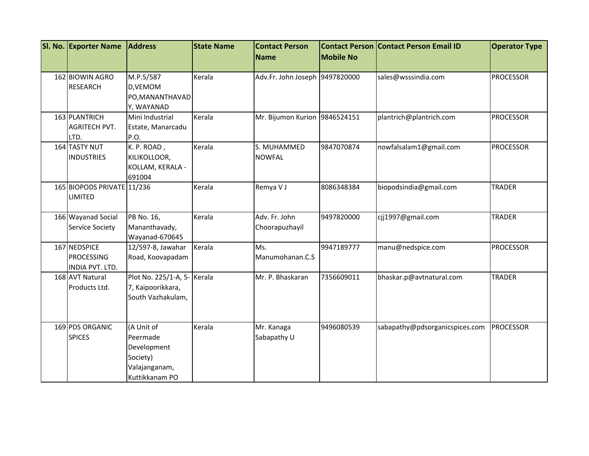| SI. No. Exporter Name                                | <b>Address</b>                                                                       | <b>State Name</b> | <b>Contact Person</b><br>Name   | <b>Mobile No</b> | <b>Contact Person Contact Person Email ID</b> | <b>Operator Type</b> |
|------------------------------------------------------|--------------------------------------------------------------------------------------|-------------------|---------------------------------|------------------|-----------------------------------------------|----------------------|
|                                                      |                                                                                      |                   |                                 |                  |                                               |                      |
| 162 BIOWIN AGRO<br><b>RESEARCH</b>                   | M.P.5/587<br>D, VEMOM<br>PO, MANANTHAVAD                                             | Kerala            | Adv.Fr. John Joseph 9497820000  |                  | sales@wsssindia.com                           | <b>PROCESSOR</b>     |
|                                                      | Y, WAYANAD                                                                           |                   |                                 |                  |                                               |                      |
| 163 PLANTRICH<br><b>AGRITECH PVT.</b><br>LTD.        | Mini Industrial<br>Estate, Manarcadu<br>P.O.                                         | Kerala            | Mr. Bijumon Kurion 9846524151   |                  | plantrich@plantrich.com                       | <b>PROCESSOR</b>     |
| 164 TASTY NUT<br><b>INDUSTRIES</b>                   | K. P. ROAD,<br>KILIKOLLOOR,<br>KOLLAM, KERALA -<br>691004                            | Kerala            | S. MUHAMMED<br><b>NOWFAL</b>    | 9847070874       | nowfalsalam1@gmail.com                        | <b>PROCESSOR</b>     |
| 165 BIOPODS PRIVATE 11/236<br>LIMITED                |                                                                                      | Kerala            | Remya V J                       | 8086348384       | biopodsindia@gmail.com                        | <b>TRADER</b>        |
| 166 Wayanad Social<br><b>Service Society</b>         | PB No. 16,<br>Mananthavady,<br>Wayanad-670645                                        | Kerala            | Adv. Fr. John<br>Choorapuzhayil | 9497820000       | cjj1997@gmail.com                             | <b>TRADER</b>        |
| 167 NEDSPICE<br><b>PROCESSING</b><br>INDIA PVT. LTD. | 12/597-8, Jawahar<br>Road, Koovapadam                                                | Kerala            | Ms.<br>Manumohanan.C.S          | 9947189777       | manu@nedspice.com                             | <b>PROCESSOR</b>     |
| 168 AVT Natural<br>Products Ltd.                     | Plot No. 225/1-A, 5- Kerala<br>7, Kaipoorikkara,<br>South Vazhakulam,                |                   | Mr. P. Bhaskaran                | 7356609011       | bhaskar.p@avtnatural.com                      | <b>TRADER</b>        |
| 169 PDS ORGANIC<br><b>SPICES</b>                     | (A Unit of<br>Peermade<br>Development<br>Society)<br>Valajanganam,<br>Kuttikkanam PO | Kerala            | Mr. Kanaga<br>Sabapathy U       | 9496080539       | sabapathy@pdsorganicspices.com                | PROCESSOR            |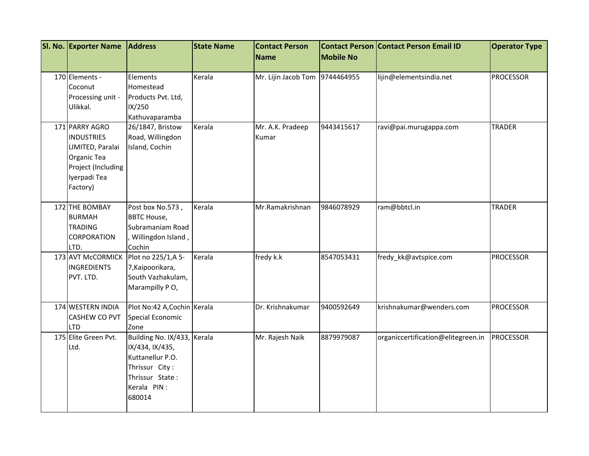| SI. No. Exporter Name                                                                                                    | <b>Address</b>                                                                                                                   | <b>State Name</b> | <b>Contact Person</b>          |                  | <b>Contact Person Contact Person Email ID</b> | <b>Operator Type</b> |
|--------------------------------------------------------------------------------------------------------------------------|----------------------------------------------------------------------------------------------------------------------------------|-------------------|--------------------------------|------------------|-----------------------------------------------|----------------------|
|                                                                                                                          |                                                                                                                                  |                   | <b>Name</b>                    | <b>Mobile No</b> |                                               |                      |
| 170 Elements -<br>Coconut<br>Processing unit -<br>Ulikkal.                                                               | Elements<br>Homestead<br>Products Pvt. Ltd,<br>IX/250<br>Kathuvaparamba                                                          | Kerala            | Mr. Lijin Jacob Tom 9744464955 |                  | lijin@elementsindia.net                       | <b>PROCESSOR</b>     |
| 171 PARRY AGRO<br><b>INDUSTRIES</b><br>LIMITED, Paralai<br>Organic Tea<br>Project (Including<br>Iyerpadi Tea<br>Factory) | 26/1847, Bristow<br>Road, Willingdon<br>Island, Cochin                                                                           | Kerala            | Mr. A.K. Pradeep<br>Kumar      | 9443415617       | ravi@pai.murugappa.com                        | <b>TRADER</b>        |
| 172 THE BOMBAY<br><b>BURMAH</b><br><b>TRADING</b><br><b>CORPORATION</b><br>LTD.                                          | Post box No.573,<br><b>BBTC House,</b><br>Subramaniam Road<br>Willingdon Island,<br>Cochin                                       | Kerala            | Mr.Ramakrishnan                | 9846078929       | ram@bbtcl.in                                  | <b>TRADER</b>        |
| <b>INGREDIENTS</b><br>PVT. LTD.                                                                                          | 173 AVT McCORMICK   Plot no 225/1,A 5-<br>7, Kaipoorikara,<br>South Vazhakulam,<br>Marampilly PO,                                | Kerala            | fredy k.k                      | 8547053431       | fredy_kk@avtspice.com                         | <b>PROCESSOR</b>     |
| 174 WESTERN INDIA<br><b>CASHEW CO PVT</b><br><b>LTD</b>                                                                  | Plot No:42 A, Cochin Kerala<br>Special Economic<br>Zone                                                                          |                   | Dr. Krishnakumar               | 9400592649       | krishnakumar@wenders.com                      | <b>PROCESSOR</b>     |
| 175 Elite Green Pvt.<br>Ltd.                                                                                             | Building No. IX/433, Kerala<br>IX/434, IX/435,<br>Kuttanellur P.O.<br>Thrissur City:<br>Thrissur State:<br>Kerala PIN:<br>680014 |                   | Mr. Rajesh Naik                | 8879979087       | organiccertification@elitegreen.in            | PROCESSOR            |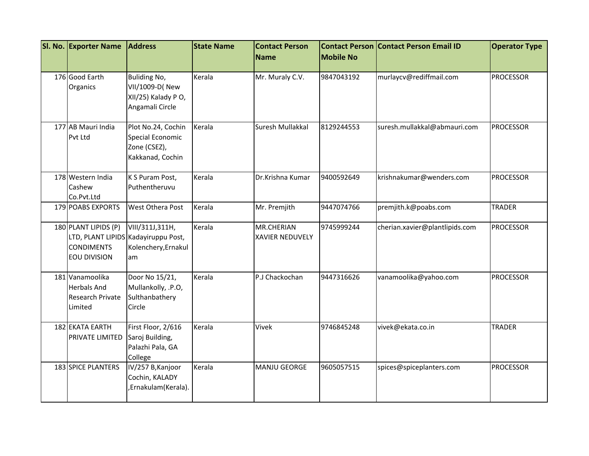| SI. No. Exporter Name                                                | <b>Address</b>                                                                      | <b>State Name</b> | <b>Contact Person</b><br>Name        | <b>Mobile No</b> | <b>Contact Person Contact Person Email ID</b> | <b>Operator Type</b> |
|----------------------------------------------------------------------|-------------------------------------------------------------------------------------|-------------------|--------------------------------------|------------------|-----------------------------------------------|----------------------|
| 176 Good Earth<br>Organics                                           | <b>Buliding No,</b><br>VII/1009-D(New<br>XII/25) Kalady PO,<br>Angamali Circle      | Kerala            | Mr. Muraly C.V.                      | 9847043192       | murlaycv@rediffmail.com                       | <b>PROCESSOR</b>     |
| 177 AB Mauri India<br>Pvt Ltd                                        | Plot No.24, Cochin<br>Special Economic<br>Zone (CSEZ),<br>Kakkanad, Cochin          | Kerala            | Suresh Mullakkal                     | 8129244553       | suresh.mullakkal@abmauri.com                  | <b>PROCESSOR</b>     |
| 178 Western India<br>Cashew<br>Co.Pvt.Ltd                            | K S Puram Post,<br>Puthentheruvu                                                    | Kerala            | Dr.Krishna Kumar                     | 9400592649       | krishnakumar@wenders.com                      | PROCESSOR            |
| <b>179 POABS EXPORTS</b>                                             | West Othera Post                                                                    | Kerala            | Mr. Premjith                         | 9447074766       | premjith.k@poabs.com                          | <b>TRADER</b>        |
| 180 PLANT LIPIDS (P)<br><b>CONDIMENTS</b><br>EOU DIVISION            | VIII/311J,311H,<br>LTD, PLANT LIPIDS Kadayiruppu Post,<br>Kolenchery, Ernakul<br>am | Kerala            | MR.CHERIAN<br><b>XAVIER NEDUVELY</b> | 9745999244       | cherian.xavier@plantlipids.com                | <b>PROCESSOR</b>     |
| 181 Vanamoolika<br><b>Herbals And</b><br>Research Private<br>Limited | Door No 15/21,<br>Mullankolly, .P.O,<br>Sulthanbathery<br>Circle                    | Kerala            | P.J Chackochan                       | 9447316626       | vanamoolika@yahoo.com                         | <b>PROCESSOR</b>     |
| 182 EKATA EARTH<br>PRIVATE LIMITED                                   | First Floor, 2/616<br>Saroj Building,<br>Palazhi Pala, GA<br>College                | Kerala            | Vivek                                | 9746845248       | vivek@ekata.co.in                             | <b>TRADER</b>        |
| 183 SPICE PLANTERS                                                   | IV/257 B, Kanjoor<br>Cochin, KALADY<br>, Ernakulam (Kerala).                        | Kerala            | MANJU GEORGE                         | 9605057515       | spices@spiceplanters.com                      | <b>PROCESSOR</b>     |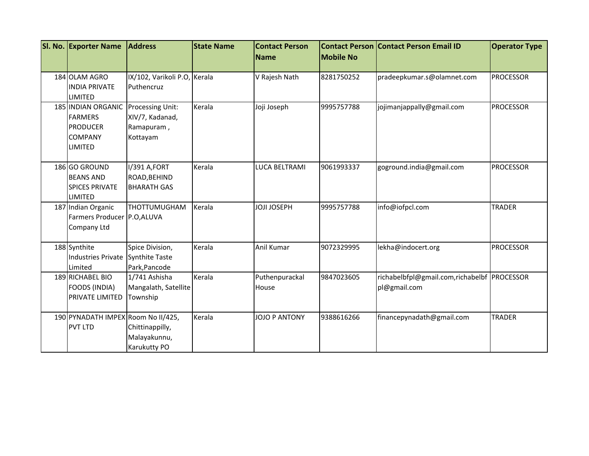| SI. No. Exporter Name                                                                              | <b>Address</b>                                                | <b>State Name</b> | <b>Contact Person</b><br><b>Name</b> | <b>Mobile No</b> | <b>Contact Person Contact Person Email ID</b>               | <b>Operator Type</b> |
|----------------------------------------------------------------------------------------------------|---------------------------------------------------------------|-------------------|--------------------------------------|------------------|-------------------------------------------------------------|----------------------|
| 184 OLAM AGRO<br><b>INDIA PRIVATE</b><br>LIMITED                                                   | IX/102, Varikoli P.O, Kerala<br>Puthencruz                    |                   | V Rajesh Nath                        | 8281750252       | pradeepkumar.s@olamnet.com                                  | <b>PROCESSOR</b>     |
| <b>185 INDIAN ORGANIC</b><br><b>FARMERS</b><br><b>PRODUCER</b><br><b>COMPANY</b><br><b>LIMITED</b> | Processing Unit:<br>XIV/7, Kadanad,<br>Ramapuram,<br>Kottayam | Kerala            | Joji Joseph                          | 9995757788       | jojimanjappally@gmail.com                                   | <b>PROCESSOR</b>     |
| 186 GO GROUND<br><b>BEANS AND</b><br><b>SPICES PRIVATE</b><br>LIMITED                              | I/391 A,FORT<br>ROAD, BEHIND<br><b>BHARATH GAS</b>            | Kerala            | LUCA BELTRAMI                        | 9061993337       | goground.india@gmail.com                                    | <b>PROCESSOR</b>     |
| 187 Indian Organic<br>Farmers Producer P.O, ALUVA<br><b>Company Ltd</b>                            | THOTTUMUGHAM                                                  | Kerala            | <b>JOJI JOSEPH</b>                   | 9995757788       | info@iofpcl.com                                             | <b>TRADER</b>        |
| 188 Synthite<br><b>Industries Private</b><br>Limited                                               | Spice Division,<br><b>Synthite Taste</b><br>Park, Pancode     | Kerala            | Anil Kumar                           | 9072329995       | lekha@indocert.org                                          | <b>PROCESSOR</b>     |
| 189 RICHABEL BIO<br>FOODS (INDIA)<br><b>PRIVATE LIMITED</b>                                        | 1/741 Ashisha<br>Mangalath, Satellite<br>Township             | Kerala            | Puthenpurackal<br>House              | 9847023605       | richabelbfpl@gmail.com,richabelbf PROCESSOR<br>pl@gmail.com |                      |
| 190 PYNADATH IMPEX Room No II/425,<br><b>PVT LTD</b>                                               | Chittinappilly,<br>Malayakunnu,<br><b>Karukutty PO</b>        | Kerala            | <b>JOJO P ANTONY</b>                 | 9388616266       | financepynadath@gmail.com                                   | <b>TRADER</b>        |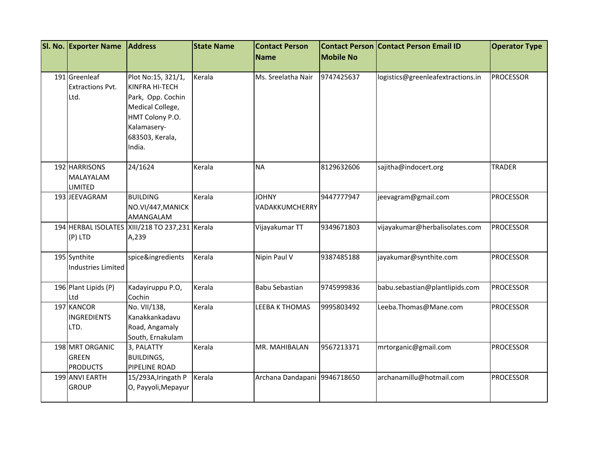| SI. No. Exporter Name           | <b>Address</b>                                 | <b>State Name</b> | <b>Contact Person</b>        |                  | <b>Contact Person Contact Person Email ID</b> | <b>Operator Type</b> |
|---------------------------------|------------------------------------------------|-------------------|------------------------------|------------------|-----------------------------------------------|----------------------|
|                                 |                                                |                   | <b>Name</b>                  | <b>Mobile No</b> |                                               |                      |
|                                 |                                                |                   |                              |                  |                                               |                      |
| 191 Greenleaf                   | Plot No:15, 321/1,                             | Kerala            | Ms. Sreelatha Nair           | 9747425637       | logistics@greenleafextractions.in             | <b>PROCESSOR</b>     |
| <b>Extractions Pvt.</b>         | KINFRA HI-TECH                                 |                   |                              |                  |                                               |                      |
| Ltd.                            | Park, Opp. Cochin                              |                   |                              |                  |                                               |                      |
|                                 | Medical College,                               |                   |                              |                  |                                               |                      |
|                                 | HMT Colony P.O.                                |                   |                              |                  |                                               |                      |
|                                 | Kalamasery-                                    |                   |                              |                  |                                               |                      |
|                                 | 683503, Kerala,                                |                   |                              |                  |                                               |                      |
|                                 | India.                                         |                   |                              |                  |                                               |                      |
| 192 HARRISONS                   | 24/1624                                        | Kerala            | <b>NA</b>                    | 8129632606       | sajitha@indocert.org                          | <b>TRADER</b>        |
| MALAYALAM                       |                                                |                   |                              |                  |                                               |                      |
| <b>LIMITED</b>                  |                                                |                   |                              |                  |                                               |                      |
| 193 JEEVAGRAM                   | <b>BUILDING</b>                                | Kerala            | <b>JOHNY</b>                 | 9447777947       | jeevagram@gmail.com                           | <b>PROCESSOR</b>     |
|                                 | NO.VI/447, MANICK                              |                   | VADAKKUMCHERRY               |                  |                                               |                      |
|                                 | AMANGALAM                                      |                   |                              |                  |                                               |                      |
|                                 | 194 HERBAL ISOLATES XIII/218 TO 237,231 Kerala |                   | Vijayakumar TT               | 9349671803       | vijayakumar@herbalisolates.com                | <b>PROCESSOR</b>     |
| (P) LTD                         | A,239                                          |                   |                              |                  |                                               |                      |
| 195 Synthite                    | spice&ingredients                              | Kerala            | Nipin Paul V                 | 9387485188       | jayakumar@synthite.com                        | <b>PROCESSOR</b>     |
| <b>Industries Limited</b>       |                                                |                   |                              |                  |                                               |                      |
|                                 |                                                |                   |                              |                  |                                               |                      |
| 196 Plant Lipids (P)            | Kadayiruppu P.O,                               | Kerala            | Babu Sebastian               | 9745999836       | babu.sebastian@plantlipids.com                | <b>PROCESSOR</b>     |
| Ltd                             | Cochin                                         |                   |                              |                  |                                               |                      |
| 197 KANCOR                      | No. VII/138,                                   | Kerala            | LEEBA K THOMAS               | 9995803492       | Leeba.Thomas@Mane.com                         | <b>PROCESSOR</b>     |
| <b>INGREDIENTS</b>              | Kanakkankadavu                                 |                   |                              |                  |                                               |                      |
| LTD.                            | Road, Angamaly                                 |                   |                              |                  |                                               |                      |
|                                 | South, Ernakulam                               |                   |                              |                  |                                               |                      |
| 198 MRT ORGANIC                 | 3, PALATTY                                     | Kerala            | MR. MAHIBALAN                | 9567213371       | mrtorganic@gmail.com                          | <b>PROCESSOR</b>     |
| <b>GREEN</b><br><b>PRODUCTS</b> | <b>BUILDINGS,</b>                              |                   |                              |                  |                                               |                      |
| 199 ANVI EARTH                  | PIPELINE ROAD<br>15/293A, Iringath P           | Kerala            | Archana Dandapani 9946718650 |                  | archanamillu@hotmail.com                      | <b>PROCESSOR</b>     |
| <b>GROUP</b>                    | O, Payyoli, Mepayur                            |                   |                              |                  |                                               |                      |
|                                 |                                                |                   |                              |                  |                                               |                      |
|                                 |                                                |                   |                              |                  |                                               |                      |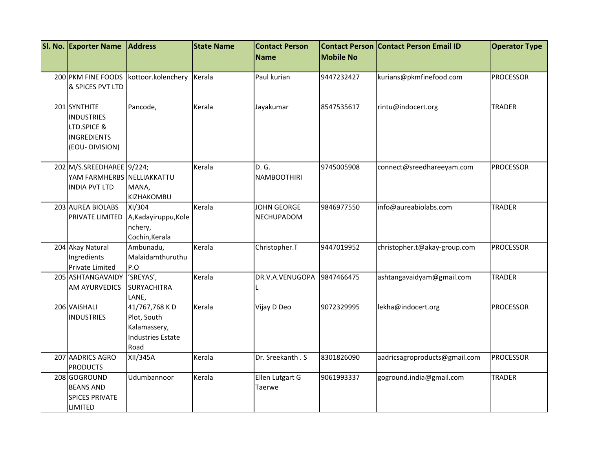| <b>SI. No. Exporter Name</b>                                                      | <b>Address</b>                                                                   | <b>State Name</b> | <b>Contact Person</b>                   |                  | <b>Contact Person Contact Person Email ID</b> | <b>Operator Type</b> |
|-----------------------------------------------------------------------------------|----------------------------------------------------------------------------------|-------------------|-----------------------------------------|------------------|-----------------------------------------------|----------------------|
|                                                                                   |                                                                                  |                   | <b>Name</b>                             | <b>Mobile No</b> |                                               |                      |
| 200 PKM FINE FOODS                                                                | kottoor.kolenchery                                                               | Kerala            | Paul kurian                             | 9447232427       | kurians@pkmfinefood.com                       | <b>PROCESSOR</b>     |
| & SPICES PVT LTD                                                                  |                                                                                  |                   |                                         |                  |                                               |                      |
| 201 SYNTHITE<br><b>INDUSTRIES</b><br>LTD.SPICE &<br>INGREDIENTS<br>(EOU-DIVISION) | Pancode,                                                                         | Kerala            | Jayakumar                               | 8547535617       | rintu@indocert.org                            | <b>TRADER</b>        |
| 202 M/S.SREEDHAREE 9/224;<br>YAM FARMHERBS NELLIAKKATTU<br><b>INDIA PVT LTD</b>   | MANA,<br>KIZHAKOMBU                                                              | Kerala            | D. G.<br><b>NAMBOOTHIRI</b>             | 9745005908       | connect@sreedhareeyam.com                     | <b>PROCESSOR</b>     |
| 203 AUREA BIOLABS<br><b>PRIVATE LIMITED</b>                                       | XI/304<br>A, Kadayiruppu, Kole<br>nchery,<br>Cochin, Kerala                      | Kerala            | <b>JOHN GEORGE</b><br><b>NECHUPADOM</b> | 9846977550       | info@aureabiolabs.com                         | <b>TRADER</b>        |
| 204 Akay Natural<br>Ingredients<br>Private Limited                                | Ambunadu,<br>Malaidamthuruthu<br>P.O                                             | Kerala            | Christopher.T                           | 9447019952       | christopher.t@akay-group.com                  | <b>PROCESSOR</b>     |
| 205 ASHTANGAVAIDY<br><b>AM AYURVEDICS</b>                                         | 'SREYAS',<br><b>SURYACHITRA</b><br>LANE,                                         | Kerala            | DR.V.A.VENUGOPA                         | 9847466475       | ashtangavaidyam@gmail.com                     | <b>TRADER</b>        |
| 206 VAISHALI<br><b>INDUSTRIES</b>                                                 | 41/767,768 KD<br>Plot, South<br>Kalamassery,<br><b>Industries Estate</b><br>Road | Kerala            | Vijay D Deo                             | 9072329995       | lekha@indocert.org                            | <b>PROCESSOR</b>     |
| 207 AADRICS AGRO<br><b>PRODUCTS</b>                                               | XII/345A                                                                         | Kerala            | Dr. Sreekanth . S                       | 8301826090       | aadricsagroproducts@gmail.com                 | <b>PROCESSOR</b>     |
| 208 GOGROUND<br><b>BEANS AND</b><br><b>SPICES PRIVATE</b><br><b>LIMITED</b>       | Udumbannoor                                                                      | Kerala            | Ellen Lutgart G<br>Taerwe               | 9061993337       | goground.india@gmail.com                      | <b>TRADER</b>        |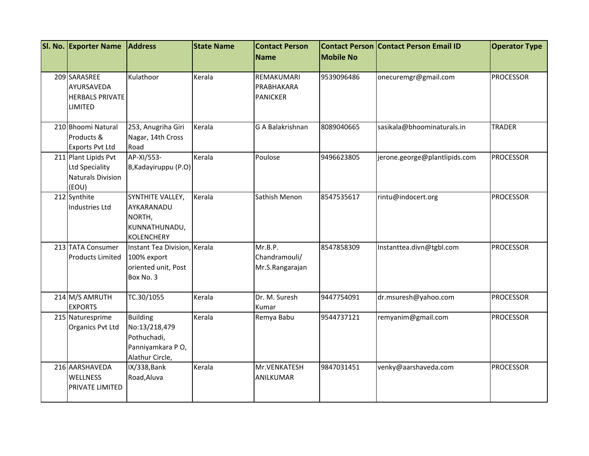| SI. No. Exporter Name                                                              | <b>Address</b>                                                                         | <b>State Name</b> | <b>Contact Person</b>                       |                  | <b>Contact Person Contact Person Email ID</b> | <b>Operator Type</b> |
|------------------------------------------------------------------------------------|----------------------------------------------------------------------------------------|-------------------|---------------------------------------------|------------------|-----------------------------------------------|----------------------|
|                                                                                    |                                                                                        |                   | Name                                        | <b>Mobile No</b> |                                               |                      |
| 209 SARASREE<br>AYURSAVEDA<br><b>HERBALS PRIVATE</b><br><b>LIMITED</b>             | Kulathoor                                                                              | Kerala            | REMAKUMARI<br>PRABHAKARA<br><b>PANICKER</b> | 9539096486       | onecuremgr@gmail.com                          | <b>PROCESSOR</b>     |
| 210 Bhoomi Natural<br>Products &<br><b>Exports Pvt Ltd</b>                         | 253, Anugriha Giri<br>Nagar, 14th Cross<br>Road                                        | Kerala            | G A Balakrishnan                            | 8089040665       | sasikala@bhoominaturals.in                    | <b>TRADER</b>        |
| 211 Plant Lipids Pvt<br><b>Ltd Speciality</b><br><b>Naturals Division</b><br>(EOU) | AP-XI/553-<br>B, Kadayiruppu (P.O)                                                     | Kerala            | Poulose                                     | 9496623805       | jerone.george@plantlipids.com                 | <b>PROCESSOR</b>     |
| 212 Synthite<br>Industries Ltd                                                     | SYNTHITE VALLEY,<br>AYKARANADU<br>NORTH,<br>KUNNATHUNADU,<br><b>KOLENCHERY</b>         | Kerala            | Sathish Menon                               | 8547535617       | rintu@indocert.org                            | <b>PROCESSOR</b>     |
| 213 TATA Consumer<br><b>Products Limited</b>                                       | Instant Tea Division, Kerala<br>100% export<br>oriented unit, Post<br>Box No. 3        |                   | Mr.B.P.<br>Chandramouli/<br>Mr.S.Rangarajan | 8547858309       | Instanttea.divn@tgbl.com                      | <b>PROCESSOR</b>     |
| 214 M/S AMRUTH<br><b>EXPORTS</b>                                                   | TC.30/1055                                                                             | Kerala            | Dr. M. Suresh<br>Kumar                      | 9447754091       | dr.msuresh@yahoo.com                          | <b>PROCESSOR</b>     |
| 215 Naturesprime<br>Organics Pvt Ltd                                               | <b>Building</b><br>No:13/218,479<br>Pothuchadi,<br>Panniyamkara PO,<br>Alathur Circle, | Kerala            | Remya Babu                                  | 9544737121       | remyanim@gmail.com                            | <b>PROCESSOR</b>     |
| 216 AARSHAVEDA<br><b>WELLNESS</b><br><b>PRIVATE LIMITED</b>                        | IX/338, Bank<br>Road, Aluva                                                            | Kerala            | Mr.VENKATESH<br>ANILKUMAR                   | 9847031451       | venky@aarshaveda.com                          | <b>PROCESSOR</b>     |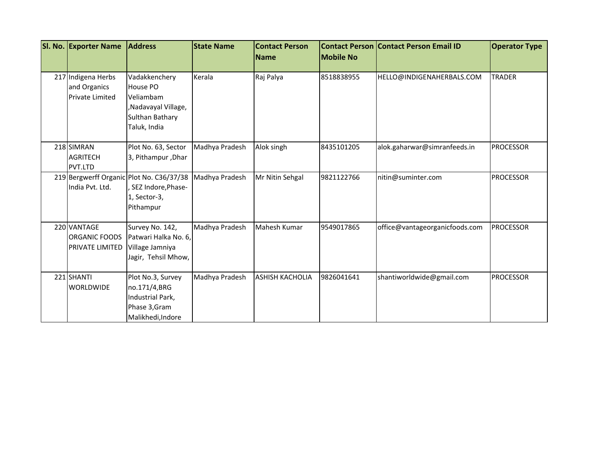| SI. No. Exporter Name                                        | <b>Address</b>                                                                                   | <b>State Name</b> | <b>Contact Person</b><br><b>Name</b> | <b>Mobile No</b> | <b>Contact Person Contact Person Email ID</b> | <b>Operator Type</b> |
|--------------------------------------------------------------|--------------------------------------------------------------------------------------------------|-------------------|--------------------------------------|------------------|-----------------------------------------------|----------------------|
|                                                              |                                                                                                  |                   |                                      |                  |                                               |                      |
| 217 Indigena Herbs<br>and Organics<br><b>Private Limited</b> | Vadakkenchery<br>House PO<br>Veliambam<br>,Nadavayal Village,<br>Sulthan Bathary<br>Taluk, India | Kerala            | Raj Palya                            | 8518838955       | HELLO@INDIGENAHERBALS.COM                     | <b>TRADER</b>        |
| 218 SIMRAN<br><b>AGRITECH</b><br>PVT.LTD                     | Plot No. 63, Sector<br>3, Pithampur, Dhar                                                        | Madhya Pradesh    | Alok singh                           | 8435101205       | alok.gaharwar@simranfeeds.in                  | <b>PROCESSOR</b>     |
| India Pvt. Ltd.                                              | 219 Bergwerff Organic Plot No. C36/37/38<br>SEZ Indore, Phase-<br>1, Sector-3,<br>Pithampur      | Madhya Pradesh    | Mr Nitin Sehgal                      | 9821122766       | nitin@suminter.com                            | <b>PROCESSOR</b>     |
| 220 VANTAGE<br>ORGANIC FOODS<br><b>PRIVATE LIMITED</b>       | Survey No. 142,<br>Patwari Halka No. 6,<br>Village Jamniya<br>Jagir, Tehsil Mhow,                | Madhya Pradesh    | Mahesh Kumar                         | 9549017865       | office@vantageorganicfoods.com                | <b>PROCESSOR</b>     |
| 221 SHANTI<br><b>WORLDWIDE</b>                               | Plot No.3, Survey<br>no.171/4,BRG<br>Industrial Park,<br>Phase 3, Gram<br>Malikhedi, Indore      | Madhya Pradesh    | <b>ASHISH KACHOLIA</b>               | 9826041641       | shantiworldwide@gmail.com                     | <b>PROCESSOR</b>     |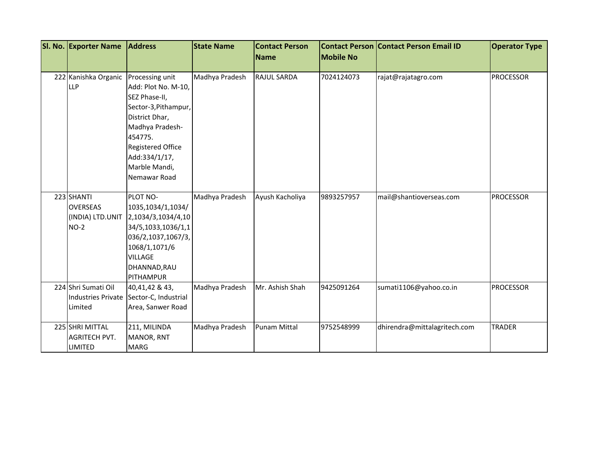| SI. No. Exporter Name | <b>Address</b>                          | <b>State Name</b> | <b>Contact Person</b><br>Name | <b>Mobile No</b> | <b>Contact Person Contact Person Email ID</b> | <b>Operator Type</b> |
|-----------------------|-----------------------------------------|-------------------|-------------------------------|------------------|-----------------------------------------------|----------------------|
|                       |                                         |                   |                               |                  |                                               |                      |
| 222 Kanishka Organic  | Processing unit                         | Madhya Pradesh    | <b>RAJUL SARDA</b>            | 7024124073       | rajat@rajatagro.com                           | <b>PROCESSOR</b>     |
| LLP                   | Add: Plot No. M-10,                     |                   |                               |                  |                                               |                      |
|                       | SEZ Phase-II,                           |                   |                               |                  |                                               |                      |
|                       | Sector-3, Pithampur,                    |                   |                               |                  |                                               |                      |
|                       | District Dhar,                          |                   |                               |                  |                                               |                      |
|                       | Madhya Pradesh-                         |                   |                               |                  |                                               |                      |
|                       | 454775.                                 |                   |                               |                  |                                               |                      |
|                       | <b>Registered Office</b>                |                   |                               |                  |                                               |                      |
|                       | Add:334/1/17,                           |                   |                               |                  |                                               |                      |
|                       | Marble Mandi,                           |                   |                               |                  |                                               |                      |
|                       | Nemawar Road                            |                   |                               |                  |                                               |                      |
|                       |                                         |                   |                               |                  |                                               |                      |
| 223 SHANTI            | PLOT NO-                                | Madhya Pradesh    | Ayush Kacholiya               | 9893257957       | mail@shantioverseas.com                       | <b>PROCESSOR</b>     |
| <b>OVERSEAS</b>       | 1035,1034/1,1034/                       |                   |                               |                  |                                               |                      |
| (INDIA) LTD.UNIT      | 2,1034/3,1034/4,10                      |                   |                               |                  |                                               |                      |
| $NO-2$                | 34/5,1033,1036/1,1                      |                   |                               |                  |                                               |                      |
|                       | 036/2,1037,1067/3,                      |                   |                               |                  |                                               |                      |
|                       | 1068/1,1071/6                           |                   |                               |                  |                                               |                      |
|                       | <b>VILLAGE</b>                          |                   |                               |                  |                                               |                      |
|                       | DHANNAD, RAU                            |                   |                               |                  |                                               |                      |
|                       | PITHAMPUR                               |                   |                               |                  |                                               |                      |
| 224 Shri Sumati Oil   | 40,41,42 & 43,                          | Madhya Pradesh    | Mr. Ashish Shah               | 9425091264       | sumati1106@yahoo.co.in                        | <b>PROCESSOR</b>     |
|                       | Industries Private Sector-C, Industrial |                   |                               |                  |                                               |                      |
| Limited               | Area, Sanwer Road                       |                   |                               |                  |                                               |                      |
|                       |                                         |                   |                               |                  |                                               |                      |
| 225 SHRI MITTAL       | 211, MILINDA                            | Madhya Pradesh    | <b>Punam Mittal</b>           | 9752548999       | dhirendra@mittalagritech.com                  | <b>TRADER</b>        |
| <b>AGRITECH PVT.</b>  | MANOR, RNT                              |                   |                               |                  |                                               |                      |
| <b>LIMITED</b>        | <b>MARG</b>                             |                   |                               |                  |                                               |                      |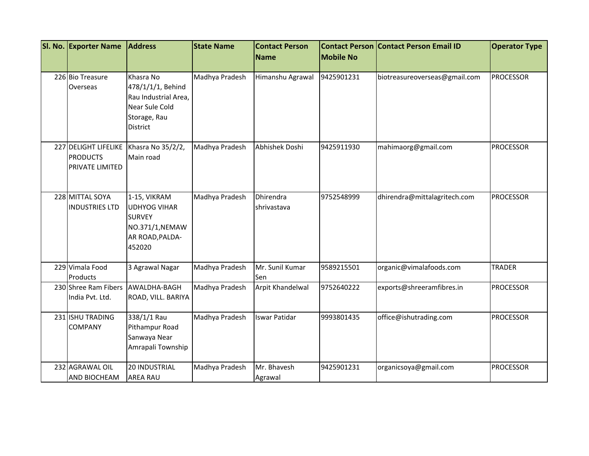| SI. No. Exporter Name                                      | <b>Address</b>                                                                                              | <b>State Name</b> | <b>Contact Person</b>    |                  | <b>Contact Person Contact Person Email ID</b> | <b>Operator Type</b> |
|------------------------------------------------------------|-------------------------------------------------------------------------------------------------------------|-------------------|--------------------------|------------------|-----------------------------------------------|----------------------|
|                                                            |                                                                                                             |                   | <b>Name</b>              | <b>Mobile No</b> |                                               |                      |
| 226 Bio Treasure<br>Overseas                               | Khasra No<br>478/1/1/1, Behind<br>Rau Industrial Area,<br>Near Sule Cold<br>Storage, Rau<br><b>District</b> | Madhya Pradesh    | Himanshu Agrawal         | 9425901231       | biotreasureoverseas@gmail.com                 | <b>PROCESSOR</b>     |
| 227 DELIGHT LIFELIKE<br><b>PRODUCTS</b><br>PRIVATE LIMITED | Khasra No 35/2/2,<br>Main road                                                                              | Madhya Pradesh    | Abhishek Doshi           | 9425911930       | mahimaorg@gmail.com                           | <b>PROCESSOR</b>     |
| 228 MITTAL SOYA<br><b>INDUSTRIES LTD</b>                   | 1-15, VIKRAM<br><b>UDHYOG VIHAR</b><br><b>SURVEY</b><br>NO.371/1, NEMAW<br>AR ROAD, PALDA-<br>452020        | Madhya Pradesh    | Dhirendra<br>shrivastava | 9752548999       | dhirendra@mittalagritech.com                  | <b>PROCESSOR</b>     |
| 229 Vimala Food<br>Products                                | 3 Agrawal Nagar                                                                                             | Madhya Pradesh    | Mr. Sunil Kumar<br>Sen   | 9589215501       | organic@vimalafoods.com                       | <b>TRADER</b>        |
| 230 Shree Ram Fibers AWALDHA-BAGH<br>India Pvt. Ltd.       | ROAD, VILL. BARIYA                                                                                          | Madhya Pradesh    | Arpit Khandelwal         | 9752640222       | exports@shreeramfibres.in                     | <b>PROCESSOR</b>     |
| 231 ISHU TRADING<br><b>COMPANY</b>                         | 338/1/1 Rau<br>Pithampur Road<br>Sanwaya Near<br>Amrapali Township                                          | Madhya Pradesh    | <b>Iswar Patidar</b>     | 9993801435       | office@ishutrading.com                        | <b>PROCESSOR</b>     |
| 232 AGRAWAL OIL<br><b>AND BIOCHEAM</b>                     | <b>20 INDUSTRIAL</b><br><b>AREA RAU</b>                                                                     | Madhya Pradesh    | Mr. Bhavesh<br>Agrawal   | 9425901231       | organicsoya@gmail.com                         | <b>PROCESSOR</b>     |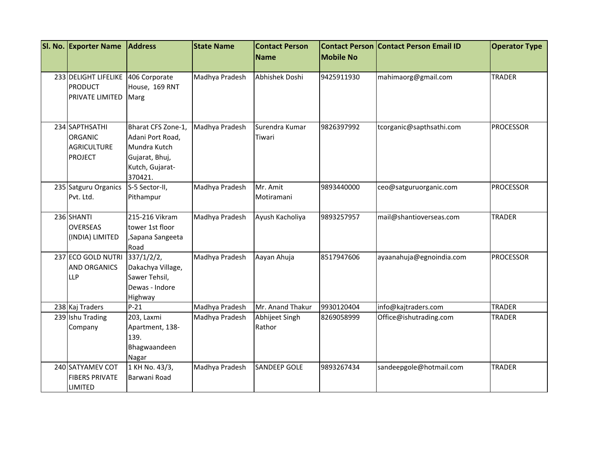| SI. No. Exporter Name                                                    | <b>Address</b>                                                                                         | <b>State Name</b> | <b>Contact Person</b><br><b>Name</b> | <b>Mobile No</b> | <b>Contact Person Contact Person Email ID</b> | <b>Operator Type</b> |
|--------------------------------------------------------------------------|--------------------------------------------------------------------------------------------------------|-------------------|--------------------------------------|------------------|-----------------------------------------------|----------------------|
| 233 DELIGHT LIFELIKE<br><b>PRODUCT</b><br>PRIVATE LIMITED                | 406 Corporate<br>House, 169 RNT<br>Marg                                                                | Madhya Pradesh    | Abhishek Doshi                       | 9425911930       | mahimaorg@gmail.com                           | <b>TRADER</b>        |
| 234 SAPTHSATHI<br><b>ORGANIC</b><br><b>AGRICULTURE</b><br><b>PROJECT</b> | Bharat CFS Zone-1,<br>Adani Port Road,<br>Mundra Kutch<br>Gujarat, Bhuj,<br>Kutch, Gujarat-<br>370421. | Madhya Pradesh    | Surendra Kumar<br>Tiwari             | 9826397992       | tcorganic@sapthsathi.com                      | <b>PROCESSOR</b>     |
| 235 Satguru Organics<br>Pvt. Ltd.                                        | S-5 Sector-II,<br>Pithampur                                                                            | Madhya Pradesh    | Mr. Amit<br>Motiramani               | 9893440000       | ceo@satguruorganic.com                        | <b>PROCESSOR</b>     |
| 236 SHANTI<br><b>OVERSEAS</b><br>(INDIA) LIMITED                         | 215-216 Vikram<br>tower 1st floor<br>,Sapana Sangeeta<br>Road                                          | Madhya Pradesh    | Ayush Kacholiya                      | 9893257957       | mail@shantioverseas.com                       | <b>TRADER</b>        |
| 237 ECO GOLD NUTRI<br><b>AND ORGANICS</b><br>LLP                         | 337/1/2/2,<br>Dakachya Village,<br>Sawer Tehsil,<br>Dewas - Indore<br>Highway                          | Madhya Pradesh    | Aayan Ahuja                          | 8517947606       | ayaanahuja@egnoindia.com                      | <b>PROCESSOR</b>     |
| 238 Kaj Traders                                                          | $P-21$                                                                                                 | Madhya Pradesh    | Mr. Anand Thakur                     | 9930120404       | info@kajtraders.com                           | <b>TRADER</b>        |
| 239 Ishu Trading<br>Company                                              | 203, Laxmi<br>Apartment, 138-<br>139.<br>Bhagwaandeen<br>Nagar                                         | Madhya Pradesh    | Abhijeet Singh<br>Rathor             | 8269058999       | Office@ishutrading.com                        | <b>TRADER</b>        |
| 240 SATYAMEV COT<br><b>FIBERS PRIVATE</b><br>LIMITED                     | 1 KH No. 43/3,<br>Barwani Road                                                                         | Madhya Pradesh    | <b>SANDEEP GOLE</b>                  | 9893267434       | sandeepgole@hotmail.com                       | <b>TRADER</b>        |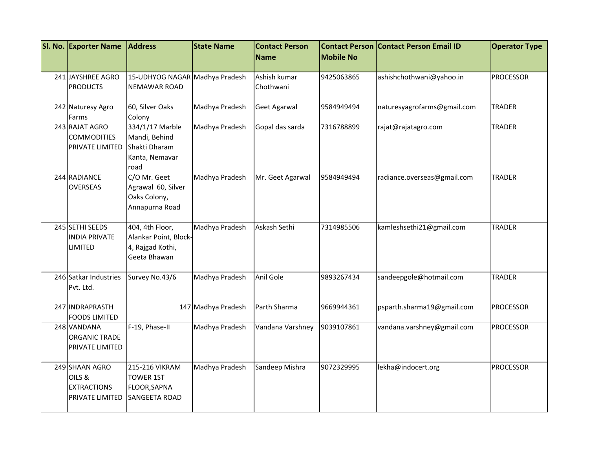| SI. No. Exporter Name                                             | <b>Address</b>                                                               | <b>State Name</b>  | <b>Contact Person</b><br><b>Name</b> | <b>Mobile No</b> | <b>Contact Person Contact Person Email ID</b> | <b>Operator Type</b> |
|-------------------------------------------------------------------|------------------------------------------------------------------------------|--------------------|--------------------------------------|------------------|-----------------------------------------------|----------------------|
| 241 JAYSHREE AGRO<br><b>PRODUCTS</b>                              | 15-UDHYOG NAGAR Madhya Pradesh<br>NEMAWAR ROAD                               |                    | Ashish kumar<br>Chothwani            | 9425063865       | ashishchothwani@yahoo.in                      | <b>PROCESSOR</b>     |
| 242 Naturesy Agro<br>Farms                                        | 60, Silver Oaks<br>Colony                                                    | Madhya Pradesh     | Geet Agarwal                         | 9584949494       | naturesyagrofarms@gmail.com                   | <b>TRADER</b>        |
| 243 RAJAT AGRO<br><b>COMMODITIES</b><br>PRIVATE LIMITED           | 334/1/17 Marble<br>Mandi, Behind<br>Shakti Dharam<br>Kanta, Nemavar<br>road  | Madhya Pradesh     | Gopal das sarda                      | 7316788899       | rajat@rajatagro.com                           | <b>TRADER</b>        |
| 244 RADIANCE<br><b>OVERSEAS</b>                                   | C/O Mr. Geet<br>Agrawal 60, Silver<br>Oaks Colony,<br>Annapurna Road         | Madhya Pradesh     | Mr. Geet Agarwal                     | 9584949494       | radiance.overseas@gmail.com                   | <b>TRADER</b>        |
| 245 SETHI SEEDS<br><b>INDIA PRIVATE</b><br><b>LIMITED</b>         | 404, 4th Floor,<br>Alankar Point, Block-<br>4, Rajgad Kothi,<br>Geeta Bhawan | Madhya Pradesh     | Askash Sethi                         | 7314985506       | kamleshsethi21@gmail.com                      | <b>TRADER</b>        |
| 246 Satkar Industries<br>Pvt. Ltd.                                | Survey No.43/6                                                               | Madhya Pradesh     | Anil Gole                            | 9893267434       | sandeepgole@hotmail.com                       | <b>TRADER</b>        |
| 247 INDRAPRASTH<br><b>FOODS LIMITED</b>                           |                                                                              | 147 Madhya Pradesh | Parth Sharma                         | 9669944361       | psparth.sharma19@gmail.com                    | <b>PROCESSOR</b>     |
| 248 VANDANA<br><b>ORGANIC TRADE</b><br>PRIVATE LIMITED            | F-19, Phase-II                                                               | Madhya Pradesh     | Vandana Varshney                     | 9039107861       | vandana.varshney@gmail.com                    | <b>PROCESSOR</b>     |
| 249 SHAAN AGRO<br>OILS &<br><b>EXTRACTIONS</b><br>PRIVATE LIMITED | 215-216 VIKRAM<br><b>TOWER 1ST</b><br>FLOOR, SAPNA<br><b>SANGEETA ROAD</b>   | Madhya Pradesh     | Sandeep Mishra                       | 9072329995       | lekha@indocert.org                            | <b>PROCESSOR</b>     |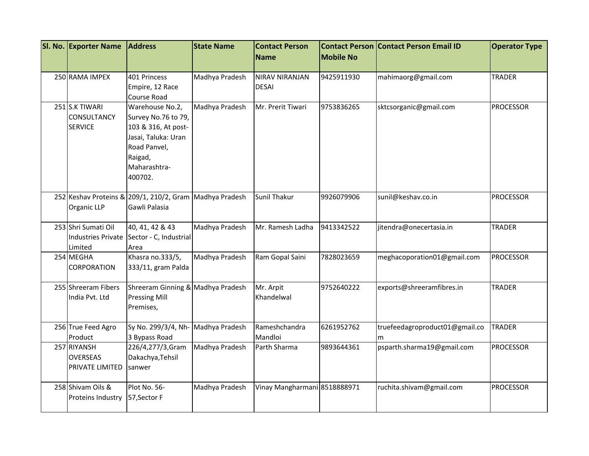| SI. No. Exporter Name                                       | <b>Address</b>                                                                                                                             | <b>State Name</b> | <b>Contact Person</b><br><b>Name</b>  | <b>Mobile No</b> | <b>Contact Person Contact Person Email ID</b> | <b>Operator Type</b> |
|-------------------------------------------------------------|--------------------------------------------------------------------------------------------------------------------------------------------|-------------------|---------------------------------------|------------------|-----------------------------------------------|----------------------|
| 250 RAMA IMPEX                                              | 401 Princess<br>Empire, 12 Race<br>Course Road                                                                                             | Madhya Pradesh    | <b>NIRAV NIRANJAN</b><br><b>DESAI</b> | 9425911930       | mahimaorg@gmail.com                           | <b>TRADER</b>        |
| 251 S.K TIWARI<br><b>CONSULTANCY</b><br><b>SERVICE</b>      | Warehouse No.2,<br>Survey No.76 to 79,<br>103 & 316, At post-<br>Jasai, Taluka: Uran<br>Road Panvel,<br>Raigad,<br>Maharashtra-<br>400702. | Madhya Pradesh    | Mr. Prerit Tiwari                     | 9753836265       | sktcsorganic@gmail.com                        | <b>PROCESSOR</b>     |
| Organic LLP                                                 | 252 Keshav Proteins & 209/1, 210/2, Gram Madhya Pradesh<br>Gawli Palasia                                                                   |                   | Sunil Thakur                          | 9926079906       | sunil@keshav.co.in                            | <b>PROCESSOR</b>     |
| 253 Shri Sumati Oil<br><b>Industries Private</b><br>Limited | 40, 41, 42 & 43<br>Sector - C, Industrial<br>Area                                                                                          | Madhya Pradesh    | Mr. Ramesh Ladha                      | 9413342522       | jitendra@onecertasia.in                       | <b>TRADER</b>        |
| 254 MEGHA<br><b>CORPORATION</b>                             | Khasra no.333/5,<br>333/11, gram Palda                                                                                                     | Madhya Pradesh    | Ram Gopal Saini                       | 7828023659       | meghacoporation01@gmail.com                   | <b>PROCESSOR</b>     |
| 255 Shreeram Fibers<br>India Pvt. Ltd                       | Shreeram Ginning & Madhya Pradesh<br><b>Pressing Mill</b><br>Premises,                                                                     |                   | Mr. Arpit<br>Khandelwal               | 9752640222       | exports@shreeramfibres.in                     | <b>TRADER</b>        |
| 256 True Feed Agro<br>Product                               | Sy No. 299/3/4, Nh-<br>3 Bypass Road                                                                                                       | Madhya Pradesh    | Rameshchandra<br>Mandloi              | 6261952762       | truefeedagroproduct01@gmail.co<br>m           | <b>TRADER</b>        |
| 257 RIYANSH<br><b>OVERSEAS</b><br>PRIVATE LIMITED           | 226/4,277/3,Gram<br>Dakachya, Tehsil<br>sanwer                                                                                             | Madhya Pradesh    | Parth Sharma                          | 9893644361       | psparth.sharma19@gmail.com                    | <b>PROCESSOR</b>     |
| 258 Shivam Oils &<br>Proteins Industry                      | Plot No. 56-<br>57, Sector F                                                                                                               | Madhya Pradesh    | Vinay Mangharmani 8518888971          |                  | ruchita.shivam@gmail.com                      | <b>PROCESSOR</b>     |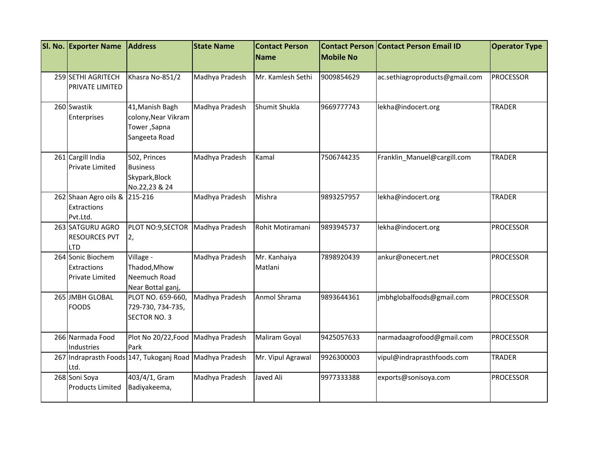| SI. No. Exporter Name                                             | <b>Address</b>                                                          | <b>State Name</b> | <b>Contact Person</b>   |                  | <b>Contact Person Contact Person Email ID</b> | <b>Operator Type</b> |
|-------------------------------------------------------------------|-------------------------------------------------------------------------|-------------------|-------------------------|------------------|-----------------------------------------------|----------------------|
|                                                                   |                                                                         |                   | <b>Name</b>             | <b>Mobile No</b> |                                               |                      |
| 259 SETHI AGRITECH<br>PRIVATE LIMITED                             | Khasra No-851/2                                                         | Madhya Pradesh    | Mr. Kamlesh Sethi       | 9009854629       | ac.sethiagroproducts@gmail.com                | <b>PROCESSOR</b>     |
| 260 Swastik<br>Enterprises                                        | 41, Manish Bagh<br>colony, Near Vikram<br>Tower, Sapna<br>Sangeeta Road | Madhya Pradesh    | Shumit Shukla           | 9669777743       | lekha@indocert.org                            | <b>TRADER</b>        |
| 261 Cargill India<br><b>Private Limited</b>                       | 502, Princes<br><b>Business</b><br>Skypark, Block<br>No.22,23 & 24      | Madhya Pradesh    | Kamal                   | 7506744235       | Franklin_Manuel@cargill.com                   | <b>TRADER</b>        |
| 262 Shaan Agro oils & 215-216<br><b>Extractions</b><br>Pvt.Ltd.   |                                                                         | Madhya Pradesh    | Mishra                  | 9893257957       | lekha@indocert.org                            | <b>TRADER</b>        |
| 263 SATGURU AGRO<br><b>RESOURCES PVT</b><br><b>LTD</b>            | PLOT NO:9, SECTOR<br>2,                                                 | Madhya Pradesh    | Rohit Motiramani        | 9893945737       | lekha@indocert.org                            | <b>PROCESSOR</b>     |
| 264 Sonic Biochem<br><b>Extractions</b><br><b>Private Limited</b> | Village -<br>Thadod, Mhow<br>Neemuch Road<br>Near Bottal ganj,          | Madhya Pradesh    | Mr. Kanhaiya<br>Matlani | 7898920439       | ankur@onecert.net                             | <b>PROCESSOR</b>     |
| 265 JMBH GLOBAL<br><b>FOODS</b>                                   | PLOT NO. 659-660,<br>729-730, 734-735,<br><b>SECTOR NO. 3</b>           | Madhya Pradesh    | Anmol Shrama            | 9893644361       | jmbhglobalfoods@gmail.com                     | <b>PROCESSOR</b>     |
| 266 Narmada Food<br>Industries                                    | Plot No 20/22, Food<br>Park                                             | Madhya Pradesh    | Maliram Goyal           | 9425057633       | narmadaagrofood@gmail.com                     | <b>PROCESSOR</b>     |
| Ltd.                                                              | 267 Indraprasth Foods 147, Tukoganj Road                                | Madhya Pradesh    | Mr. Vipul Agrawal       | 9926300003       | vipul@indraprasthfoods.com                    | <b>TRADER</b>        |
| 268 Soni Soya<br><b>Products Limited</b>                          | 403/4/1, Gram<br>Badiyakeema,                                           | Madhya Pradesh    | Javed Ali               | 9977333388       | exports@sonisoya.com                          | <b>PROCESSOR</b>     |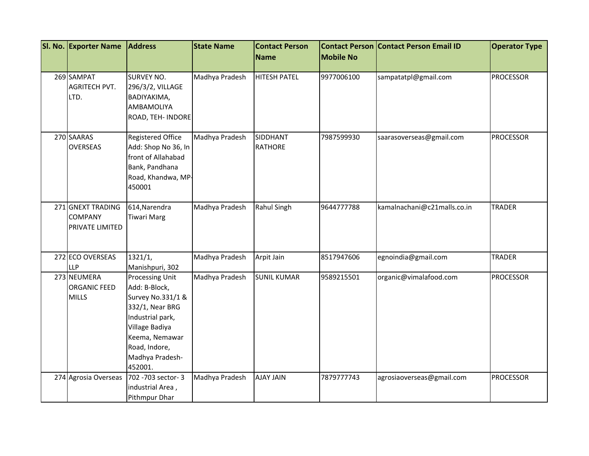| SI. No. Exporter Name                                  | <b>Address</b>                                                                                                                                                                         | <b>State Name</b> | <b>Contact Person</b>      |                  | <b>Contact Person Contact Person Email ID</b> | <b>Operator Type</b> |
|--------------------------------------------------------|----------------------------------------------------------------------------------------------------------------------------------------------------------------------------------------|-------------------|----------------------------|------------------|-----------------------------------------------|----------------------|
|                                                        |                                                                                                                                                                                        |                   | <b>Name</b>                | <b>Mobile No</b> |                                               |                      |
| 269 SAMPAT<br><b>AGRITECH PVT.</b><br>LTD.             | <b>SURVEY NO.</b><br>296/3/2, VILLAGE<br>BADIYAKIMA,<br>AMBAMOLIYA<br>ROAD, TEH- INDORE                                                                                                | Madhya Pradesh    | <b>HITESH PATEL</b>        | 9977006100       | sampatatpl@gmail.com                          | <b>PROCESSOR</b>     |
| 270 SAARAS<br><b>OVERSEAS</b>                          | <b>Registered Office</b><br>Add: Shop No 36, In<br>front of Allahabad<br>Bank, Pandhana<br>Road, Khandwa, MP-<br>450001                                                                | Madhya Pradesh    | SIDDHANT<br><b>RATHORE</b> | 7987599930       | saarasoverseas@gmail.com                      | <b>PROCESSOR</b>     |
| 271 GNEXT TRADING<br><b>COMPANY</b><br>PRIVATE LIMITED | 614, Narendra<br><b>Tiwari Marg</b>                                                                                                                                                    | Madhya Pradesh    | Rahul Singh                | 9644777788       | kamalnachani@c21malls.co.in                   | <b>TRADER</b>        |
| 272 ECO OVERSEAS<br><b>LLP</b>                         | 1321/1,<br>Manishpuri, 302                                                                                                                                                             | Madhya Pradesh    | Arpit Jain                 | 8517947606       | egnoindia@gmail.com                           | <b>TRADER</b>        |
| 273 NEUMERA<br><b>ORGANIC FEED</b><br><b>MILLS</b>     | <b>Processing Unit</b><br>Add: B-Block,<br>Survey No.331/1 &<br>332/1, Near BRG<br>Industrial park,<br>Village Badiya<br>Keema, Nemawar<br>Road, Indore,<br>Madhya Pradesh-<br>452001. | Madhya Pradesh    | <b>SUNIL KUMAR</b>         | 9589215501       | organic@vimalafood.com                        | <b>PROCESSOR</b>     |
| 274 Agrosia Overseas                                   | 702 - 703 sector - 3<br>industrial Area,<br>Pithmpur Dhar                                                                                                                              | Madhya Pradesh    | <b>AJAY JAIN</b>           | 7879777743       | agrosiaoverseas@gmail.com                     | <b>PROCESSOR</b>     |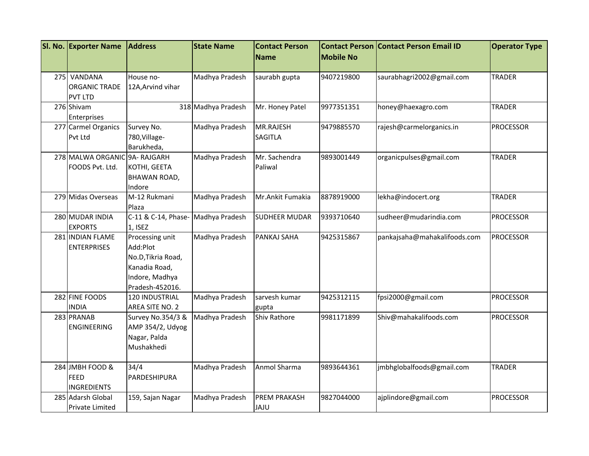| <b>Mobile No</b><br><b>Name</b><br>275<br>VANDANA<br>Madhya Pradesh<br>saurabhagri2002@gmail.com<br><b>TRADER</b><br>House no-<br>saurabh gupta<br>9407219800<br><b>ORGANIC TRADE</b><br>12A, Arvind vihar<br><b>PVT LTD</b><br>276 Shivam<br>318 Madhya Pradesh<br>Mr. Honey Patel<br>9977351351<br><b>TRADER</b><br>honey@haexagro.com<br>Enterprises<br>277 Carmel Organics<br>Madhya Pradesh<br>MR.RAJESH<br>Survey No.<br>9479885570<br>rajesh@carmelorganics.in<br><b>PROCESSOR</b><br><b>SAGITLA</b><br>Pvt Ltd<br>780, Village-<br>Barukheda,<br>278 MALWA ORGANIC 9A- RAJGARH<br>Madhya Pradesh<br>organicpulses@gmail.com<br>Mr. Sachendra<br>9893001449<br><b>TRADER</b><br>FOODS Pvt. Ltd.<br>Paliwal<br>KOTHI, GEETA<br>BHAWAN ROAD,<br>Indore<br>M-12 Rukmani<br>279 Midas Overseas<br>Madhya Pradesh<br>Mr.Ankit Fumakia<br>8878919000<br><b>TRADER</b><br>lekha@indocert.org<br>Plaza<br>280 MUDAR INDIA<br>C-11 & C-14, Phase-<br>Madhya Pradesh<br>sudheer@mudarindia.com<br><b>PROCESSOR</b><br><b>SUDHEER MUDAR</b><br>9393710640<br><b>EXPORTS</b><br>1, ISEZ<br>281 INDIAN FLAME<br>Processing unit<br>Madhya Pradesh<br>PANKAJ SAHA<br>9425315867<br>pankajsaha@mahakalifoods.com<br><b>PROCESSOR</b><br>Add:Plot<br><b>ENTERPRISES</b><br>No.D, Tikria Road,<br>Kanadia Road,<br>Indore, Madhya<br>Pradesh-452016.<br>282 FINE FOODS<br>120 INDUSTRIAL<br>Madhya Pradesh<br>sarvesh kumar<br>9425312115<br>fpsi2000@gmail.com<br><b>PROCESSOR</b><br><b>INDIA</b><br>AREA SITE NO. 2<br>gupta<br>283 PRANAB<br>9981171899<br><b>PROCESSOR</b><br>Survey No.354/3 &<br>Madhya Pradesh<br><b>Shiv Rathore</b><br>Shiv@mahakalifoods.com | <b>SI. No. Exporter Name</b> | <b>Address</b> | <b>State Name</b> | <b>Contact Person</b> | <b>Contact Person</b> | <b>Contact Person Email ID</b> | <b>Operator Type</b> |
|---------------------------------------------------------------------------------------------------------------------------------------------------------------------------------------------------------------------------------------------------------------------------------------------------------------------------------------------------------------------------------------------------------------------------------------------------------------------------------------------------------------------------------------------------------------------------------------------------------------------------------------------------------------------------------------------------------------------------------------------------------------------------------------------------------------------------------------------------------------------------------------------------------------------------------------------------------------------------------------------------------------------------------------------------------------------------------------------------------------------------------------------------------------------------------------------------------------------------------------------------------------------------------------------------------------------------------------------------------------------------------------------------------------------------------------------------------------------------------------------------------------------------------------------------------------------------------------------------------------------------------------------------------------|------------------------------|----------------|-------------------|-----------------------|-----------------------|--------------------------------|----------------------|
|                                                                                                                                                                                                                                                                                                                                                                                                                                                                                                                                                                                                                                                                                                                                                                                                                                                                                                                                                                                                                                                                                                                                                                                                                                                                                                                                                                                                                                                                                                                                                                                                                                                               |                              |                |                   |                       |                       |                                |                      |
|                                                                                                                                                                                                                                                                                                                                                                                                                                                                                                                                                                                                                                                                                                                                                                                                                                                                                                                                                                                                                                                                                                                                                                                                                                                                                                                                                                                                                                                                                                                                                                                                                                                               |                              |                |                   |                       |                       |                                |                      |
|                                                                                                                                                                                                                                                                                                                                                                                                                                                                                                                                                                                                                                                                                                                                                                                                                                                                                                                                                                                                                                                                                                                                                                                                                                                                                                                                                                                                                                                                                                                                                                                                                                                               |                              |                |                   |                       |                       |                                |                      |
|                                                                                                                                                                                                                                                                                                                                                                                                                                                                                                                                                                                                                                                                                                                                                                                                                                                                                                                                                                                                                                                                                                                                                                                                                                                                                                                                                                                                                                                                                                                                                                                                                                                               |                              |                |                   |                       |                       |                                |                      |
|                                                                                                                                                                                                                                                                                                                                                                                                                                                                                                                                                                                                                                                                                                                                                                                                                                                                                                                                                                                                                                                                                                                                                                                                                                                                                                                                                                                                                                                                                                                                                                                                                                                               |                              |                |                   |                       |                       |                                |                      |
|                                                                                                                                                                                                                                                                                                                                                                                                                                                                                                                                                                                                                                                                                                                                                                                                                                                                                                                                                                                                                                                                                                                                                                                                                                                                                                                                                                                                                                                                                                                                                                                                                                                               |                              |                |                   |                       |                       |                                |                      |
|                                                                                                                                                                                                                                                                                                                                                                                                                                                                                                                                                                                                                                                                                                                                                                                                                                                                                                                                                                                                                                                                                                                                                                                                                                                                                                                                                                                                                                                                                                                                                                                                                                                               |                              |                |                   |                       |                       |                                |                      |
|                                                                                                                                                                                                                                                                                                                                                                                                                                                                                                                                                                                                                                                                                                                                                                                                                                                                                                                                                                                                                                                                                                                                                                                                                                                                                                                                                                                                                                                                                                                                                                                                                                                               |                              |                |                   |                       |                       |                                |                      |
|                                                                                                                                                                                                                                                                                                                                                                                                                                                                                                                                                                                                                                                                                                                                                                                                                                                                                                                                                                                                                                                                                                                                                                                                                                                                                                                                                                                                                                                                                                                                                                                                                                                               |                              |                |                   |                       |                       |                                |                      |
|                                                                                                                                                                                                                                                                                                                                                                                                                                                                                                                                                                                                                                                                                                                                                                                                                                                                                                                                                                                                                                                                                                                                                                                                                                                                                                                                                                                                                                                                                                                                                                                                                                                               |                              |                |                   |                       |                       |                                |                      |
|                                                                                                                                                                                                                                                                                                                                                                                                                                                                                                                                                                                                                                                                                                                                                                                                                                                                                                                                                                                                                                                                                                                                                                                                                                                                                                                                                                                                                                                                                                                                                                                                                                                               |                              |                |                   |                       |                       |                                |                      |
|                                                                                                                                                                                                                                                                                                                                                                                                                                                                                                                                                                                                                                                                                                                                                                                                                                                                                                                                                                                                                                                                                                                                                                                                                                                                                                                                                                                                                                                                                                                                                                                                                                                               |                              |                |                   |                       |                       |                                |                      |
|                                                                                                                                                                                                                                                                                                                                                                                                                                                                                                                                                                                                                                                                                                                                                                                                                                                                                                                                                                                                                                                                                                                                                                                                                                                                                                                                                                                                                                                                                                                                                                                                                                                               |                              |                |                   |                       |                       |                                |                      |
|                                                                                                                                                                                                                                                                                                                                                                                                                                                                                                                                                                                                                                                                                                                                                                                                                                                                                                                                                                                                                                                                                                                                                                                                                                                                                                                                                                                                                                                                                                                                                                                                                                                               |                              |                |                   |                       |                       |                                |                      |
|                                                                                                                                                                                                                                                                                                                                                                                                                                                                                                                                                                                                                                                                                                                                                                                                                                                                                                                                                                                                                                                                                                                                                                                                                                                                                                                                                                                                                                                                                                                                                                                                                                                               |                              |                |                   |                       |                       |                                |                      |
|                                                                                                                                                                                                                                                                                                                                                                                                                                                                                                                                                                                                                                                                                                                                                                                                                                                                                                                                                                                                                                                                                                                                                                                                                                                                                                                                                                                                                                                                                                                                                                                                                                                               |                              |                |                   |                       |                       |                                |                      |
|                                                                                                                                                                                                                                                                                                                                                                                                                                                                                                                                                                                                                                                                                                                                                                                                                                                                                                                                                                                                                                                                                                                                                                                                                                                                                                                                                                                                                                                                                                                                                                                                                                                               |                              |                |                   |                       |                       |                                |                      |
|                                                                                                                                                                                                                                                                                                                                                                                                                                                                                                                                                                                                                                                                                                                                                                                                                                                                                                                                                                                                                                                                                                                                                                                                                                                                                                                                                                                                                                                                                                                                                                                                                                                               |                              |                |                   |                       |                       |                                |                      |
|                                                                                                                                                                                                                                                                                                                                                                                                                                                                                                                                                                                                                                                                                                                                                                                                                                                                                                                                                                                                                                                                                                                                                                                                                                                                                                                                                                                                                                                                                                                                                                                                                                                               |                              |                |                   |                       |                       |                                |                      |
|                                                                                                                                                                                                                                                                                                                                                                                                                                                                                                                                                                                                                                                                                                                                                                                                                                                                                                                                                                                                                                                                                                                                                                                                                                                                                                                                                                                                                                                                                                                                                                                                                                                               |                              |                |                   |                       |                       |                                |                      |
|                                                                                                                                                                                                                                                                                                                                                                                                                                                                                                                                                                                                                                                                                                                                                                                                                                                                                                                                                                                                                                                                                                                                                                                                                                                                                                                                                                                                                                                                                                                                                                                                                                                               |                              |                |                   |                       |                       |                                |                      |
|                                                                                                                                                                                                                                                                                                                                                                                                                                                                                                                                                                                                                                                                                                                                                                                                                                                                                                                                                                                                                                                                                                                                                                                                                                                                                                                                                                                                                                                                                                                                                                                                                                                               |                              |                |                   |                       |                       |                                |                      |
|                                                                                                                                                                                                                                                                                                                                                                                                                                                                                                                                                                                                                                                                                                                                                                                                                                                                                                                                                                                                                                                                                                                                                                                                                                                                                                                                                                                                                                                                                                                                                                                                                                                               |                              |                |                   |                       |                       |                                |                      |
|                                                                                                                                                                                                                                                                                                                                                                                                                                                                                                                                                                                                                                                                                                                                                                                                                                                                                                                                                                                                                                                                                                                                                                                                                                                                                                                                                                                                                                                                                                                                                                                                                                                               |                              |                |                   |                       |                       |                                |                      |
|                                                                                                                                                                                                                                                                                                                                                                                                                                                                                                                                                                                                                                                                                                                                                                                                                                                                                                                                                                                                                                                                                                                                                                                                                                                                                                                                                                                                                                                                                                                                                                                                                                                               |                              |                |                   |                       |                       |                                |                      |
|                                                                                                                                                                                                                                                                                                                                                                                                                                                                                                                                                                                                                                                                                                                                                                                                                                                                                                                                                                                                                                                                                                                                                                                                                                                                                                                                                                                                                                                                                                                                                                                                                                                               |                              |                |                   |                       |                       |                                |                      |
| <b>ENGINEERING</b><br>AMP 354/2, Udyog                                                                                                                                                                                                                                                                                                                                                                                                                                                                                                                                                                                                                                                                                                                                                                                                                                                                                                                                                                                                                                                                                                                                                                                                                                                                                                                                                                                                                                                                                                                                                                                                                        |                              |                |                   |                       |                       |                                |                      |
| Nagar, Palda                                                                                                                                                                                                                                                                                                                                                                                                                                                                                                                                                                                                                                                                                                                                                                                                                                                                                                                                                                                                                                                                                                                                                                                                                                                                                                                                                                                                                                                                                                                                                                                                                                                  |                              |                |                   |                       |                       |                                |                      |
| Mushakhedi                                                                                                                                                                                                                                                                                                                                                                                                                                                                                                                                                                                                                                                                                                                                                                                                                                                                                                                                                                                                                                                                                                                                                                                                                                                                                                                                                                                                                                                                                                                                                                                                                                                    |                              |                |                   |                       |                       |                                |                      |
|                                                                                                                                                                                                                                                                                                                                                                                                                                                                                                                                                                                                                                                                                                                                                                                                                                                                                                                                                                                                                                                                                                                                                                                                                                                                                                                                                                                                                                                                                                                                                                                                                                                               |                              |                |                   |                       |                       |                                |                      |
| 284 JMBH FOOD &<br>34/4<br>Madhya Pradesh<br>Anmol Sharma<br>9893644361<br>jmbhglobalfoods@gmail.com<br><b>TRADER</b>                                                                                                                                                                                                                                                                                                                                                                                                                                                                                                                                                                                                                                                                                                                                                                                                                                                                                                                                                                                                                                                                                                                                                                                                                                                                                                                                                                                                                                                                                                                                         |                              |                |                   |                       |                       |                                |                      |
| FEED<br>PARDESHIPURA                                                                                                                                                                                                                                                                                                                                                                                                                                                                                                                                                                                                                                                                                                                                                                                                                                                                                                                                                                                                                                                                                                                                                                                                                                                                                                                                                                                                                                                                                                                                                                                                                                          |                              |                |                   |                       |                       |                                |                      |
| <b>INGREDIENTS</b>                                                                                                                                                                                                                                                                                                                                                                                                                                                                                                                                                                                                                                                                                                                                                                                                                                                                                                                                                                                                                                                                                                                                                                                                                                                                                                                                                                                                                                                                                                                                                                                                                                            |                              |                |                   |                       |                       |                                |                      |
| 285 Adarsh Global<br><b>PREM PRAKASH</b><br>9827044000<br>ajplindore@gmail.com<br><b>PROCESSOR</b><br>159, Sajan Nagar<br>Madhya Pradesh                                                                                                                                                                                                                                                                                                                                                                                                                                                                                                                                                                                                                                                                                                                                                                                                                                                                                                                                                                                                                                                                                                                                                                                                                                                                                                                                                                                                                                                                                                                      |                              |                |                   |                       |                       |                                |                      |
| <b>JAJU</b><br>Private Limited                                                                                                                                                                                                                                                                                                                                                                                                                                                                                                                                                                                                                                                                                                                                                                                                                                                                                                                                                                                                                                                                                                                                                                                                                                                                                                                                                                                                                                                                                                                                                                                                                                |                              |                |                   |                       |                       |                                |                      |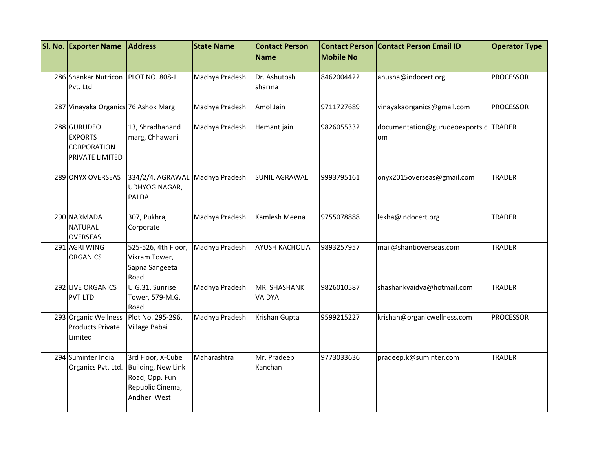| SI. No. Exporter Name                                           | <b>Address</b>                                                                                | <b>State Name</b> | <b>Contact Person</b>         | <b>Contact Person</b> | <b>Contact Person Email ID</b>              | <b>Operator Type</b> |
|-----------------------------------------------------------------|-----------------------------------------------------------------------------------------------|-------------------|-------------------------------|-----------------------|---------------------------------------------|----------------------|
|                                                                 |                                                                                               |                   | <b>Name</b>                   | <b>Mobile No</b>      |                                             |                      |
| 286 Shankar Nutricon<br>Pvt. Ltd                                | <b>PLOT NO. 808-J</b>                                                                         | Madhya Pradesh    | Dr. Ashutosh<br>sharma        | 8462004422            | anusha@indocert.org                         | <b>PROCESSOR</b>     |
| 287 Vinayaka Organics 76 Ashok Marg                             |                                                                                               | Madhya Pradesh    | Amol Jain                     | 9711727689            | vinayakaorganics@gmail.com                  | <b>PROCESSOR</b>     |
| 288 GURUDEO<br><b>EXPORTS</b><br>CORPORATION<br>PRIVATE LIMITED | 13, Shradhanand<br>marg, Chhawani                                                             | Madhya Pradesh    | Hemant jain                   | 9826055332            | documentation@gurudeoexports.c TRADER<br>om |                      |
| 289 ONYX OVERSEAS                                               | 334/2/4, AGRAWAL<br>UDHYOG NAGAR,<br><b>PALDA</b>                                             | Madhya Pradesh    | <b>SUNIL AGRAWAL</b>          | 9993795161            | onyx2015overseas@gmail.com                  | <b>TRADER</b>        |
| 290 NARMADA<br><b>NATURAL</b><br><b>OVERSEAS</b>                | 307, Pukhraj<br>Corporate                                                                     | Madhya Pradesh    | Kamlesh Meena                 | 9755078888            | lekha@indocert.org                          | <b>TRADER</b>        |
| 291 AGRI WING<br><b>ORGANICS</b>                                | 525-526, 4th Floor,<br>Vikram Tower,<br>Sapna Sangeeta<br>Road                                | Madhya Pradesh    | <b>AYUSH KACHOLIA</b>         | 9893257957            | mail@shantioverseas.com                     | <b>TRADER</b>        |
| 292 LIVE ORGANICS<br><b>PVT LTD</b>                             | U.G.31, Sunrise<br>Tower, 579-M.G.<br>Road                                                    | Madhya Pradesh    | <b>MR. SHASHANK</b><br>VAIDYA | 9826010587            | shashankvaidya@hotmail.com                  | <b>TRADER</b>        |
| 293 Organic Wellness<br><b>Products Private</b><br>Limited      | Plot No. 295-296,<br>Village Babai                                                            | Madhya Pradesh    | Krishan Gupta                 | 9599215227            | krishan@organicwellness.com                 | <b>PROCESSOR</b>     |
| 294 Suminter India<br>Organics Pvt. Ltd.                        | 3rd Floor, X-Cube<br>Building, New Link<br>Road, Opp. Fun<br>Republic Cinema,<br>Andheri West | Maharashtra       | Mr. Pradeep<br>Kanchan        | 9773033636            | pradeep.k@suminter.com                      | <b>TRADER</b>        |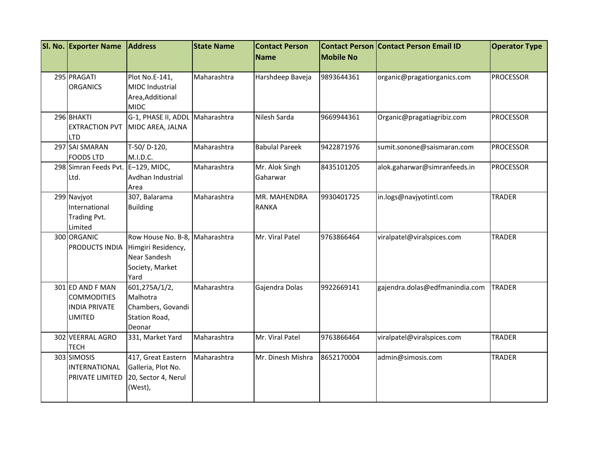| SI. No. Exporter Name                                                            | <b>Address</b>                                                                                  | <b>State Name</b> | <b>Contact Person</b>        | <b>Mobile No</b> | <b>Contact Person Contact Person Email ID</b> | <b>Operator Type</b> |
|----------------------------------------------------------------------------------|-------------------------------------------------------------------------------------------------|-------------------|------------------------------|------------------|-----------------------------------------------|----------------------|
|                                                                                  |                                                                                                 |                   | Name                         |                  |                                               |                      |
| 295 PRAGATI<br><b>ORGANICS</b>                                                   | Plot No.E-141,<br><b>MIDC Industrial</b><br>Area, Additional<br><b>MIDC</b>                     | Maharashtra       | Harshdeep Baveja             | 9893644361       | organic@pragatiorganics.com                   | <b>PROCESSOR</b>     |
| 296 BHAKTI<br><b>EXTRACTION PVT</b><br><b>LTD</b>                                | G-1, PHASE II, ADDL Maharashtra<br>MIDC AREA, JALNA                                             |                   | Nilesh Sarda                 | 9669944361       | Organic@pragatiagribiz.com                    | <b>PROCESSOR</b>     |
| 297 SAI SMARAN<br><b>FOODS LTD</b>                                               | T-50/D-120,<br>M.I.D.C.                                                                         | Maharashtra       | <b>Babulal Pareek</b>        | 9422871976       | sumit.sonone@saismaran.com                    | <b>PROCESSOR</b>     |
| 298 Simran Feeds Pvt.<br>Ltd.                                                    | $E-129$ , MIDC,<br>Avdhan Industrial<br>Area                                                    | Maharashtra       | Mr. Alok Singh<br>Gaharwar   | 8435101205       | alok.gaharwar@simranfeeds.in                  | <b>PROCESSOR</b>     |
| 299 Navjyot<br>International<br>Trading Pvt.<br>Limited                          | 307, Balarama<br><b>Building</b>                                                                | Maharashtra       | MR. MAHENDRA<br><b>RANKA</b> | 9930401725       | in.logs@navjyotintl.com                       | <b>TRADER</b>        |
| 300 ORGANIC<br>PRODUCTS INDIA                                                    | Row House No. B-8, Maharashtra<br>Himgiri Residency,<br>Near Sandesh<br>Society, Market<br>Yard |                   | Mr. Viral Patel              | 9763866464       | viralpatel@viralspices.com                    | <b>TRADER</b>        |
| 301 ED AND F MAN<br><b>COMMODITIES</b><br><b>INDIA PRIVATE</b><br><b>LIMITED</b> | 601,275A/1/2,<br>Malhotra<br>Chambers, Govandi<br>Station Road,<br>Deonar                       | Maharashtra       | Gajendra Dolas               | 9922669141       | gajendra.dolas@edfmanindia.com                | <b>TRADER</b>        |
| 302 VEERRAL AGRO<br><b>TECH</b>                                                  | 331, Market Yard                                                                                | Maharashtra       | Mr. Viral Patel              | 9763866464       | viralpatel@viralspices.com                    | <b>TRADER</b>        |
| 303 SIMOSIS<br>INTERNATIONAL<br><b>PRIVATE LIMITED</b>                           | 417, Great Eastern<br>Galleria, Plot No.<br>20, Sector 4, Nerul<br>(West),                      | Maharashtra       | Mr. Dinesh Mishra            | 8652170004       | admin@simosis.com                             | <b>TRADER</b>        |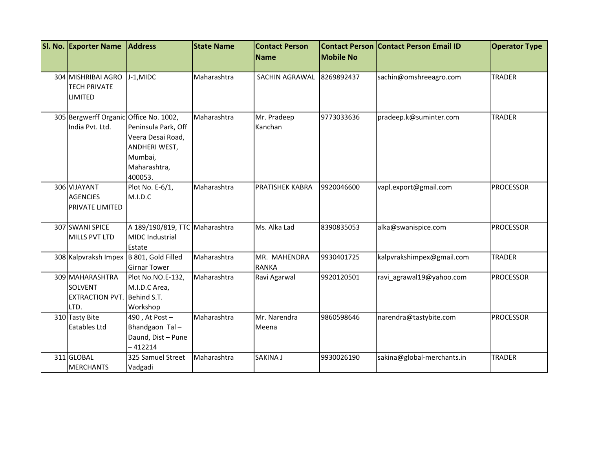| Sl. No. Exporter Name                   | <b>Address</b>                  | <b>State Name</b> | <b>Contact Person</b><br><b>Name</b> | <b>Mobile No</b> | <b>Contact Person Contact Person Email ID</b> | <b>Operator Type</b> |
|-----------------------------------------|---------------------------------|-------------------|--------------------------------------|------------------|-----------------------------------------------|----------------------|
|                                         |                                 |                   |                                      |                  |                                               |                      |
| 304 MISHRIBAI AGRO                      | J-1,MIDC                        | Maharashtra       | SACHIN AGRAWAL                       | 8269892437       | sachin@omshreeagro.com                        | <b>TRADER</b>        |
| <b>TECH PRIVATE</b>                     |                                 |                   |                                      |                  |                                               |                      |
| <b>LIMITED</b>                          |                                 |                   |                                      |                  |                                               |                      |
| 305 Bergwerff Organic Office No. 1002,  |                                 | Maharashtra       | Mr. Pradeep                          | 9773033636       | pradeep.k@suminter.com                        | <b>TRADER</b>        |
| India Pvt. Ltd.                         | Peninsula Park, Off             |                   | Kanchan                              |                  |                                               |                      |
|                                         | Veera Desai Road,               |                   |                                      |                  |                                               |                      |
|                                         | ANDHERI WEST,                   |                   |                                      |                  |                                               |                      |
|                                         | Mumbai,                         |                   |                                      |                  |                                               |                      |
|                                         | Maharashtra,                    |                   |                                      |                  |                                               |                      |
|                                         | 400053.                         |                   |                                      |                  |                                               |                      |
| 306 VIJAYANT                            | Plot No. E-6/1,                 | Maharashtra       | PRATISHEK KABRA                      | 9920046600       | vapl.export@gmail.com                         | <b>PROCESSOR</b>     |
| <b>AGENCIES</b>                         | M.I.D.C                         |                   |                                      |                  |                                               |                      |
| <b>PRIVATE LIMITED</b>                  |                                 |                   |                                      |                  |                                               |                      |
| 307 SWANI SPICE                         | A 189/190/819, TTC Maharashtra  |                   | Ms. Alka Lad                         | 8390835053       | alka@swanispice.com                           | <b>PROCESSOR</b>     |
| <b>MILLS PVT LTD</b>                    | <b>MIDC</b> Industrial          |                   |                                      |                  |                                               |                      |
|                                         | Estate                          |                   |                                      |                  |                                               |                      |
| 308 Kalpvraksh Impex B 801, Gold Filled |                                 | Maharashtra       | MR. MAHENDRA                         | 9930401725       | kalpvrakshimpex@gmail.com                     | <b>TRADER</b>        |
|                                         | <b>Girnar Tower</b>             |                   | <b>RANKA</b>                         |                  |                                               |                      |
| 309 MAHARASHTRA                         | Plot No.NO.E-132,               | Maharashtra       | Ravi Agarwal                         | 9920120501       | ravi agrawal19@yahoo.com                      | <b>PROCESSOR</b>     |
| <b>SOLVENT</b>                          | M.I.D.C Area,                   |                   |                                      |                  |                                               |                      |
| <b>EXTRACTION PVT.</b> Behind S.T.      |                                 |                   |                                      |                  |                                               |                      |
| LTD.                                    | Workshop                        |                   |                                      |                  |                                               |                      |
| 310 Tasty Bite                          | 490, At Post-                   | Maharashtra       | Mr. Narendra                         | 9860598646       | narendra@tastybite.com                        | <b>PROCESSOR</b>     |
| Eatables Ltd                            | Bhandgaon Tal-                  |                   | Meena                                |                  |                                               |                      |
|                                         | Daund, Dist - Pune<br>$-412214$ |                   |                                      |                  |                                               |                      |
| 311 GLOBAL                              | 325 Samuel Street               | Maharashtra       | SAKINA J                             | 9930026190       | sakina@global-merchants.in                    | <b>TRADER</b>        |
| <b>MERCHANTS</b>                        | Vadgadi                         |                   |                                      |                  |                                               |                      |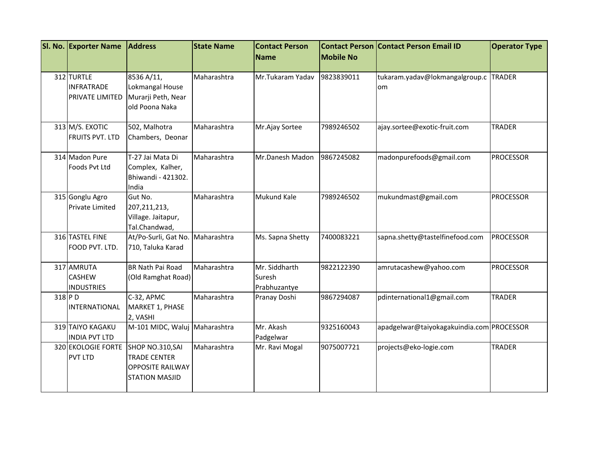|        | SI. No. Exporter Name                              | <b>Address</b>                                                                              | <b>State Name</b> | <b>Contact Person</b><br>Name           | <b>Mobile No</b> | <b>Contact Person Contact Person Email ID</b> | <b>Operator Type</b> |
|--------|----------------------------------------------------|---------------------------------------------------------------------------------------------|-------------------|-----------------------------------------|------------------|-----------------------------------------------|----------------------|
|        |                                                    |                                                                                             |                   |                                         |                  |                                               |                      |
|        | 312 TURTLE<br><b>INFRATRADE</b><br>PRIVATE LIMITED | 8536 A/11,<br>Lokmangal House<br>Murarji Peth, Near<br>old Poona Naka                       | Maharashtra       | Mr.Tukaram Yadav                        | 9823839011       | tukaram.yadav@lokmangalgroup.c TRADER<br>om   |                      |
|        | 313 M/S. EXOTIC<br><b>FRUITS PVT. LTD</b>          | 502, Malhotra<br>Chambers, Deonar                                                           | Maharashtra       | Mr.Ajay Sortee                          | 7989246502       | ajay.sortee@exotic-fruit.com                  | <b>TRADER</b>        |
|        | 314 Madon Pure<br>Foods Pvt Ltd                    | T-27 Jai Mata Di<br>Complex, Kalher,<br>Bhiwandi - 421302.<br>India                         | Maharashtra       | Mr.Danesh Madon                         | 9867245082       | madonpurefoods@gmail.com                      | <b>PROCESSOR</b>     |
|        | 315 Gonglu Agro<br><b>Private Limited</b>          | Gut No.<br>207, 211, 213,<br>Village. Jaitapur,<br>Tal.Chandwad,                            | Maharashtra       | Mukund Kale                             | 7989246502       | mukundmast@gmail.com                          | <b>PROCESSOR</b>     |
|        | 316 TASTEL FINE<br>FOOD PVT. LTD.                  | At/Po-Surli, Gat No.<br>710, Taluka Karad                                                   | Maharashtra       | Ms. Sapna Shetty                        | 7400083221       | sapna.shetty@tastelfinefood.com               | <b>PROCESSOR</b>     |
|        | 317 AMRUTA<br><b>CASHEW</b><br><b>INDUSTRIES</b>   | <b>BR Nath Pai Road</b><br>(Old Ramghat Road)                                               | Maharashtra       | Mr. Siddharth<br>Suresh<br>Prabhuzantye | 9822122390       | amrutacashew@yahoo.com                        | <b>PROCESSOR</b>     |
| 318 PD | INTERNATIONAL                                      | C-32, APMC<br>MARKET 1, PHASE<br>2, VASHI                                                   | Maharashtra       | Pranay Doshi                            | 9867294087       | pdinternational1@gmail.com                    | <b>TRADER</b>        |
|        | 319 TAIYO KAGAKU<br><b>INDIA PVT LTD</b>           | M-101 MIDC, Waluj                                                                           | Maharashtra       | Mr. Akash<br>Padgelwar                  | 9325160043       | apadgelwar@taiyokagakuindia.com PROCESSOR     |                      |
|        | 320 EKOLOGIE FORTE<br><b>PVT LTD</b>               | SHOP NO.310, SAI<br><b>TRADE CENTER</b><br><b>OPPOSITE RAILWAY</b><br><b>STATION MASJID</b> | Maharashtra       | Mr. Ravi Mogal                          | 9075007721       | projects@eko-logie.com                        | <b>TRADER</b>        |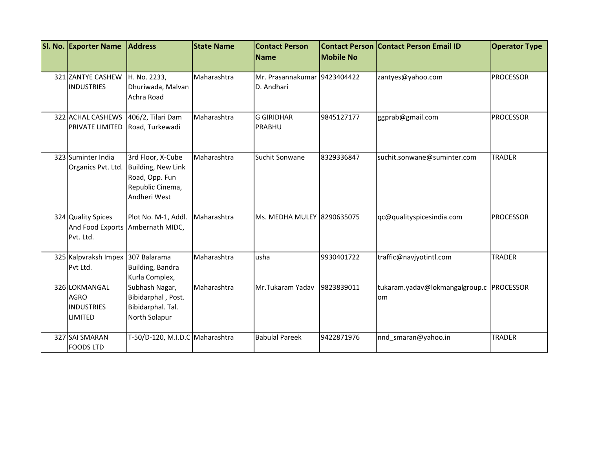| SI. No. Exporter Name                                               | <b>Address</b>                                                                                | <b>State Name</b> | <b>Contact Person</b><br><b>Name</b>       | <b>Mobile No</b> | <b>Contact Person Contact Person Email ID</b> | <b>Operator Type</b> |
|---------------------------------------------------------------------|-----------------------------------------------------------------------------------------------|-------------------|--------------------------------------------|------------------|-----------------------------------------------|----------------------|
|                                                                     |                                                                                               |                   |                                            |                  |                                               |                      |
| 321 ZANTYE CASHEW<br><b>INDUSTRIES</b>                              | H. No. 2233,<br>Dhuriwada, Malvan<br>Achra Road                                               | Maharashtra       | Mr. Prasannakumar 9423404422<br>D. Andhari |                  | zantyes@yahoo.com                             | <b>PROCESSOR</b>     |
| 322 ACHAL CASHEWS<br><b>PRIVATE LIMITED</b>                         | 406/2, Tilari Dam<br>Road, Turkewadi                                                          | Maharashtra       | <b>G GIRIDHAR</b><br>PRABHU                | 9845127177       | ggprab@gmail.com                              | <b>PROCESSOR</b>     |
| 323 Suminter India<br>Organics Pvt. Ltd.                            | 3rd Floor, X-Cube<br>Building, New Link<br>Road, Opp. Fun<br>Republic Cinema,<br>Andheri West | Maharashtra       | Suchit Sonwane                             | 8329336847       | suchit.sonwane@suminter.com                   | <b>TRADER</b>        |
| 324 Quality Spices<br>Pvt. Ltd.                                     | Plot No. M-1, Addl.<br>And Food Exports Ambernath MIDC,                                       | Maharashtra       | Ms. MEDHA MULEY 8290635075                 |                  | qc@qualityspicesindia.com                     | <b>PROCESSOR</b>     |
| 325 Kalpvraksh Impex 307 Balarama<br>Pvt Ltd.                       | Building, Bandra<br>Kurla Complex,                                                            | Maharashtra       | usha                                       | 9930401722       | traffic@navjyotintl.com                       | <b>TRADER</b>        |
| 326 LOKMANGAL<br><b>AGRO</b><br><b>INDUSTRIES</b><br><b>LIMITED</b> | Subhash Nagar,<br>Bibidarphal, Post.<br>Bibidarphal. Tal.<br>North Solapur                    | Maharashtra       | Mr.Tukaram Yadav                           | 9823839011       | tukaram.yadav@lokmangalgroup.c<br>om          | <b>PROCESSOR</b>     |
| 327 SAI SMARAN<br><b>FOODS LTD</b>                                  | T-50/D-120, M.I.D.C Maharashtra                                                               |                   | <b>Babulal Pareek</b>                      | 9422871976       | nnd smaran@yahoo.in                           | <b>TRADER</b>        |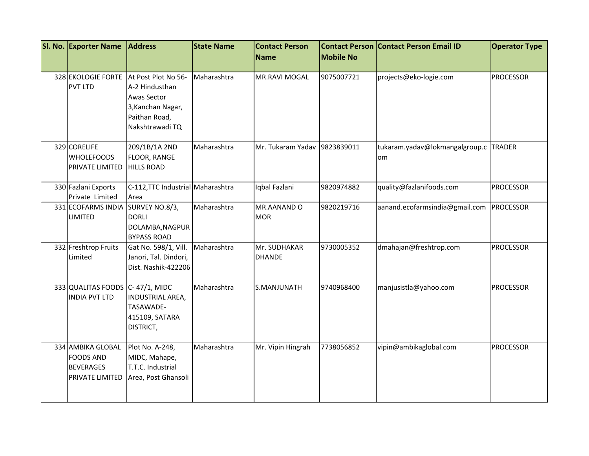| SI. No. Exporter Name                                                               | <b>Address</b>                                                                                                | <b>State Name</b> | <b>Contact Person</b>         |                  | <b>Contact Person Contact Person Email ID</b> | <b>Operator Type</b> |
|-------------------------------------------------------------------------------------|---------------------------------------------------------------------------------------------------------------|-------------------|-------------------------------|------------------|-----------------------------------------------|----------------------|
|                                                                                     |                                                                                                               |                   | Name                          | <b>Mobile No</b> |                                               |                      |
| 328 EKOLOGIE FORTE<br><b>PVT LTD</b>                                                | At Post Plot No 56-<br>A-2 Hindusthan<br>Awas Sector<br>3, Kanchan Nagar,<br>Paithan Road,<br>Nakshtrawadi TQ | Maharashtra       | <b>MR.RAVI MOGAL</b>          | 9075007721       | projects@eko-logie.com                        | <b>PROCESSOR</b>     |
| 329 CORELIFE<br><b>WHOLEFOODS</b><br>PRIVATE LIMITED                                | 209/1B/1A 2ND<br><b>FLOOR, RANGE</b><br><b>HILLS ROAD</b>                                                     | Maharashtra       | Mr. Tukaram Yadav             | 9823839011       | tukaram.yadav@lokmangalgroup.c<br>om          | <b>TRADER</b>        |
| 330 Fazlani Exports<br>Private Limited                                              | C-112, TTC Industrial Maharashtra<br>Area                                                                     |                   | Iqbal Fazlani                 | 9820974882       | quality@fazlanifoods.com                      | <b>PROCESSOR</b>     |
| 331 ECOFARMS INDIA<br><b>LIMITED</b>                                                | SURVEY NO.8/3,<br><b>DORLI</b><br>DOLAMBA, NAGPUR<br><b>BYPASS ROAD</b>                                       | Maharashtra       | MR.AANAND O<br><b>MOR</b>     | 9820219716       | aanand.ecofarmsindia@gmail.com PROCESSOR      |                      |
| 332 Freshtrop Fruits<br>Limited                                                     | Gat No. 598/1, Vill.<br>Janori, Tal. Dindori,<br>Dist. Nashik-422206                                          | Maharashtra       | Mr. SUDHAKAR<br><b>DHANDE</b> | 9730005352       | dmahajan@freshtrop.com                        | <b>PROCESSOR</b>     |
| 333 QUALITAS FOODS C-47/1, MIDC<br><b>INDIA PVT LTD</b>                             | INDUSTRIAL AREA,<br>TASAWADE-<br>415109, SATARA<br>DISTRICT,                                                  | Maharashtra       | S.MANJUNATH                   | 9740968400       | manjusistla@yahoo.com                         | <b>PROCESSOR</b>     |
| 334 AMBIKA GLOBAL<br><b>FOODS AND</b><br><b>BEVERAGES</b><br><b>PRIVATE LIMITED</b> | Plot No. A-248,<br>MIDC, Mahape,<br>T.T.C. Industrial<br>Area, Post Ghansoli                                  | Maharashtra       | Mr. Vipin Hingrah             | 7738056852       | vipin@ambikaglobal.com                        | <b>PROCESSOR</b>     |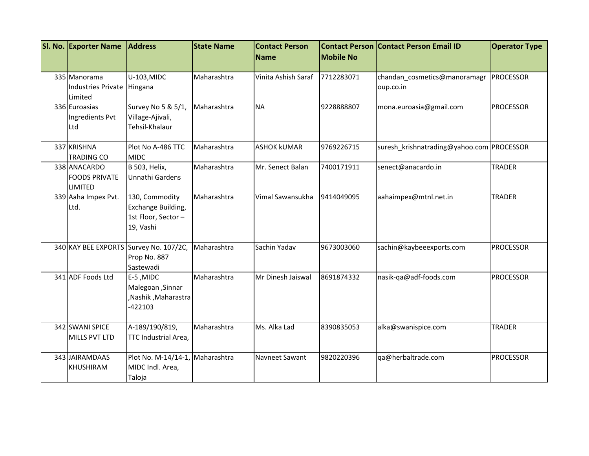| SI. No. Exporter Name                                  | <b>Address</b>                                                          | <b>State Name</b> | <b>Contact Person</b><br><b>Name</b> | <b>Mobile No</b> | <b>Contact Person Contact Person Email ID</b> | <b>Operator Type</b> |
|--------------------------------------------------------|-------------------------------------------------------------------------|-------------------|--------------------------------------|------------------|-----------------------------------------------|----------------------|
| 335 Manorama<br><b>Industries Private</b><br>Limited   | U-103, MIDC<br>Hingana                                                  | Maharashtra       | Vinita Ashish Saraf                  | 7712283071       | chandan_cosmetics@manoramagr<br>oup.co.in     | <b>PROCESSOR</b>     |
| 336 Euroasias<br>Ingredients Pvt<br>Ltd                | Survey No 5 & 5/1,<br>Village-Ajivali,<br>Tehsil-Khalaur                | Maharashtra       | <b>NA</b>                            | 9228888807       | mona.euroasia@gmail.com                       | <b>PROCESSOR</b>     |
| 337 KRISHNA<br><b>TRADING CO</b>                       | Plot No A-486 TTC<br><b>MIDC</b>                                        | Maharashtra       | <b>ASHOK kUMAR</b>                   | 9769226715       | suresh_krishnatrading@yahoo.com PROCESSOR     |                      |
| 338 ANACARDO<br><b>FOODS PRIVATE</b><br><b>LIMITED</b> | <b>B</b> 503, Helix,<br>Unnathi Gardens                                 | Maharashtra       | Mr. Senect Balan                     | 7400171911       | senect@anacardo.in                            | <b>TRADER</b>        |
| 339 Aaha Impex Pvt.<br>Ltd.                            | 130, Commodity<br>Exchange Building,<br>1st Floor, Sector-<br>19, Vashi | Maharashtra       | Vimal Sawansukha                     | 9414049095       | aahaimpex@mtnl.net.in                         | <b>TRADER</b>        |
|                                                        | 340 KAY BEE EXPORTS Survey No. 107/2C,<br>Prop No. 887<br>Sastewadi     | Maharashtra       | Sachin Yadav                         | 9673003060       | sachin@kaybeeexports.com                      | PROCESSOR            |
| 341 ADF Foods Ltd                                      | E-5, MIDC<br>Malegoan , Sinnar<br>,Nashik, Maharastra<br>$-422103$      | Maharashtra       | Mr Dinesh Jaiswal                    | 8691874332       | nasik-qa@adf-foods.com                        | <b>PROCESSOR</b>     |
| 342 SWANI SPICE<br>MILLS PVT LTD                       | A-189/190/819,<br>TTC Industrial Area,                                  | Maharashtra       | Ms. Alka Lad                         | 8390835053       | alka@swanispice.com                           | <b>TRADER</b>        |
| 343 JAIRAMDAAS<br><b>KHUSHIRAM</b>                     | Plot No. M-14/14-1, Maharashtra<br>MIDC Indl. Area,<br>Taloja           |                   | Navneet Sawant                       | 9820220396       | qa@herbaltrade.com                            | <b>PROCESSOR</b>     |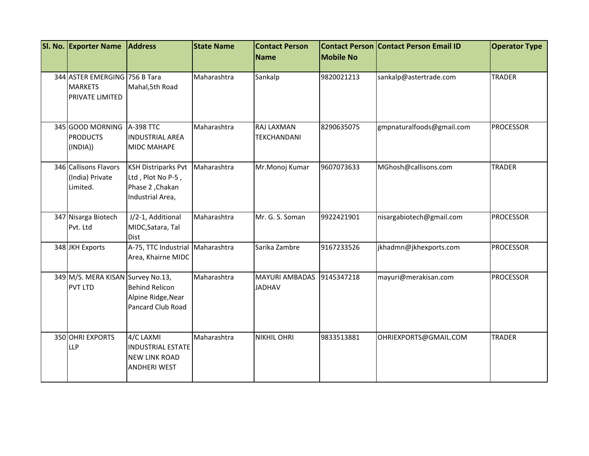| SI. No. Exporter Name                                              | <b>Address</b>                                                                         | <b>State Name</b> | <b>Contact Person</b><br><b>Name</b>   | <b>Mobile No</b> | <b>Contact Person Contact Person Email ID</b> | <b>Operator Type</b> |
|--------------------------------------------------------------------|----------------------------------------------------------------------------------------|-------------------|----------------------------------------|------------------|-----------------------------------------------|----------------------|
| 344 ASTER EMERGING 756 B Tara<br><b>MARKETS</b><br>PRIVATE LIMITED | Mahal, 5th Road                                                                        | Maharashtra       | Sankalp                                | 9820021213       | sankalp@astertrade.com                        | <b>TRADER</b>        |
| 345 GOOD MORNING<br><b>PRODUCTS</b><br>(INDIA))                    | A-398 TTC<br><b>INDUSTRIAL AREA</b><br><b>MIDC MAHAPE</b>                              | Maharashtra       | RAJ LAXMAN<br>TEKCHANDANI              | 8290635075       | gmpnaturalfoods@gmail.com                     | <b>PROCESSOR</b>     |
| 346 Callisons Flavors<br>(India) Private<br>Limited.               | <b>KSH Distriparks Pvt</b><br>Ltd, Plot No P-5,<br>Phase 2, Chakan<br>Industrial Area, | Maharashtra       | Mr.Monoj Kumar                         | 9607073633       | MGhosh@callisons.com                          | <b>TRADER</b>        |
| 347 Nisarga Biotech<br>Pvt. Ltd                                    | J/2-1, Additional<br>MIDC, Satara, Tal<br><b>Dist</b>                                  | Maharashtra       | Mr. G. S. Soman                        | 9922421901       | nisargabiotech@gmail.com                      | <b>PROCESSOR</b>     |
| 348 JKH Exports                                                    | A-75, TTC Industrial<br>Area, Khairne MIDC                                             | Maharashtra       | Sarika Zambre                          | 9167233526       | jkhadmn@jkhexports.com                        | <b>PROCESSOR</b>     |
| 349 M/S. MERA KISAN Survey No.13,<br>PVT LTD                       | <b>Behind Relicon</b><br>Alpine Ridge, Near<br>Pancard Club Road                       | Maharashtra       | <b>MAYURI AMBADAS</b><br><b>JADHAV</b> | 9145347218       | mayuri@merakisan.com                          | <b>PROCESSOR</b>     |
| 350 OHRI EXPORTS<br>LLP                                            | 4/C LAXMI<br><b>INDUSTRIAL ESTATE</b><br><b>NEW LINK ROAD</b><br><b>ANDHERI WEST</b>   | Maharashtra       | <b>NIKHIL OHRI</b>                     | 9833513881       | OHRIEXPORTS@GMAIL.COM                         | <b>TRADER</b>        |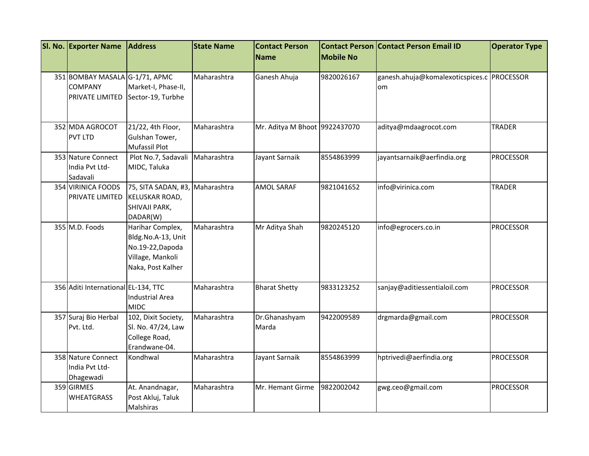| SI. No. Exporter Name                                               | <b>Address</b>                                                                                      | <b>State Name</b> | <b>Contact Person</b>         |                  | <b>Contact Person Contact Person Email ID</b>    | <b>Operator Type</b> |
|---------------------------------------------------------------------|-----------------------------------------------------------------------------------------------------|-------------------|-------------------------------|------------------|--------------------------------------------------|----------------------|
|                                                                     |                                                                                                     |                   | <b>Name</b>                   | <b>Mobile No</b> |                                                  |                      |
| 351 BOMBAY MASALA G-1/71, APMC<br><b>COMPANY</b><br>PRIVATE LIMITED | Market-I, Phase-II,<br>Sector-19, Turbhe                                                            | Maharashtra       | Ganesh Ahuja                  | 9820026167       | ganesh.ahuja@komalexoticspices.c PROCESSOR<br>om |                      |
| 352 MDA AGROCOT<br><b>PVT LTD</b>                                   | 21/22, 4th Floor,<br>Gulshan Tower,<br>Mufassil Plot                                                | Maharashtra       | Mr. Aditya M Bhoot 9922437070 |                  | aditya@mdaagrocot.com                            | <b>TRADER</b>        |
| 353 Nature Connect<br>India Pvt Ltd-<br>Sadavali                    | Plot No.7, Sadavali<br>MIDC, Taluka                                                                 | Maharashtra       | Jayant Sarnaik                | 8554863999       | jayantsarnaik@aerfindia.org                      | <b>PROCESSOR</b>     |
| 354 VIRINICA FOODS<br>PRIVATE LIMITED                               | 75, SITA SADAN, #3,<br>KELUSKAR ROAD,<br>SHIVAJI PARK,<br>DADAR(W)                                  | Maharashtra       | <b>AMOL SARAF</b>             | 9821041652       | info@virinica.com                                | <b>TRADER</b>        |
| 355 M.D. Foods                                                      | Harihar Complex,<br>Bldg.No.A-13, Unit<br>No.19-22, Dapoda<br>Village, Mankoli<br>Naka, Post Kalher | Maharashtra       | Mr Aditya Shah                | 9820245120       | info@egrocers.co.in                              | <b>PROCESSOR</b>     |
| 356 Aditi International EL-134, TTC                                 | <b>Industrial Area</b><br><b>MIDC</b>                                                               | Maharashtra       | <b>Bharat Shetty</b>          | 9833123252       | sanjay@aditiessentialoil.com                     | <b>PROCESSOR</b>     |
| 357 Suraj Bio Herbal<br>Pvt. Ltd.                                   | 102, Dixit Society,<br>Sl. No. 47/24, Law<br>College Road,<br>Erandwane-04.                         | Maharashtra       | Dr.Ghanashyam<br>Marda        | 9422009589       | drgmarda@gmail.com                               | <b>PROCESSOR</b>     |
| 358 Nature Connect<br>India Pvt Ltd-<br>Dhagewadi                   | Kondhwal                                                                                            | Maharashtra       | Jayant Sarnaik                | 8554863999       | hptrivedi@aerfindia.org                          | <b>PROCESSOR</b>     |
| 359 GIRMES<br><b>WHEATGRASS</b>                                     | At. Anandnagar,<br>Post Akluj, Taluk<br>Malshiras                                                   | Maharashtra       | Mr. Hemant Girme              | 9822002042       | gwg.ceo@gmail.com                                | <b>PROCESSOR</b>     |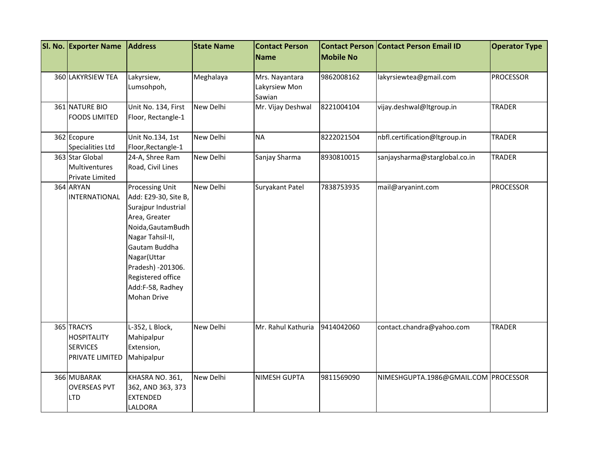| SI. No. Exporter Name                                                         | <b>Address</b>                                                                                                                                                                                                                                        | <b>State Name</b> | <b>Contact Person</b>                     |                  | <b>Contact Person Contact Person Email ID</b> | <b>Operator Type</b> |
|-------------------------------------------------------------------------------|-------------------------------------------------------------------------------------------------------------------------------------------------------------------------------------------------------------------------------------------------------|-------------------|-------------------------------------------|------------------|-----------------------------------------------|----------------------|
|                                                                               |                                                                                                                                                                                                                                                       |                   | <b>Name</b>                               | <b>Mobile No</b> |                                               |                      |
| 360 LAKYRSIEW TEA                                                             | Lakyrsiew,<br>Lumsohpoh,                                                                                                                                                                                                                              | Meghalaya         | Mrs. Nayantara<br>Lakyrsiew Mon<br>Sawian | 9862008162       | lakyrsiewtea@gmail.com                        | <b>PROCESSOR</b>     |
| 361 NATURE BIO<br><b>FOODS LIMITED</b>                                        | Unit No. 134, First<br>Floor, Rectangle-1                                                                                                                                                                                                             | New Delhi         | Mr. Vijay Deshwal                         | 8221004104       | vijay.deshwal@Itgroup.in                      | <b>TRADER</b>        |
| 362 Ecopure<br><b>Specialities Ltd</b>                                        | Unit No.134, 1st<br>Floor, Rectangle-1                                                                                                                                                                                                                | New Delhi         | <b>NA</b>                                 | 8222021504       | nbfl.certification@Itgroup.in                 | <b>TRADER</b>        |
| 363 Star Global<br>Multiventures<br>Private Limited                           | 24-A, Shree Ram<br>Road, Civil Lines                                                                                                                                                                                                                  | New Delhi         | Sanjay Sharma                             | 8930810015       | sanjaysharma@starglobal.co.in                 | <b>TRADER</b>        |
| 364 ARYAN<br>INTERNATIONAL                                                    | <b>Processing Unit</b><br>Add: E29-30, Site B,<br>Surajpur Industrial<br>Area, Greater<br>Noida, Gautam Budh<br>Nagar Tahsil-II,<br>Gautam Buddha<br>Nagar(Uttar<br>Pradesh) - 201306.<br>Registered office<br>Add:F-58, Radhey<br><b>Mohan Drive</b> | New Delhi         | Suryakant Patel                           | 7838753935       | mail@aryanint.com                             | <b>PROCESSOR</b>     |
| 365 TRACYS<br><b>HOSPITALITY</b><br><b>SERVICES</b><br><b>PRIVATE LIMITED</b> | L-352, L Block,<br>Mahipalpur<br>Extension,<br>Mahipalpur                                                                                                                                                                                             | New Delhi         | Mr. Rahul Kathuria                        | 9414042060       | contact.chandra@yahoo.com                     | <b>TRADER</b>        |
| 366 MUBARAK<br><b>OVERSEAS PVT</b><br><b>LTD</b>                              | KHASRA NO. 361,<br>362, AND 363, 373<br><b>EXTENDED</b><br>LALDORA                                                                                                                                                                                    | New Delhi         | <b>NIMESH GUPTA</b>                       | 9811569090       | NIMESHGUPTA.1986@GMAIL.COM PROCESSOR          |                      |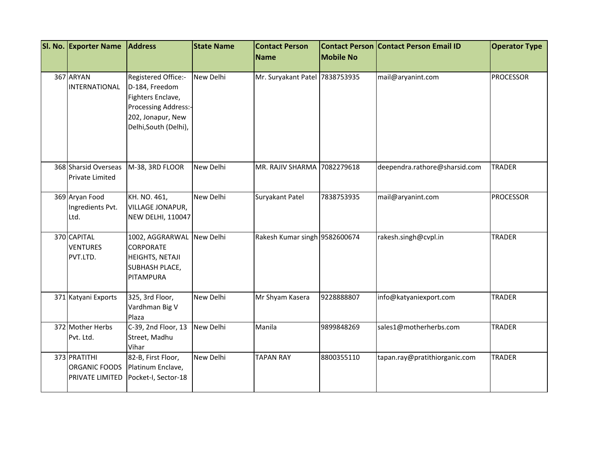| SI. No. Exporter Name                                   | <b>Address</b>                                                                                                                   | <b>State Name</b> | <b>Contact Person</b>          |                  | <b>Contact Person Contact Person Email ID</b> | <b>Operator Type</b> |
|---------------------------------------------------------|----------------------------------------------------------------------------------------------------------------------------------|-------------------|--------------------------------|------------------|-----------------------------------------------|----------------------|
|                                                         |                                                                                                                                  |                   | Name                           | <b>Mobile No</b> |                                               |                      |
| 367 ARYAN<br>INTERNATIONAL                              | Registered Office:-<br>D-184, Freedom<br>Fighters Enclave,<br>Processing Address:-<br>202, Jonapur, New<br>Delhi, South (Delhi), | New Delhi         | Mr. Suryakant Patel 7838753935 |                  | mail@aryanint.com                             | <b>PROCESSOR</b>     |
| 368 Sharsid Overseas<br><b>Private Limited</b>          | M-38, 3RD FLOOR                                                                                                                  | New Delhi         | MR. RAJIV SHARMA 7082279618    |                  | deependra.rathore@sharsid.com                 | <b>TRADER</b>        |
| 369 Aryan Food<br>Ingredients Pvt.<br>Ltd.              | KH. NO. 461,<br>VILLAGE JONAPUR,<br><b>NEW DELHI, 110047</b>                                                                     | New Delhi         | Suryakant Patel                | 7838753935       | mail@aryanint.com                             | <b>PROCESSOR</b>     |
| 370 CAPITAL<br><b>VENTURES</b><br>PVT.LTD.              | 1002, AGGRARWAL<br>CORPORATE<br>HEIGHTS, NETAJI<br>SUBHASH PLACE,<br>PITAMPURA                                                   | New Delhi         | Rakesh Kumar singh 9582600674  |                  | rakesh.singh@cvpl.in                          | <b>TRADER</b>        |
| 371 Katyani Exports                                     | 325, 3rd Floor,<br>Vardhman Big V<br>Plaza                                                                                       | New Delhi         | Mr Shyam Kasera                | 9228888807       | info@katyaniexport.com                        | <b>TRADER</b>        |
| 372 Mother Herbs<br>Pvt. Ltd.                           | C-39, 2nd Floor, 13<br>Street, Madhu<br>Vihar                                                                                    | New Delhi         | Manila                         | 9899848269       | sales1@motherherbs.com                        | <b>TRADER</b>        |
| 373 PRATITHI<br><b>ORGANIC FOODS</b><br>PRIVATE LIMITED | 82-B, First Floor,<br>Platinum Enclave,<br>Pocket-I, Sector-18                                                                   | New Delhi         | <b>TAPAN RAY</b>               | 8800355110       | tapan.ray@pratithiorganic.com                 | <b>TRADER</b>        |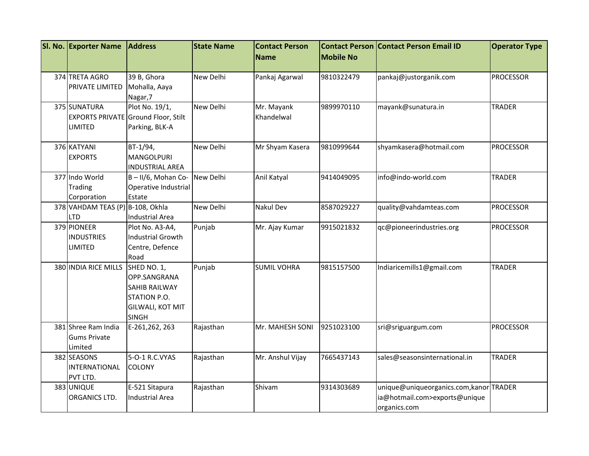| SI. No. Exporter Name            | <b>Address</b>                             | <b>State Name</b> | <b>Contact Person</b> |                  | <b>Contact Person Contact Person Email ID</b> | <b>Operator Type</b> |
|----------------------------------|--------------------------------------------|-------------------|-----------------------|------------------|-----------------------------------------------|----------------------|
|                                  |                                            |                   | <b>Name</b>           | <b>Mobile No</b> |                                               |                      |
| 374 TRETA AGRO                   | 39 B, Ghora                                | New Delhi         | Pankaj Agarwal        | 9810322479       | pankaj@justorganik.com                        | <b>PROCESSOR</b>     |
| PRIVATE LIMITED                  | Mohalla, Aaya                              |                   |                       |                  |                                               |                      |
|                                  | Nagar, 7                                   |                   |                       |                  |                                               |                      |
| 375 SUNATURA                     | Plot No. 19/1,                             | New Delhi         | Mr. Mayank            | 9899970110       | mayank@sunatura.in                            | <b>TRADER</b>        |
|                                  | <b>EXPORTS PRIVATE Ground Floor, Stilt</b> |                   | Khandelwal            |                  |                                               |                      |
| LIMITED                          | Parking, BLK-A                             |                   |                       |                  |                                               |                      |
| 376 KATYANI                      | BT-1/94,                                   | New Delhi         | Mr Shyam Kasera       | 9810999644       | shyamkasera@hotmail.com                       | <b>PROCESSOR</b>     |
| <b>EXPORTS</b>                   | <b>MANGOLPURI</b>                          |                   |                       |                  |                                               |                      |
|                                  | <b>INDUSTRIAL AREA</b>                     |                   |                       |                  |                                               |                      |
| 377 Indo World                   | B-II/6, Mohan Co-                          | New Delhi         | Anil Katyal           | 9414049095       | info@indo-world.com                           | TRADER               |
| <b>Trading</b>                   | Operative Industrial                       |                   |                       |                  |                                               |                      |
| Corporation                      | Estate                                     |                   |                       |                  |                                               |                      |
| 378 VAHDAM TEAS (P) B-108, Okhla |                                            | <b>New Delhi</b>  | <b>Nakul Dev</b>      | 8587029227       | quality@vahdamteas.com                        | <b>PROCESSOR</b>     |
| LTD                              | <b>Industrial Area</b>                     |                   |                       |                  |                                               |                      |
| 379 PIONEER                      | Plot No. A3-A4,                            | Punjab            | Mr. Ajay Kumar        | 9915021832       | qc@pioneerindustries.org                      | <b>PROCESSOR</b>     |
| <b>INDUSTRIES</b>                | <b>Industrial Growth</b>                   |                   |                       |                  |                                               |                      |
| LIMITED                          | Centre, Defence                            |                   |                       |                  |                                               |                      |
|                                  | Road                                       |                   |                       |                  |                                               |                      |
| 380 INDIA RICE MILLS             | SHED NO. 1,                                | Punjab            | <b>SUMIL VOHRA</b>    | 9815157500       | Indiaricemills1@gmail.com                     | <b>TRADER</b>        |
|                                  | OPP.SANGRANA                               |                   |                       |                  |                                               |                      |
|                                  | <b>SAHIB RAILWAY</b>                       |                   |                       |                  |                                               |                      |
|                                  | STATION P.O.                               |                   |                       |                  |                                               |                      |
|                                  | GILWALI, KOT MIT                           |                   |                       |                  |                                               |                      |
|                                  | <b>SINGH</b>                               |                   |                       |                  |                                               |                      |
| 381 Shree Ram India              | E-261,262, 263                             | Rajasthan         | Mr. MAHESH SONI       | 9251023100       | sri@sriguargum.com                            | <b>PROCESSOR</b>     |
| <b>Gums Private</b>              |                                            |                   |                       |                  |                                               |                      |
| Limited                          |                                            |                   |                       |                  |                                               |                      |
| 382 SEASONS                      | 5-O-1 R.C.VYAS                             | Rajasthan         | Mr. Anshul Vijay      | 7665437143       | sales@seasonsinternational.in                 | <b>TRADER</b>        |
| <b>INTERNATIONAL</b>             | <b>COLONY</b>                              |                   |                       |                  |                                               |                      |
| PVT LTD.                         |                                            |                   |                       |                  |                                               |                      |
| 383 UNIQUE                       | E-521 Sitapura                             | Rajasthan         | Shivam                | 9314303689       | unique@uniqueorganics.com,kanorTRADER         |                      |
| ORGANICS LTD.                    | <b>Industrial Area</b>                     |                   |                       |                  | ia@hotmail.com>exports@unique                 |                      |
|                                  |                                            |                   |                       |                  | organics.com                                  |                      |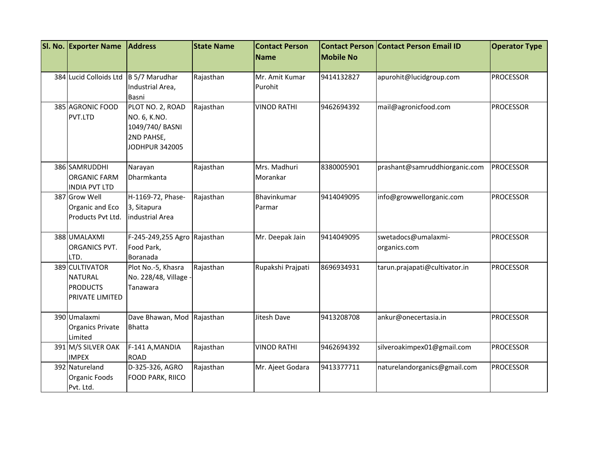| SI. No. Exporter Name                                                  | <b>Address</b>                                                                             | <b>State Name</b> | <b>Contact Person</b>     | <b>Mobile No</b> | <b>Contact Person Contact Person Email ID</b> | <b>Operator Type</b> |
|------------------------------------------------------------------------|--------------------------------------------------------------------------------------------|-------------------|---------------------------|------------------|-----------------------------------------------|----------------------|
|                                                                        |                                                                                            |                   | Name                      |                  |                                               |                      |
| 384 Lucid Colloids Ltd                                                 | B 5/7 Marudhar<br>Industrial Area,<br>Basni                                                | Rajasthan         | Mr. Amit Kumar<br>Purohit | 9414132827       | apurohit@lucidgroup.com                       | <b>PROCESSOR</b>     |
| 385 AGRONIC FOOD<br>PVT.LTD                                            | PLOT NO. 2, ROAD<br>NO. 6, K.NO.<br>1049/740/ BASNI<br>2ND PAHSE,<br><b>JODHPUR 342005</b> | Rajasthan         | <b>VINOD RATHI</b>        | 9462694392       | mail@agronicfood.com                          | <b>PROCESSOR</b>     |
| 386 SAMRUDDHI<br><b>ORGANIC FARM</b><br><b>INDIA PVT LTD</b>           | Narayan<br>Dharmkanta                                                                      | Rajasthan         | Mrs. Madhuri<br>Morankar  | 8380005901       | prashant@samruddhiorganic.com                 | <b>PROCESSOR</b>     |
| 387 Grow Well<br>Organic and Eco<br>Products Pvt Ltd.                  | H-1169-72, Phase-<br>3, Sitapura<br>industrial Area                                        | Rajasthan         | Bhavinkumar<br>Parmar     | 9414049095       | info@growwellorganic.com                      | <b>PROCESSOR</b>     |
| 388 UMALAXMI<br><b>ORGANICS PVT.</b><br>LTD.                           | F-245-249,255 Agro Rajasthan<br>Food Park,<br>Boranada                                     |                   | Mr. Deepak Jain           | 9414049095       | swetadocs@umalaxmi-<br>organics.com           | <b>PROCESSOR</b>     |
| 389 CULTIVATOR<br><b>NATURAL</b><br><b>PRODUCTS</b><br>PRIVATE LIMITED | Plot No.-5, Khasra<br>No. 228/48, Village -<br>Tanawara                                    | Rajasthan         | Rupakshi Prajpati         | 8696934931       | tarun.prajapati@cultivator.in                 | <b>PROCESSOR</b>     |
| 390 Umalaxmi<br><b>Organics Private</b><br>Limited                     | Dave Bhawan, Mod Rajasthan<br><b>Bhatta</b>                                                |                   | Jitesh Dave               | 9413208708       | ankur@onecertasia.in                          | <b>PROCESSOR</b>     |
| 391 M/S SILVER OAK<br><b>IMPEX</b>                                     | F-141 A, MANDIA<br><b>ROAD</b>                                                             | Rajasthan         | <b>VINOD RATHI</b>        | 9462694392       | silveroakimpex01@gmail.com                    | <b>PROCESSOR</b>     |
| 392 Natureland<br>Organic Foods<br>Pvt. Ltd.                           | D-325-326, AGRO<br>FOOD PARK, RIICO                                                        | Rajasthan         | Mr. Ajeet Godara          | 9413377711       | naturelandorganics@gmail.com                  | <b>PROCESSOR</b>     |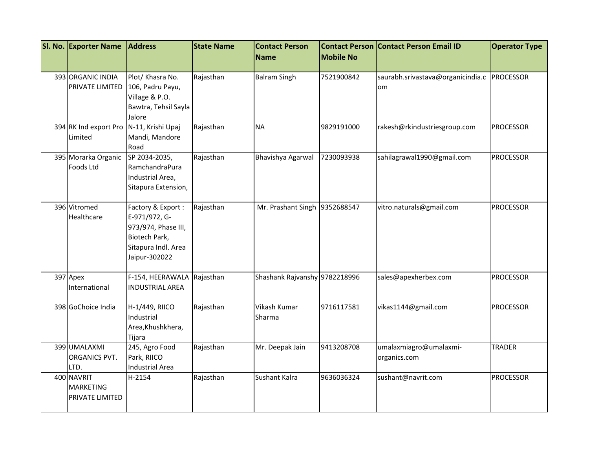| SI. No. Exporter Name                             | <b>Address</b>                                                                                                     | <b>State Name</b> | <b>Contact Person</b>         | <b>Contact Person</b> | <b>Contact Person Email ID</b>          | <b>Operator Type</b> |
|---------------------------------------------------|--------------------------------------------------------------------------------------------------------------------|-------------------|-------------------------------|-----------------------|-----------------------------------------|----------------------|
|                                                   |                                                                                                                    |                   | <b>Name</b>                   | <b>Mobile No</b>      |                                         |                      |
| 393 ORGANIC INDIA<br>PRIVATE LIMITED              | Plot/ Khasra No.<br>106, Padru Payu,<br>Village & P.O.<br>Bawtra, Tehsil Sayla<br>Jalore                           | Rajasthan         | <b>Balram Singh</b>           | 7521900842            | saurabh.srivastava@organicindia.c<br>om | PROCESSOR            |
| 394 RK Ind export Pro<br>Limited                  | N-11, Krishi Upaj<br>Mandi, Mandore<br>Road                                                                        | Rajasthan         | <b>NA</b>                     | 9829191000            | rakesh@rkindustriesgroup.com            | <b>PROCESSOR</b>     |
| 395 Morarka Organic<br>Foods Ltd                  | SP 2034-2035,<br>RamchandraPura<br>Industrial Area,<br>Sitapura Extension,                                         | Rajasthan         | Bhavishya Agarwal             | 7230093938            | sahilagrawal1990@gmail.com              | <b>PROCESSOR</b>     |
| 396 Vitromed<br>Healthcare                        | Factory & Export:<br>E-971/972, G-<br>973/974, Phase III,<br>Biotech Park,<br>Sitapura Indl. Area<br>Jaipur-302022 | Rajasthan         | Mr. Prashant Singh 9352688547 |                       | vitro.naturals@gmail.com                | <b>PROCESSOR</b>     |
| 397 Apex<br>International                         | F-154, HEERAWALA<br><b>INDUSTRIAL AREA</b>                                                                         | Rajasthan         | Shashank Rajvanshy 9782218996 |                       | sales@apexherbex.com                    | <b>PROCESSOR</b>     |
| 398 GoChoice India                                | H-1/449, RIICO<br>Industrial<br>Area, Khushkhera,<br>Tijara                                                        | Rajasthan         | Vikash Kumar<br>Sharma        | 9716117581            | vikas1144@gmail.com                     | <b>PROCESSOR</b>     |
| 399 UMALAXMI<br><b>ORGANICS PVT.</b><br>LTD.      | 245, Agro Food<br>Park, RIICO<br><b>Industrial Area</b>                                                            | Rajasthan         | Mr. Deepak Jain               | 9413208708            | umalaxmiagro@umalaxmi-<br>organics.com  | <b>TRADER</b>        |
| 400 NAVRIT<br><b>MARKETING</b><br>PRIVATE LIMITED | H-2154                                                                                                             | Rajasthan         | Sushant Kalra                 | 9636036324            | sushant@navrit.com                      | <b>PROCESSOR</b>     |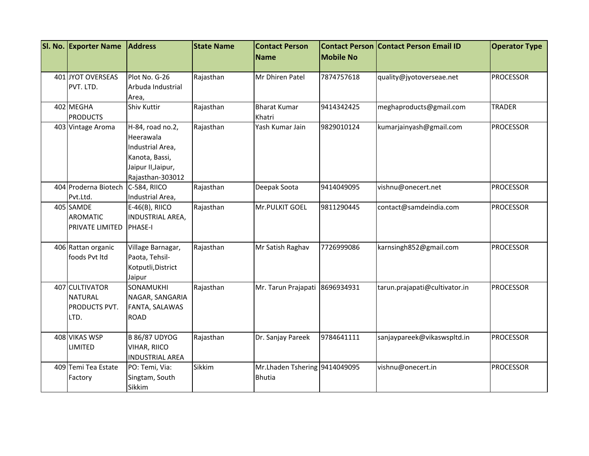| SI. No. Exporter Name        | <b>Address</b>         | <b>State Name</b> | <b>Contact Person</b><br>Name | <b>Mobile No</b> | <b>Contact Person Contact Person Email ID</b> | <b>Operator Type</b> |
|------------------------------|------------------------|-------------------|-------------------------------|------------------|-----------------------------------------------|----------------------|
|                              |                        |                   |                               |                  |                                               |                      |
| 401 JYOT OVERSEAS            | Plot No. G-26          | Rajasthan         | Mr Dhiren Patel               | 7874757618       | quality@jyotoverseae.net                      | <b>PROCESSOR</b>     |
| PVT. LTD.                    | Arbuda Industrial      |                   |                               |                  |                                               |                      |
|                              | Area,                  |                   |                               |                  |                                               |                      |
| 402 MEGHA<br><b>PRODUCTS</b> | <b>Shiv Kuttir</b>     | Rajasthan         | <b>Bharat Kumar</b>           | 9414342425       | meghaproducts@gmail.com                       | <b>TRADER</b>        |
|                              |                        |                   | Khatri                        |                  |                                               |                      |
| 403 Vintage Aroma            | H-84, road no.2,       | Rajasthan         | Yash Kumar Jain               | 9829010124       | kumarjainyash@gmail.com                       | <b>PROCESSOR</b>     |
|                              | Heerawala              |                   |                               |                  |                                               |                      |
|                              | Industrial Area,       |                   |                               |                  |                                               |                      |
|                              | Kanota, Bassi,         |                   |                               |                  |                                               |                      |
|                              | Jaipur II, Jaipur,     |                   |                               |                  |                                               |                      |
|                              | Rajasthan-303012       |                   |                               |                  |                                               |                      |
| 404 Proderna Biotech         | C-584, RIICO           | Rajasthan         | Deepak Soota                  | 9414049095       | vishnu@onecert.net                            | <b>PROCESSOR</b>     |
| Pvt.Ltd.                     | Industrial Area,       |                   |                               |                  |                                               |                      |
| 405 SAMDE                    | $E-46(B)$ , RIICO      | Rajasthan         | Mr.PULKIT GOEL                | 9811290445       | contact@samdeindia.com                        | <b>PROCESSOR</b>     |
| <b>AROMATIC</b>              | INDUSTRIAL AREA,       |                   |                               |                  |                                               |                      |
| <b>PRIVATE LIMITED</b>       | <b>PHASE-I</b>         |                   |                               |                  |                                               |                      |
| 406 Rattan organic           | Village Barnagar,      | Rajasthan         | Mr Satish Raghav              | 7726999086       | karnsingh852@gmail.com                        | <b>PROCESSOR</b>     |
| foods Pvt Itd                | Paota, Tehsil-         |                   |                               |                  |                                               |                      |
|                              | Kotputli, District     |                   |                               |                  |                                               |                      |
|                              | Jaipur                 |                   |                               |                  |                                               |                      |
| 407 CULTIVATOR               | SONAMUKHI              | Rajasthan         | Mr. Tarun Prajapati           | 8696934931       | tarun.prajapati@cultivator.in                 | <b>PROCESSOR</b>     |
| <b>NATURAL</b>               | NAGAR, SANGARIA        |                   |                               |                  |                                               |                      |
| <b>PRODUCTS PVT.</b>         | FANTA, SALAWAS         |                   |                               |                  |                                               |                      |
| LTD.                         | <b>ROAD</b>            |                   |                               |                  |                                               |                      |
|                              |                        |                   |                               |                  |                                               |                      |
| 408 VIKAS WSP                | <b>B 86/87 UDYOG</b>   | Rajasthan         | Dr. Sanjay Pareek             | 9784641111       | sanjaypareek@vikaswspltd.in                   | <b>PROCESSOR</b>     |
| <b>LIMITED</b>               | VIHAR, RIICO           |                   |                               |                  |                                               |                      |
|                              | <b>INDUSTRIAL AREA</b> |                   |                               |                  |                                               |                      |
| 409 Temi Tea Estate          | PO: Temi, Via:         | Sikkim            | Mr.Lhaden Tshering 9414049095 |                  | vishnu@onecert.in                             | <b>PROCESSOR</b>     |
| Factory                      | Singtam, South         |                   | <b>Bhutia</b>                 |                  |                                               |                      |
|                              | Sikkim                 |                   |                               |                  |                                               |                      |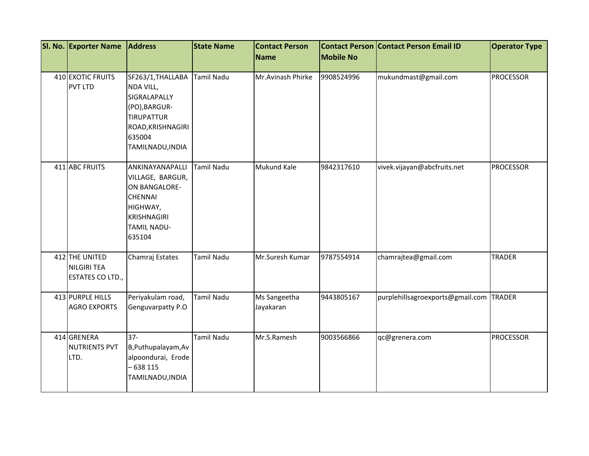| SI. No. Exporter Name                                    | <b>Address</b>                                                                                                                           | <b>State Name</b> | <b>Contact Person</b>     |                  | <b>Contact Person Contact Person Email ID</b> | <b>Operator Type</b> |
|----------------------------------------------------------|------------------------------------------------------------------------------------------------------------------------------------------|-------------------|---------------------------|------------------|-----------------------------------------------|----------------------|
|                                                          |                                                                                                                                          |                   | Name                      | <b>Mobile No</b> |                                               |                      |
| 410 EXOTIC FRUITS<br><b>PVT LTD</b>                      | SF263/1, THALLABA<br>NDA VILL,<br>SIGRALAPALLY<br>(PO), BARGUR-<br><b>TIRUPATTUR</b><br>ROAD, KRISHNAGIRI<br>635004<br>TAMILNADU, INDIA  | <b>Tamil Nadu</b> | Mr. Avinash Phirke        | 9908524996       | mukundmast@gmail.com                          | <b>PROCESSOR</b>     |
| 411 ABC FRUITS                                           | ANKINAYANAPALLI<br>VILLAGE, BARGUR,<br>ON BANGALORE-<br><b>CHENNAI</b><br>HIGHWAY,<br><b>KRISHNAGIRI</b><br><b>TAMIL NADU-</b><br>635104 | <b>Tamil Nadu</b> | Mukund Kale               | 9842317610       | vivek.vijayan@abcfruits.net                   | <b>PROCESSOR</b>     |
| 412 THE UNITED<br><b>NILGIRI TEA</b><br>ESTATES CO LTD., | Chamraj Estates                                                                                                                          | <b>Tamil Nadu</b> | Mr.Suresh Kumar           | 9787554914       | chamrajtea@gmail.com                          | <b>TRADER</b>        |
| 413 PURPLE HILLS<br><b>AGRO EXPORTS</b>                  | Periyakulam road,<br>Genguvarpatty P.O                                                                                                   | <b>Tamil Nadu</b> | Ms Sangeetha<br>Jayakaran | 9443805167       | purplehillsagroexports@gmail.com TRADER       |                      |
| 414 GRENERA<br><b>NUTRIENTS PVT</b><br>LTD.              | $37 -$<br>B, Puthupalayam, Av<br>alpoondurai, Erode<br>$-638115$<br>TAMILNADU, INDIA                                                     | <b>Tamil Nadu</b> | Mr.S.Ramesh               | 9003566866       | qc@grenera.com                                | <b>PROCESSOR</b>     |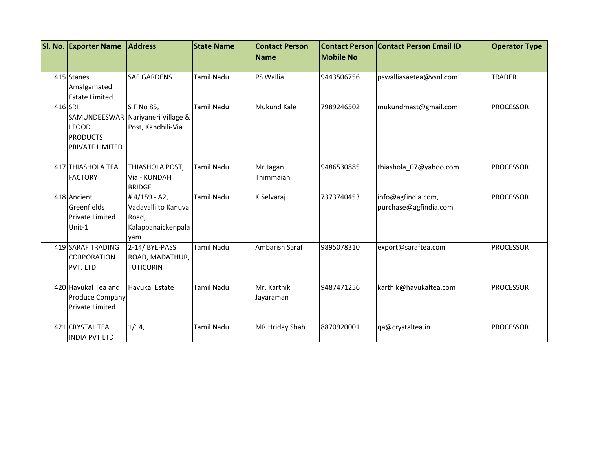|         | SI. No. Exporter Name  | <b>Address</b>                    | <b>State Name</b> | <b>Contact Person</b><br><b>Name</b> | <b>Mobile No</b> | <b>Contact Person Contact Person Email ID</b> | <b>Operator Type</b> |
|---------|------------------------|-----------------------------------|-------------------|--------------------------------------|------------------|-----------------------------------------------|----------------------|
|         |                        |                                   |                   |                                      |                  |                                               |                      |
|         | 415 Stanes             | <b>SAE GARDENS</b>                | Tamil Nadu        | PS Wallia                            | 9443506756       | pswalliasaetea@vsnl.com                       | <b>TRADER</b>        |
|         | Amalgamated            |                                   |                   |                                      |                  |                                               |                      |
|         | <b>Estate Limited</b>  |                                   |                   |                                      |                  |                                               |                      |
| 416 SRI |                        | S F No 85,                        | <b>Tamil Nadu</b> | <b>Mukund Kale</b>                   | 7989246502       | mukundmast@gmail.com                          | <b>PROCESSOR</b>     |
|         |                        | SAMUNDEESWAR Nariyaneri Village & |                   |                                      |                  |                                               |                      |
|         | I FOOD                 | Post, Kandhili-Via                |                   |                                      |                  |                                               |                      |
|         | <b>PRODUCTS</b>        |                                   |                   |                                      |                  |                                               |                      |
|         | <b>PRIVATE LIMITED</b> |                                   |                   |                                      |                  |                                               |                      |
|         | 417 THIASHOLA TEA      | THIASHOLA POST,                   | <b>Tamil Nadu</b> | Mr.Jagan                             | 9486530885       | thiashola_07@yahoo.com                        | <b>PROCESSOR</b>     |
|         | <b>FACTORY</b>         | Via - KUNDAH                      |                   | Thimmaiah                            |                  |                                               |                      |
|         |                        | <b>BRIDGE</b>                     |                   |                                      |                  |                                               |                      |
|         | 418 Ancient            | #4/159 - A2,                      | <b>Tamil Nadu</b> | K.Selvaraj                           | 7373740453       | info@agfindia.com,                            | <b>PROCESSOR</b>     |
|         | Greenfields            | Vadavalli to Kanuvai              |                   |                                      |                  | purchase@agfindia.com                         |                      |
|         | <b>Private Limited</b> | Road,                             |                   |                                      |                  |                                               |                      |
|         | Unit-1                 | Kalappanaickenpala                |                   |                                      |                  |                                               |                      |
|         |                        | yam                               |                   |                                      |                  |                                               |                      |
|         | 419 SARAF TRADING      | 2-14/BYE-PASS                     | Tamil Nadu        | Ambarish Saraf                       | 9895078310       | export@saraftea.com                           | <b>PROCESSOR</b>     |
|         | <b>CORPORATION</b>     | ROAD, MADATHUR,                   |                   |                                      |                  |                                               |                      |
|         | PVT. LTD               | <b>TUTICORIN</b>                  |                   |                                      |                  |                                               |                      |
|         | 420 Havukal Tea and    | <b>Havukal Estate</b>             | Tamil Nadu        | Mr. Karthik                          | 9487471256       | karthik@havukaltea.com                        | <b>PROCESSOR</b>     |
|         | <b>Produce Company</b> |                                   |                   | Jayaraman                            |                  |                                               |                      |
|         | <b>Private Limited</b> |                                   |                   |                                      |                  |                                               |                      |
|         |                        |                                   |                   |                                      |                  |                                               |                      |
|         | 421 CRYSTAL TEA        | 1/14,                             | Tamil Nadu        | MR.Hriday Shah                       | 8870920001       | qa@crystaltea.in                              | <b>PROCESSOR</b>     |
|         | <b>INDIA PVT LTD</b>   |                                   |                   |                                      |                  |                                               |                      |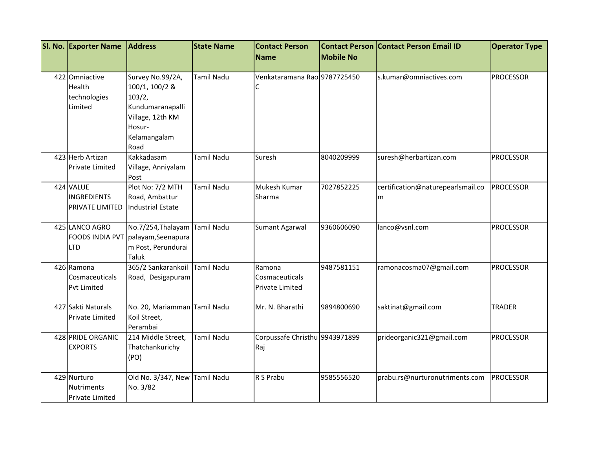| SI. No. Exporter Name  | <b>Address</b>                     | <b>State Name</b> | <b>Contact Person</b>          |                  | <b>Contact Person Contact Person Email ID</b> | <b>Operator Type</b> |
|------------------------|------------------------------------|-------------------|--------------------------------|------------------|-----------------------------------------------|----------------------|
|                        |                                    |                   | Name                           | <b>Mobile No</b> |                                               |                      |
| 422 Omniactive         |                                    | <b>Tamil Nadu</b> | Venkataramana Rao 9787725450   |                  |                                               | <b>PROCESSOR</b>     |
|                        | Survey No.99/2A,                   |                   |                                |                  | s.kumar@omniactives.com                       |                      |
| Health                 | 100/1, 100/2 &                     |                   | С                              |                  |                                               |                      |
| technologies           | 103/2,                             |                   |                                |                  |                                               |                      |
| Limited                | Kundumaranapalli                   |                   |                                |                  |                                               |                      |
|                        | Village, 12th KM                   |                   |                                |                  |                                               |                      |
|                        | Hosur-                             |                   |                                |                  |                                               |                      |
|                        | Kelamangalam                       |                   |                                |                  |                                               |                      |
|                        | Road                               |                   |                                |                  |                                               |                      |
| 423 Herb Artizan       | Kakkadasam                         | <b>Tamil Nadu</b> | Suresh                         | 8040209999       | suresh@herbartizan.com                        | <b>PROCESSOR</b>     |
| <b>Private Limited</b> | Village, Anniyalam                 |                   |                                |                  |                                               |                      |
|                        | Post                               |                   |                                |                  |                                               |                      |
| 424 VALUE              | Plot No: 7/2 MTH                   | <b>Tamil Nadu</b> | Mukesh Kumar                   | 7027852225       | certification@naturepearlsmail.co             | <b>PROCESSOR</b>     |
| <b>INGREDIENTS</b>     | Road, Ambattur                     |                   | Sharma                         |                  | m                                             |                      |
| <b>PRIVATE LIMITED</b> | Industrial Estate                  |                   |                                |                  |                                               |                      |
| 425 LANCO AGRO         | No.7/254, Thalayam Tamil Nadu      |                   | <b>Sumant Agarwal</b>          | 9360606090       | lanco@vsnl.com                                | <b>PROCESSOR</b>     |
|                        | FOODS INDIA PVT palayam, Seenapura |                   |                                |                  |                                               |                      |
| <b>LTD</b>             | m Post, Perundurai                 |                   |                                |                  |                                               |                      |
|                        | Taluk                              |                   |                                |                  |                                               |                      |
| 426 Ramona             | 365/2 Sankarankoil Tamil Nadu      |                   | Ramona                         | 9487581151       | ramonacosma07@gmail.com                       | <b>PROCESSOR</b>     |
| Cosmaceuticals         | Road, Desigapuram                  |                   | Cosmaceuticals                 |                  |                                               |                      |
| <b>Pvt Limited</b>     |                                    |                   | Private Limited                |                  |                                               |                      |
| 427 Sakti Naturals     | No. 20, Mariamman Tamil Nadu       |                   | Mr. N. Bharathi                | 9894800690       | saktinat@gmail.com                            | <b>TRADER</b>        |
| <b>Private Limited</b> | Koil Street,                       |                   |                                |                  |                                               |                      |
|                        | Perambai                           |                   |                                |                  |                                               |                      |
| 428 PRIDE ORGANIC      | 214 Middle Street,                 | <b>Tamil Nadu</b> | Corpussafe Christhu 9943971899 |                  | prideorganic321@gmail.com                     | <b>PROCESSOR</b>     |
| <b>EXPORTS</b>         | Thatchankurichy                    |                   | Raj                            |                  |                                               |                      |
|                        | (PO)                               |                   |                                |                  |                                               |                      |
| 429 Nurturo            | Old No. 3/347, New Tamil Nadu      |                   | R S Prabu                      | 9585556520       | prabu.rs@nurturonutriments.com                | <b>PROCESSOR</b>     |
| <b>Nutriments</b>      | No. 3/82                           |                   |                                |                  |                                               |                      |
| Private Limited        |                                    |                   |                                |                  |                                               |                      |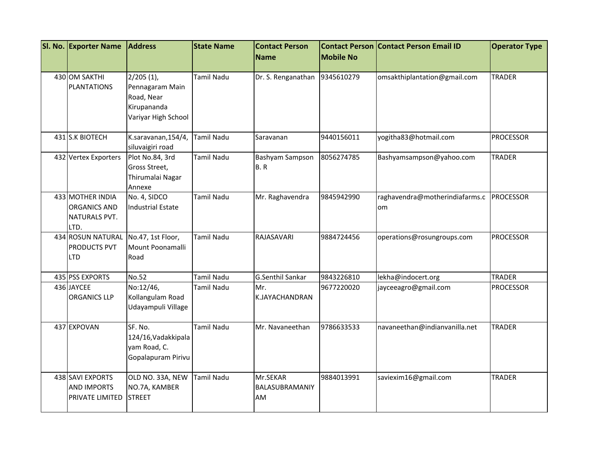| SI. No. Exporter Name                                            | <b>Address</b>                                                                      | <b>State Name</b> | <b>Contact Person</b><br><b>Name</b> | <b>Mobile No</b> | <b>Contact Person Contact Person Email ID</b> | <b>Operator Type</b> |
|------------------------------------------------------------------|-------------------------------------------------------------------------------------|-------------------|--------------------------------------|------------------|-----------------------------------------------|----------------------|
| 430 OM SAKTHI<br><b>PLANTATIONS</b>                              | $2/205(1)$ ,<br>Pennagaram Main<br>Road, Near<br>Kirupananda<br>Variyar High School | <b>Tamil Nadu</b> | Dr. S. Renganathan                   | 9345610279       | omsakthiplantation@gmail.com                  | <b>TRADER</b>        |
| 431 S.K BIOTECH                                                  | K.saravanan, 154/4,<br>siluvaigiri road                                             | <b>Tamil Nadu</b> | Saravanan                            | 9440156011       | yogitha83@hotmail.com                         | <b>PROCESSOR</b>     |
| 432 Vertex Exporters                                             | Plot No.84, 3rd<br>Gross Street,<br>Thirumalai Nagar<br>Annexe                      | Tamil Nadu        | Bashyam Sampson<br><b>B.R</b>        | 8056274785       | Bashyamsampson@yahoo.com                      | <b>TRADER</b>        |
| 433 MOTHER INDIA<br><b>ORGANICS AND</b><br>NATURALS PVT.<br>LTD. | No. 4, SIDCO<br>Industrial Estate                                                   | <b>Tamil Nadu</b> | Mr. Raghavendra                      | 9845942990       | raghavendra@motherindiafarms.c<br>om          | <b>PROCESSOR</b>     |
| 434 ROSUN NATURAL<br><b>PRODUCTS PVT</b><br><b>LTD</b>           | No.47, 1st Floor,<br>Mount Poonamalli<br>Road                                       | <b>Tamil Nadu</b> | RAJASAVARI                           | 9884724456       | operations@rosungroups.com                    | <b>PROCESSOR</b>     |
| 435 PSS EXPORTS                                                  | No.52                                                                               | <b>Tamil Nadu</b> | <b>G.Senthil Sankar</b>              | 9843226810       | lekha@indocert.org                            | <b>TRADER</b>        |
| 436 JAYCEE<br><b>ORGANICS LLP</b>                                | No:12/46,<br>Kollangulam Road<br>Udayampuli Village                                 | Tamil Nadu        | Mr.<br>K.JAYACHANDRAN                | 9677220020       | jayceeagro@gmail.com                          | <b>PROCESSOR</b>     |
| 437 EXPOVAN                                                      | SF. No.<br>124/16, Vadakkipala<br>yam Road, C.<br>Gopalapuram Pirivu                | <b>Tamil Nadu</b> | Mr. Navaneethan                      | 9786633533       | navaneethan@indianvanilla.net                 | <b>TRADER</b>        |
| 438 SAVI EXPORTS<br><b>AND IMPORTS</b><br>PRIVATE LIMITED        | OLD NO. 33A, NEW<br>NO.7A, KAMBER<br><b>STREET</b>                                  | <b>Tamil Nadu</b> | Mr.SEKAR<br>BALASUBRAMANIY<br>AM     | 9884013991       | saviexim16@gmail.com                          | <b>TRADER</b>        |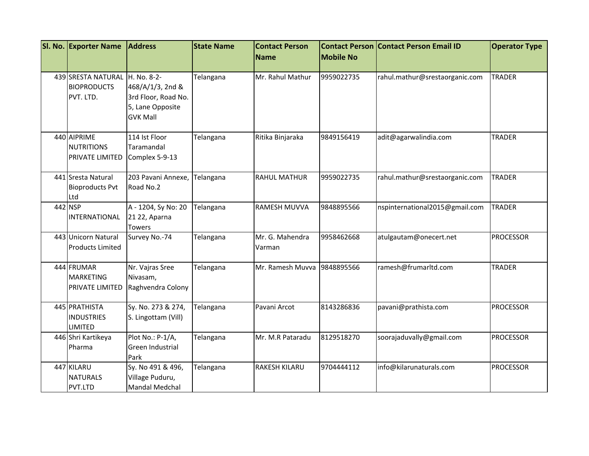| SI. No. Exporter Name                                 | <b>Address</b>                                                                                | <b>State Name</b> | <b>Contact Person</b>     |                  | <b>Contact Person Contact Person Email ID</b> | <b>Operator Type</b> |
|-------------------------------------------------------|-----------------------------------------------------------------------------------------------|-------------------|---------------------------|------------------|-----------------------------------------------|----------------------|
|                                                       |                                                                                               |                   | Name                      | <b>Mobile No</b> |                                               |                      |
| 439 SRESTA NATURAL<br><b>BIOPRODUCTS</b><br>PVT. LTD. | H. No. 8-2-<br>468/A/1/3, 2nd &<br>3rd Floor, Road No.<br>5, Lane Opposite<br><b>GVK Mall</b> | Telangana         | Mr. Rahul Mathur          | 9959022735       | rahul.mathur@srestaorganic.com                | <b>TRADER</b>        |
| 440 AIPRIME<br>NUTRITIONS<br>PRIVATE LIMITED          | 114 Ist Floor<br>Taramandal<br>Complex 5-9-13                                                 | Telangana         | Ritika Binjaraka          | 9849156419       | adit@agarwalindia.com                         | <b>TRADER</b>        |
| 441 Sresta Natural<br><b>Bioproducts Pvt</b><br>Ltd   | 203 Pavani Annexe,<br>Road No.2                                                               | Telangana         | <b>RAHUL MATHUR</b>       | 9959022735       | rahul.mathur@srestaorganic.com                | <b>TRADER</b>        |
| 442 NSP<br>INTERNATIONAL                              | A - 1204, Sy No: 20<br>21 22, Aparna<br>Towers                                                | Telangana         | <b>RAMESH MUVVA</b>       | 9848895566       | nspinternational2015@gmail.com                | <b>TRADER</b>        |
| 443 Unicorn Natural<br><b>Products Limited</b>        | Survey No.-74                                                                                 | Telangana         | Mr. G. Mahendra<br>Varman | 9958462668       | atulgautam@onecert.net                        | <b>PROCESSOR</b>     |
| 444 FRUMAR<br>MARKETING<br><b>PRIVATE LIMITED</b>     | Nr. Vajras Sree<br>Nivasam,<br>Raghvendra Colony                                              | Telangana         | Mr. Ramesh Muvva          | 9848895566       | ramesh@frumarltd.com                          | <b>TRADER</b>        |
| 445 PRATHISTA<br><b>INDUSTRIES</b><br><b>LIMITED</b>  | Sy. No. 273 & 274,<br>S. Lingottam (Vill)                                                     | Telangana         | Pavani Arcot              | 8143286836       | pavani@prathista.com                          | <b>PROCESSOR</b>     |
| 446 Shri Kartikeya<br>Pharma                          | Plot No.: P-1/A,<br>Green Industrial<br>Park                                                  | Telangana         | Mr. M.R Pataradu          | 8129518270       | soorajaduvally@gmail.com                      | <b>PROCESSOR</b>     |
| 447 KILARU<br><b>NATURALS</b><br>PVT.LTD              | Sy. No 491 & 496,<br>Village Puduru,<br>Mandal Medchal                                        | Telangana         | <b>RAKESH KILARU</b>      | 9704444112       | info@kilarunaturals.com                       | <b>PROCESSOR</b>     |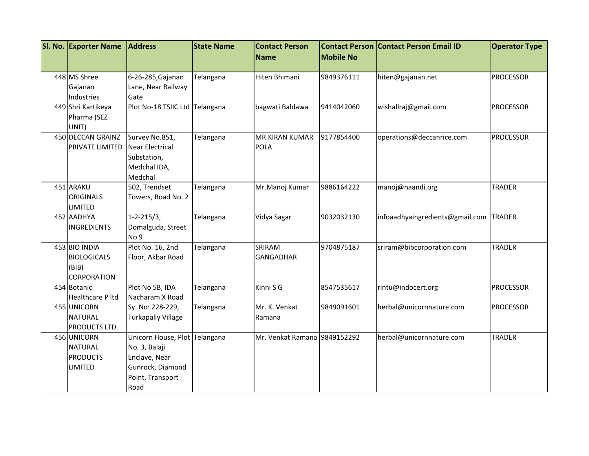| SI. No. Exporter Name                                              | <b>Address</b>                                                                                                  | <b>State Name</b> | <b>Contact Person</b>         |                  | <b>Contact Person Contact Person Email ID</b> | <b>Operator Type</b> |
|--------------------------------------------------------------------|-----------------------------------------------------------------------------------------------------------------|-------------------|-------------------------------|------------------|-----------------------------------------------|----------------------|
|                                                                    |                                                                                                                 |                   | Name                          | <b>Mobile No</b> |                                               |                      |
| 448 MS Shree                                                       | 6-26-285, Gajanan                                                                                               | Telangana         | Hiten Bhimani                 | 9849376111       | hiten@gajanan.net                             | <b>PROCESSOR</b>     |
| Gajanan<br>Industries                                              | Lane, Near Railway<br>Gate                                                                                      |                   |                               |                  |                                               |                      |
| 449 Shri Kartikeya<br>Pharma (SEZ<br>UNIT)                         | Plot No-18 TSIIC Ltd Telangana                                                                                  |                   | bagwati Baldawa               | 9414042060       | wishallraj@gmail.com                          | <b>PROCESSOR</b>     |
| 450 DECCAN GRAINZ<br><b>PRIVATE LIMITED</b>                        | Survey No.851,<br><b>Near Electrical</b><br>Substation,<br>Medchal IDA,<br>Medchal                              | Telangana         | <b>MR.KIRAN KUMAR</b><br>POLA | 9177854400       | operations@deccanrice.com                     | <b>PROCESSOR</b>     |
| 451 ARAKU<br><b>ORIGINALS</b><br><b>LIMITED</b>                    | 502, Trendset<br>Towers, Road No. 2                                                                             | Telangana         | Mr.Manoj Kumar                | 9886164222       | manoj@naandi.org                              | <b>TRADER</b>        |
| 452 AADHYA<br><b>INGREDIENTS</b>                                   | $1 - 2 - 215/3$ ,<br>Domalguda, Street<br>No 9                                                                  | Telangana         | Vidya Sagar                   | 9032032130       | infoaadhyaingredients@gmail.com               | <b>TRADER</b>        |
| 453 BIO INDIA<br><b>BIOLOGICALS</b><br>(BIB)<br><b>CORPORATION</b> | Plot No. 16, 2nd<br>Floor, Akbar Road                                                                           | Telangana         | SRIRAM<br><b>GANGADHAR</b>    | 9704875187       | sriram@bibcorporation.com                     | <b>TRADER</b>        |
| 454 Botanic<br><b>Healthcare P ltd</b>                             | Plot No 5B, IDA<br>Nacharam X Road                                                                              | Telangana         | Kinni S G                     | 8547535617       | rintu@indocert.org                            | <b>PROCESSOR</b>     |
| 455 UNICORN<br><b>NATURAL</b><br>PRODUCTS LTD.                     | Sy. No: 228-229,<br><b>Turkapally Village</b>                                                                   | Telangana         | Mr. K. Venkat<br>Ramana       | 9849091601       | herbal@unicornnature.com                      | <b>PROCESSOR</b>     |
| 456 UNICORN<br><b>NATURAL</b><br><b>PRODUCTS</b><br><b>LIMITED</b> | Unicorn House, Plot Telangana<br>No. 3, Balaji<br>Enclave, Near<br>Gunrock, Diamond<br>Point, Transport<br>Road |                   | Mr. Venkat Ramana 9849152292  |                  | herbal@unicornnature.com                      | <b>TRADER</b>        |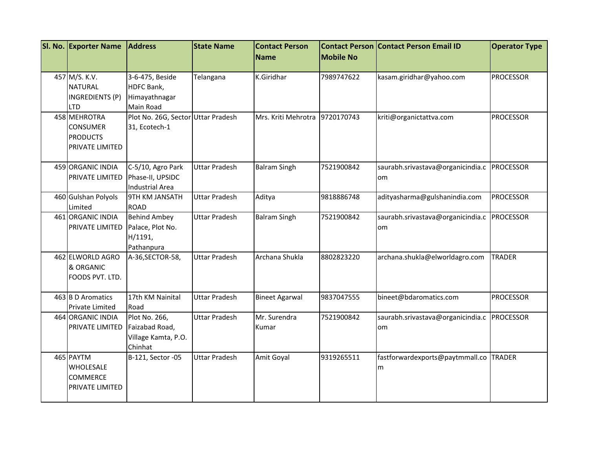| SI. No. Exporter Name                                                 | <b>Address</b>                                                    | <b>State Name</b>    | <b>Contact Person</b>          |                  | <b>Contact Person Contact Person Email ID</b>     | <b>Operator Type</b> |
|-----------------------------------------------------------------------|-------------------------------------------------------------------|----------------------|--------------------------------|------------------|---------------------------------------------------|----------------------|
|                                                                       |                                                                   |                      | Name                           | <b>Mobile No</b> |                                                   |                      |
| 457 M/S. K.V.<br><b>NATURAL</b><br>INGREDIENTS (P)<br><b>LTD</b>      | 3-6-475, Beside<br>HDFC Bank,<br>Himayathnagar<br>Main Road       | Telangana            | K.Giridhar                     | 7989747622       | kasam.giridhar@yahoo.com                          | <b>PROCESSOR</b>     |
| 458 MEHROTRA<br><b>CONSUMER</b><br><b>PRODUCTS</b><br>PRIVATE LIMITED | Plot No. 26G, Sector<br>31, Ecotech-1                             | <b>Uttar Pradesh</b> | Mrs. Kriti Mehrotra 9720170743 |                  | kriti@organictattva.com                           | <b>PROCESSOR</b>     |
| 459 ORGANIC INDIA<br>PRIVATE LIMITED                                  | C-5/10, Agro Park<br>Phase-II, UPSIDC<br><b>Industrial Area</b>   | <b>Uttar Pradesh</b> | <b>Balram Singh</b>            | 7521900842       | saurabh.srivastava@organicindia.c<br>om           | <b>PROCESSOR</b>     |
| 460 Gulshan Polyols<br>Limited                                        | <b>9TH KM JANSATH</b><br><b>ROAD</b>                              | <b>Uttar Pradesh</b> | Aditya                         | 9818886748       | adityasharma@gulshanindia.com                     | <b>PROCESSOR</b>     |
| 461 ORGANIC INDIA<br>PRIVATE LIMITED                                  | <b>Behind Ambey</b><br>Palace, Plot No.<br>H/1191,<br>Pathanpura  | <b>Uttar Pradesh</b> | <b>Balram Singh</b>            | 7521900842       | saurabh.srivastava@organicindia.c PROCESSOR<br>om |                      |
| 462 ELWORLD AGRO<br>& ORGANIC<br>FOODS PVT. LTD.                      | A-36, SECTOR-58,                                                  | <b>Uttar Pradesh</b> | Archana Shukla                 | 8802823220       | archana.shukla@elworldagro.com                    | <b>TRADER</b>        |
| 463 B D Aromatics<br>Private Limited                                  | 17th KM Nainital<br>Road                                          | <b>Uttar Pradesh</b> | <b>Bineet Agarwal</b>          | 9837047555       | bineet@bdaromatics.com                            | <b>PROCESSOR</b>     |
| 464 ORGANIC INDIA<br>PRIVATE LIMITED                                  | Plot No. 266,<br>Faizabad Road,<br>Village Kamta, P.O.<br>Chinhat | <b>Uttar Pradesh</b> | Mr. Surendra<br>Kumar          | 7521900842       | saurabh.srivastava@organicindia.c<br>om           | <b>PROCESSOR</b>     |
| 465 PAYTM<br>WHOLESALE<br><b>COMMERCE</b><br>PRIVATE LIMITED          | B-121, Sector -05                                                 | <b>Uttar Pradesh</b> | Amit Goyal                     | 9319265511       | fastforwardexports@paytmmall.co<br>m              | <b>TRADER</b>        |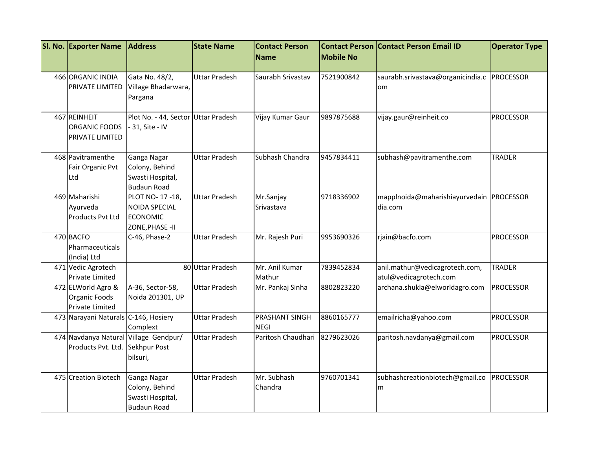| SI. No. Exporter Name                                                    | <b>Address</b>                                                               | <b>State Name</b>    | <b>Contact Person</b>         |                  | <b>Contact Person Contact Person Email ID</b>            | <b>Operator Type</b> |
|--------------------------------------------------------------------------|------------------------------------------------------------------------------|----------------------|-------------------------------|------------------|----------------------------------------------------------|----------------------|
|                                                                          |                                                                              |                      | <b>Name</b>                   | <b>Mobile No</b> |                                                          |                      |
| 466 ORGANIC INDIA<br><b>PRIVATE LIMITED</b>                              | Gata No. 48/2,<br>Village Bhadarwara,<br>Pargana                             | <b>Uttar Pradesh</b> | Saurabh Srivastav             | 7521900842       | saurabh.srivastava@organicindia.c PROCESSOR<br>om        |                      |
| 467 REINHEIT<br>ORGANIC FOODS<br>PRIVATE LIMITED                         | Plot No. - 44, Sector Uttar Pradesh<br>- 31, Site - IV                       |                      | Vijay Kumar Gaur              | 9897875688       | vijay.gaur@reinheit.co                                   | <b>PROCESSOR</b>     |
| 468 Pavitramenthe<br>Fair Organic Pvt<br>Ltd                             | Ganga Nagar<br>Colony, Behind<br>Swasti Hospital,<br><b>Budaun Road</b>      | <b>Uttar Pradesh</b> | Subhash Chandra               | 9457834411       | subhash@pavitramenthe.com                                | <b>TRADER</b>        |
| 469 Maharishi<br>Ayurveda<br><b>Products Pvt Ltd</b>                     | PLOT NO-17-18,<br><b>NOIDA SPECIAL</b><br><b>ECONOMIC</b><br>ZONE, PHASE -II | <b>Uttar Pradesh</b> | Mr.Sanjay<br>Srivastava       | 9718336902       | mapplnoida@maharishiayurvedain PROCESSOR<br>dia.com      |                      |
| 470 BACFO<br>Pharmaceuticals<br>(India) Ltd                              | C-46, Phase-2                                                                | <b>Uttar Pradesh</b> | Mr. Rajesh Puri               | 9953690326       | rjain@bacfo.com                                          | <b>PROCESSOR</b>     |
| 471 Vedic Agrotech<br><b>Private Limited</b>                             |                                                                              | 80 Uttar Pradesh     | Mr. Anil Kumar<br>Mathur      | 7839452834       | anil.mathur@vedicagrotech.com,<br>atul@vedicagrotech.com | <b>TRADER</b>        |
| 472 ELWorld Agro &<br>Organic Foods<br><b>Private Limited</b>            | A-36, Sector-58,<br>Noida 201301, UP                                         | <b>Uttar Pradesh</b> | Mr. Pankaj Sinha              | 8802823220       | archana.shukla@elworldagro.com                           | <b>PROCESSOR</b>     |
| 473 Narayani Naturals C-146, Hosiery                                     | Complext                                                                     | <b>Uttar Pradesh</b> | PRASHANT SINGH<br><b>NEGI</b> | 8860165777       | emailricha@yahoo.com                                     | <b>PROCESSOR</b>     |
| 474 Navdanya Natural Village Gendpur/<br>Products Pvt. Ltd. Sekhpur Post | bilsuri,                                                                     | <b>Uttar Pradesh</b> | Paritosh Chaudhari            | 8279623026       | paritosh.navdanya@gmail.com                              | <b>PROCESSOR</b>     |
| 475 Creation Biotech                                                     | Ganga Nagar<br>Colony, Behind<br>Swasti Hospital,<br><b>Budaun Road</b>      | <b>Uttar Pradesh</b> | Mr. Subhash<br>Chandra        | 9760701341       | subhashcreationbiotech@gmail.co<br>m                     | <b>PROCESSOR</b>     |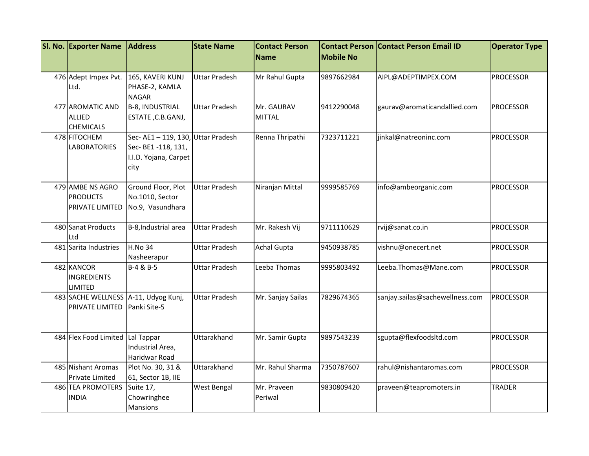| SI. No. Exporter Name                | <b>Address</b>                  | <b>State Name</b>    | <b>Contact Person</b> | <b>Contact Person</b> | <b>Contact Person Email ID</b>  | <b>Operator Type</b> |
|--------------------------------------|---------------------------------|----------------------|-----------------------|-----------------------|---------------------------------|----------------------|
|                                      |                                 |                      | <b>Name</b>           | <b>Mobile No</b>      |                                 |                      |
|                                      |                                 |                      |                       |                       |                                 |                      |
| 476 Adept Impex Pvt.                 | 165, KAVERI KUNJ                | <b>Uttar Pradesh</b> | Mr Rahul Gupta        | 9897662984            | AIPL@ADEPTIMPEX.COM             | <b>PROCESSOR</b>     |
| Ltd.                                 | PHASE-2, KAMLA                  |                      |                       |                       |                                 |                      |
|                                      | <b>NAGAR</b>                    |                      |                       |                       |                                 |                      |
| 477 AROMATIC AND                     | <b>B-8, INDUSTRIAL</b>          | <b>Uttar Pradesh</b> | Mr. GAURAV            | 9412290048            | gaurav@aromaticandallied.com    | <b>PROCESSOR</b>     |
| <b>ALLIED</b><br><b>CHEMICALS</b>    | ESTATE, C.B.GANJ,               |                      | <b>MITTAL</b>         |                       |                                 |                      |
| 478 FITOCHEM                         | Sec-AE1-119, 130, Uttar Pradesh |                      | Renna Thripathi       | 7323711221            | jinkal@natreoninc.com           | <b>PROCESSOR</b>     |
| <b>LABORATORIES</b>                  | Sec- BE1-118, 131,              |                      |                       |                       |                                 |                      |
|                                      | I.I.D. Yojana, Carpet           |                      |                       |                       |                                 |                      |
|                                      | city                            |                      |                       |                       |                                 |                      |
|                                      |                                 |                      |                       |                       |                                 |                      |
| 479 AMBE NS AGRO                     | Ground Floor, Plot              | <b>Uttar Pradesh</b> | Niranjan Mittal       | 9999585769            | info@ambeorganic.com            | <b>PROCESSOR</b>     |
| <b>PRODUCTS</b>                      | No.1010, Sector                 |                      |                       |                       |                                 |                      |
| <b>PRIVATE LIMITED</b>               | No.9, Vasundhara                |                      |                       |                       |                                 |                      |
|                                      |                                 |                      |                       |                       |                                 |                      |
| 480 Sanat Products                   | B-8, Industrial area            | Uttar Pradesh        | Mr. Rakesh Vij        | 9711110629            | rvij@sanat.co.in                | <b>PROCESSOR</b>     |
| Ltd                                  |                                 |                      |                       |                       |                                 |                      |
| 481 Sarita Industries                | <b>H.No 34</b>                  | Uttar Pradesh        | <b>Achal Gupta</b>    | 9450938785            | vishnu@onecert.net              | PROCESSOR            |
|                                      | Nasheerapur                     |                      |                       |                       |                                 |                      |
| 482 KANCOR                           | B-4 & B-5                       | Uttar Pradesh        | Leeba Thomas          | 9995803492            | Leeba.Thomas@Mane.com           | <b>PROCESSOR</b>     |
| <b>INGREDIENTS</b>                   |                                 |                      |                       |                       |                                 |                      |
| LIMITED                              |                                 |                      |                       |                       |                                 |                      |
| 483 SACHE WELLNESS A-11, Udyog Kunj, |                                 | <b>Uttar Pradesh</b> | Mr. Sanjay Sailas     | 7829674365            | sanjay.sailas@sachewellness.com | PROCESSOR            |
| <b>PRIVATE LIMITED</b>               | Panki Site-5                    |                      |                       |                       |                                 |                      |
|                                      |                                 |                      |                       |                       |                                 |                      |
| 484 Flex Food Limited Lal Tappar     |                                 | Uttarakhand          | Mr. Samir Gupta       | 9897543239            | sgupta@flexfoodsltd.com         | <b>PROCESSOR</b>     |
|                                      | Industrial Area,                |                      |                       |                       |                                 |                      |
|                                      | Haridwar Road                   |                      |                       |                       |                                 |                      |
| 485 Nishant Aromas                   | Plot No. 30, 31 &               | Uttarakhand          | Mr. Rahul Sharma      | 7350787607            | rahul@nishantaromas.com         | <b>PROCESSOR</b>     |
| <b>Private Limited</b>               | 61, Sector 1B, IIE              |                      |                       |                       |                                 |                      |
| 486 TEA PROMOTERS                    | Suite 17,                       | West Bengal          | Mr. Praveen           | 9830809420            | praveen@teapromoters.in         | <b>TRADER</b>        |
| <b>INDIA</b>                         | Chowringhee                     |                      | Periwal               |                       |                                 |                      |
|                                      | <b>Mansions</b>                 |                      |                       |                       |                                 |                      |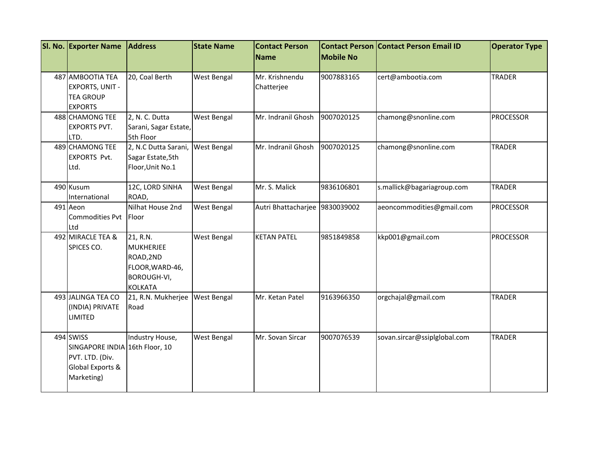| SI. No. Exporter Name             | <b>Address</b>                        | <b>State Name</b>  | <b>Contact Person</b><br>Name  | <b>Mobile No</b> | <b>Contact Person Contact Person Email ID</b> | <b>Operator Type</b> |
|-----------------------------------|---------------------------------------|--------------------|--------------------------------|------------------|-----------------------------------------------|----------------------|
|                                   |                                       |                    |                                |                  |                                               |                      |
| 487 AMBOOTIA TEA                  | 20, Coal Berth                        | <b>West Bengal</b> | Mr. Krishnendu                 | 9007883165       | cert@ambootia.com                             | <b>TRADER</b>        |
| <b>EXPORTS, UNIT -</b>            |                                       |                    | Chatterjee                     |                  |                                               |                      |
| <b>TEA GROUP</b>                  |                                       |                    |                                |                  |                                               |                      |
| <b>EXPORTS</b>                    |                                       |                    |                                |                  |                                               |                      |
| 488 CHAMONG TEE                   | 2, N. C. Dutta                        | West Bengal        | Mr. Indranil Ghosh             | 9007020125       | chamong@snonline.com                          | <b>PROCESSOR</b>     |
| <b>EXPORTS PVT.</b>               | Sarani, Sagar Estate,                 |                    |                                |                  |                                               |                      |
| LTD.                              | 5th Floor                             |                    |                                |                  |                                               |                      |
| 489 CHAMONG TEE                   | 2, N.C Dutta Sarani,                  | <b>West Bengal</b> | Mr. Indranil Ghosh             | 9007020125       | chamong@snonline.com                          | <b>TRADER</b>        |
| <b>EXPORTS Pvt.</b><br>Ltd.       | Sagar Estate, 5th<br>Floor, Unit No.1 |                    |                                |                  |                                               |                      |
|                                   |                                       |                    |                                |                  |                                               |                      |
| 490 Kusum                         | 12C, LORD SINHA                       | West Bengal        | Mr. S. Malick                  | 9836106801       | s.mallick@bagariagroup.com                    | <b>TRADER</b>        |
| International                     | ROAD,                                 |                    |                                |                  |                                               |                      |
| 491 Aeon                          | Nilhat House 2nd                      | West Bengal        | Autri Bhattacharjee 9830039002 |                  | aeoncommodities@gmail.com                     | PROCESSOR            |
| <b>Commodities Pvt</b>            | <b>IFloor</b>                         |                    |                                |                  |                                               |                      |
| Ltd                               |                                       |                    |                                |                  |                                               |                      |
| 492 MIRACLE TEA &                 | 21, R.N.                              | West Bengal        | <b>KETAN PATEL</b>             | 9851849858       | kkp001@gmail.com                              | <b>PROCESSOR</b>     |
| SPICES CO.                        | <b>MUKHERJEE</b>                      |                    |                                |                  |                                               |                      |
|                                   | ROAD, 2ND                             |                    |                                |                  |                                               |                      |
|                                   | FLOOR, WARD-46,                       |                    |                                |                  |                                               |                      |
|                                   | <b>BOROUGH-VI,</b>                    |                    |                                |                  |                                               |                      |
|                                   | <b>KOLKATA</b>                        |                    |                                |                  |                                               |                      |
| 493 JALINGA TEA CO                | 21, R.N. Mukherjee                    | <b>West Bengal</b> | Mr. Ketan Patel                | 9163966350       | orgchajal@gmail.com                           | <b>TRADER</b>        |
| (INDIA) PRIVATE<br><b>LIMITED</b> | Road                                  |                    |                                |                  |                                               |                      |
|                                   |                                       |                    |                                |                  |                                               |                      |
| 494 SWISS                         | Industry House,                       | West Bengal        | Mr. Sovan Sircar               | 9007076539       | sovan.sircar@ssiplglobal.com                  | <b>TRADER</b>        |
| SINGAPORE INDIA 16th Floor, 10    |                                       |                    |                                |                  |                                               |                      |
| PVT. LTD. (Div.                   |                                       |                    |                                |                  |                                               |                      |
| Global Exports &                  |                                       |                    |                                |                  |                                               |                      |
| Marketing)                        |                                       |                    |                                |                  |                                               |                      |
|                                   |                                       |                    |                                |                  |                                               |                      |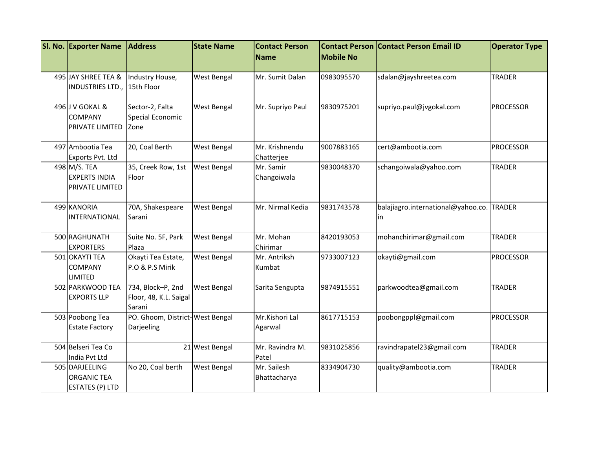| SI. No. Exporter Name                                          | <b>Address</b>                                        | <b>State Name</b>  | <b>Contact Person</b>        | <b>Mobile No</b> | <b>Contact Person Contact Person Email ID</b>   | <b>Operator Type</b> |
|----------------------------------------------------------------|-------------------------------------------------------|--------------------|------------------------------|------------------|-------------------------------------------------|----------------------|
|                                                                |                                                       |                    | <b>Name</b>                  |                  |                                                 |                      |
| 495 JAY SHREE TEA &<br>INDUSTRIES LTD.,                        | Industry House,<br>15th Floor                         | West Bengal        | Mr. Sumit Dalan              | 0983095570       | sdalan@jayshreetea.com                          | <b>TRADER</b>        |
| 496 J V GOKAL &<br><b>COMPANY</b><br>PRIVATE LIMITED           | Sector-2, Falta<br>Special Economic<br>Zone           | <b>West Bengal</b> | Mr. Supriyo Paul             | 9830975201       | supriyo.paul@jvgokal.com                        | <b>PROCESSOR</b>     |
| 497 Ambootia Tea<br>Exports Pvt. Ltd                           | 20, Coal Berth                                        | <b>West Bengal</b> | Mr. Krishnendu<br>Chatterjee | 9007883165       | cert@ambootia.com                               | <b>PROCESSOR</b>     |
| 498 M/S. TEA<br><b>EXPERTS INDIA</b><br>PRIVATE LIMITED        | 35, Creek Row, 1st<br>Floor                           | West Bengal        | Mr. Samir<br>Changoiwala     | 9830048370       | schangoiwala@yahoo.com                          | <b>TRADER</b>        |
| 499 KANORIA<br><b>INTERNATIONAL</b>                            | 70A, Shakespeare<br>Sarani                            | <b>West Bengal</b> | Mr. Nirmal Kedia             | 9831743578       | balajiagro.international@yahoo.co. TRADER<br>in |                      |
| 500 RAGHUNATH<br><b>EXPORTERS</b>                              | Suite No. 5F, Park<br>Plaza                           | <b>West Bengal</b> | Mr. Mohan<br>Chirimar        | 8420193053       | mohanchirimar@gmail.com                         | <b>TRADER</b>        |
| 501 OKAYTI TEA<br><b>COMPANY</b><br><b>LIMITED</b>             | Okayti Tea Estate,<br>P.O & P.S Mirik                 | West Bengal        | Mr. Antriksh<br>Kumbat       | 9733007123       | okayti@gmail.com                                | <b>PROCESSOR</b>     |
| 502 PARKWOOD TEA<br><b>EXPORTS LLP</b>                         | 734, Block-P, 2nd<br>Floor, 48, K.L. Saigal<br>Sarani | West Bengal        | Sarita Sengupta              | 9874915551       | parkwoodtea@gmail.com                           | <b>TRADER</b>        |
| 503 Poobong Tea<br><b>Estate Factory</b>                       | PO. Ghoom, District-West Bengal<br>Darjeeling         |                    | Mr.Kishori Lal<br>Agarwal    | 8617715153       | poobongppl@gmail.com                            | <b>PROCESSOR</b>     |
| 504 Belseri Tea Co<br>India Pvt Ltd                            |                                                       | 21 West Bengal     | Mr. Ravindra M.<br>Patel     | 9831025856       | ravindrapatel23@gmail.com                       | <b>TRADER</b>        |
| 505 DARJEELING<br><b>ORGANIC TEA</b><br><b>ESTATES (P) LTD</b> | No 20, Coal berth                                     | West Bengal        | Mr. Sailesh<br>Bhattacharya  | 8334904730       | quality@ambootia.com                            | <b>TRADER</b>        |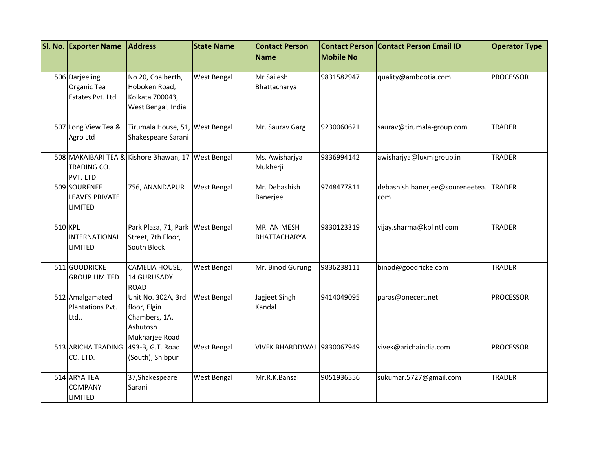|         | SI. No. Exporter Name                                   | <b>Address</b>                                                                    | <b>State Name</b>  | <b>Contact Person</b>              | <b>Mobile No</b> | <b>Contact Person Contact Person Email ID</b> | <b>Operator Type</b> |
|---------|---------------------------------------------------------|-----------------------------------------------------------------------------------|--------------------|------------------------------------|------------------|-----------------------------------------------|----------------------|
|         |                                                         |                                                                                   |                    | <b>Name</b>                        |                  |                                               |                      |
|         | 506 Darjeeling<br>Organic Tea<br>Estates Pvt. Ltd       | No 20, Coalberth,<br>Hoboken Road,<br>Kolkata 700043,<br>West Bengal, India       | West Bengal        | Mr Sailesh<br>Bhattacharya         | 9831582947       | quality@ambootia.com                          | <b>PROCESSOR</b>     |
|         | 507 Long View Tea &<br>Agro Ltd                         | Tirumala House, 51, West Bengal<br>Shakespeare Sarani                             |                    | Mr. Saurav Garg                    | 9230060621       | saurav@tirumala-group.com                     | <b>TRADER</b>        |
|         | TRADING CO.<br>PVT. LTD.                                | 508 MAKAIBARI TEA & Kishore Bhawan, 17                                            | <b>West Bengal</b> | Ms. Awisharjya<br>Mukherji         | 9836994142       | awisharjya@luxmigroup.in                      | <b>TRADER</b>        |
|         | 509 SOURENEE<br><b>LEAVES PRIVATE</b><br><b>LIMITED</b> | 756, ANANDAPUR                                                                    | West Bengal        | Mr. Debashish<br>Banerjee          | 9748477811       | debashish.banerjee@soureneetea.<br>com        | <b>TRADER</b>        |
| 510 KPL | <b>INTERNATIONAL</b><br>LIMITED                         | Park Plaza, 71, Park<br>Street, 7th Floor,<br>South Block                         | <b>West Bengal</b> | MR. ANIMESH<br><b>BHATTACHARYA</b> | 9830123319       | vijay.sharma@kplintl.com                      | <b>TRADER</b>        |
|         | 511 GOODRICKE<br><b>GROUP LIMITED</b>                   | CAMELIA HOUSE,<br>14 GURUSADY<br><b>ROAD</b>                                      | West Bengal        | Mr. Binod Gurung                   | 9836238111       | binod@goodricke.com                           | <b>TRADER</b>        |
|         | 512 Amalgamated<br>Plantations Pvt.<br>Ltd              | Unit No. 302A, 3rd<br>floor, Elgin<br>Chambers, 1A,<br>Ashutosh<br>Mukharjee Road | West Bengal        | Jagjeet Singh<br>Kandal            | 9414049095       | paras@onecert.net                             | <b>PROCESSOR</b>     |
|         | 513 ARICHA TRADING<br>CO. LTD.                          | 493-B, G.T. Road<br>(South), Shibpur                                              | West Bengal        | <b>VIVEK BHARDDWAJ</b>             | 9830067949       | vivek@arichaindia.com                         | <b>PROCESSOR</b>     |
|         | 514 ARYA TEA<br><b>COMPANY</b><br><b>LIMITED</b>        | 37, Shakespeare<br>Sarani                                                         | West Bengal        | Mr.R.K.Bansal                      | 9051936556       | sukumar.5727@gmail.com                        | <b>TRADER</b>        |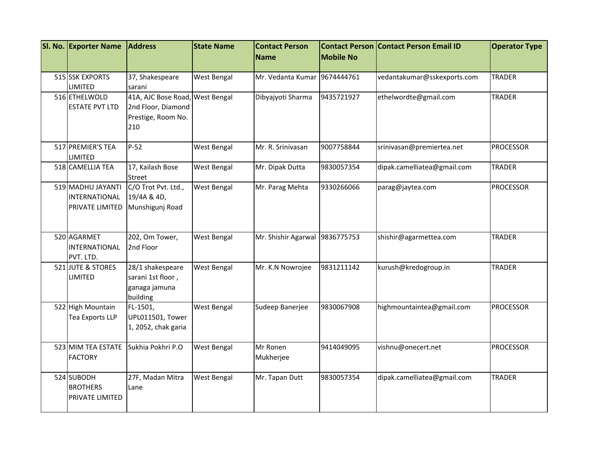| <b>SI. No. Exporter Name</b> | <b>Address</b>          | <b>State Name</b>  | <b>Contact Person</b>        | <b>Contact Person</b> | <b>Contact Person Email ID</b> | <b>Operator Type</b> |
|------------------------------|-------------------------|--------------------|------------------------------|-----------------------|--------------------------------|----------------------|
|                              |                         |                    | <b>Name</b>                  | <b>Mobile No</b>      |                                |                      |
| 515 SSK EXPORTS              | 37, Shakespeare         | West Bengal        | Mr. Vedanta Kumar 9674444761 |                       | vedantakumar@sskexports.com    | <b>TRADER</b>        |
| <b>LIMITED</b>               | sarani                  |                    |                              |                       |                                |                      |
| 516 ETHELWOLD                | 41A, AJC Bose Road,     | <b>West Bengal</b> | Dibyajyoti Sharma            | 9435721927            | ethelwordte@gmail.com          | <b>TRADER</b>        |
| <b>ESTATE PVT LTD</b>        | 2nd Floor, Diamond      |                    |                              |                       |                                |                      |
|                              | Prestige, Room No.      |                    |                              |                       |                                |                      |
|                              | 210                     |                    |                              |                       |                                |                      |
| 517 PREMIER'S TEA            | $P-52$                  | West Bengal        | Mr. R. Srinivasan            | 9007758844            | srinivasan@premiertea.net      | <b>PROCESSOR</b>     |
| <b>LIMITED</b>               |                         |                    |                              |                       |                                |                      |
| 518 CAMELLIA TEA             | 17, Kailash Bose        | West Bengal        | Mr. Dipak Dutta              | 9830057354            | dipak.camelliatea@gmail.com    | <b>TRADER</b>        |
|                              | Street                  |                    |                              |                       |                                |                      |
| 519 MADHU JAYANTI            | C/O Trot Pvt. Ltd.,     | West Bengal        | Mr. Parag Mehta              | 9330266066            | parag@jaytea.com               | <b>PROCESSOR</b>     |
| INTERNATIONAL                | 19/4A & 4D,             |                    |                              |                       |                                |                      |
| <b>PRIVATE LIMITED</b>       | Munshigunj Road         |                    |                              |                       |                                |                      |
|                              |                         |                    |                              |                       |                                |                      |
|                              |                         |                    |                              |                       |                                |                      |
| 520 AGARMET                  | 202, Om Tower,          | West Bengal        | Mr. Shishir Agarwal          | 9836775753            | shishir@agarmettea.com         | <b>TRADER</b>        |
| INTERNATIONAL                | 2nd Floor               |                    |                              |                       |                                |                      |
| PVT. LTD.                    |                         |                    |                              |                       |                                |                      |
| 521 JUTE & STORES            | 28/1 shakespeare        | West Bengal        | Mr. K.N Nowrojee             | 9831211142            | kurush@kredogroup.in           | <b>TRADER</b>        |
| <b>LIMITED</b>               | sarani 1st floor,       |                    |                              |                       |                                |                      |
|                              | ganaga jamuna           |                    |                              |                       |                                |                      |
|                              | building                |                    |                              |                       |                                |                      |
| 522 High Mountain            | FL-1501,                | <b>West Bengal</b> | Sudeep Banerjee              | 9830067908            | highmountaintea@gmail.com      | <b>PROCESSOR</b>     |
| Tea Exports LLP              | <b>UPL011501, Tower</b> |                    |                              |                       |                                |                      |
|                              | 1, 2052, chak garia     |                    |                              |                       |                                |                      |
|                              |                         |                    |                              |                       |                                |                      |
| 523 MIM TEA ESTATE           | Sukhia Pokhri P.O       | <b>West Bengal</b> | Mr Ronen                     | 9414049095            | vishnu@onecert.net             | <b>PROCESSOR</b>     |
| <b>FACTORY</b>               |                         |                    | Mukherjee                    |                       |                                |                      |
|                              |                         |                    |                              |                       |                                |                      |
| 524 SUBODH                   | 27F, Madan Mitra        | West Bengal        | Mr. Tapan Dutt               | 9830057354            | dipak.camelliatea@gmail.com    | <b>TRADER</b>        |
| <b>BROTHERS</b>              | Lane                    |                    |                              |                       |                                |                      |
| PRIVATE LIMITED              |                         |                    |                              |                       |                                |                      |
|                              |                         |                    |                              |                       |                                |                      |